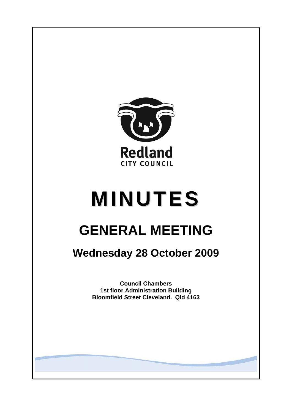

# **MINUTES**

# **GENERAL MEETING**

## **Wednesday 28 October 2009**

**Council Chambers 1st floor Administration Building Bloomfield Street Cleveland. Qld 4163**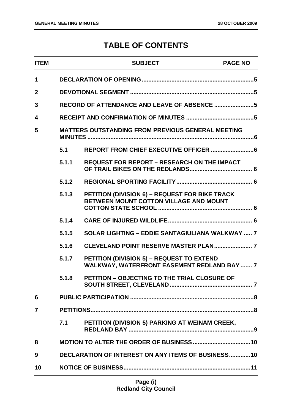### **TABLE OF CONTENTS**

| <b>ITEM</b>             |                                                           | <b>SUBJECT</b>                                                                                  | <b>PAGE NO</b> |
|-------------------------|-----------------------------------------------------------|-------------------------------------------------------------------------------------------------|----------------|
| 1                       |                                                           |                                                                                                 |                |
| $\overline{2}$          |                                                           |                                                                                                 |                |
| 3                       |                                                           | RECORD OF ATTENDANCE AND LEAVE OF ABSENCE 5                                                     |                |
| $\overline{\mathbf{4}}$ |                                                           |                                                                                                 |                |
| 5                       |                                                           | <b>MATTERS OUTSTANDING FROM PREVIOUS GENERAL MEETING</b>                                        |                |
|                         | 5.1                                                       |                                                                                                 |                |
|                         | 5.1.1                                                     | <b>REQUEST FOR REPORT - RESEARCH ON THE IMPACT</b>                                              |                |
|                         | 5.1.2                                                     |                                                                                                 |                |
|                         | 5.1.3                                                     | PETITION (DIVISION 6) - REQUEST FOR BIKE TRACK<br>BETWEEN MOUNT COTTON VILLAGE AND MOUNT        |                |
|                         | 5.1.4                                                     |                                                                                                 |                |
|                         | 5.1.5                                                     | <b>SOLAR LIGHTING - EDDIE SANTAGIULIANA WALKWAY  7</b>                                          |                |
|                         | 5.1.6                                                     |                                                                                                 |                |
|                         | 5.1.7                                                     | PETITION (DIVISION 5) - REQUEST TO EXTEND<br><b>WALKWAY, WATERFRONT EASEMENT REDLAND BAY  7</b> |                |
|                         | 5.1.8                                                     | PETITION - OBJECTING TO THE TRIAL CLOSURE OF                                                    |                |
| 6                       |                                                           |                                                                                                 |                |
| $\overline{7}$          |                                                           |                                                                                                 |                |
|                         | 7.1                                                       | PETITION (DIVISION 5) PARKING AT WEINAM CREEK,                                                  |                |
| 8                       |                                                           |                                                                                                 |                |
| 9                       | <b>DECLARATION OF INTEREST ON ANY ITEMS OF BUSINESS10</b> |                                                                                                 |                |
| 10                      |                                                           |                                                                                                 |                |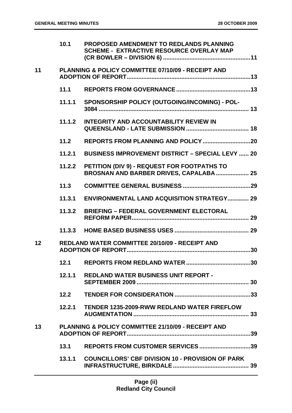|    | 10.1   | PROPOSED AMENDMENT TO REDLANDS PLANNING<br><b>SCHEME - EXTRACTIVE RESOURCE OVERLAY MAP</b> |
|----|--------|--------------------------------------------------------------------------------------------|
| 11 |        | PLANNING & POLICY COMMITTEE 07/10/09 - RECEIPT AND                                         |
|    | 11.1   |                                                                                            |
|    | 11.1.1 | SPONSORSHIP POLICY (OUTGOING/INCOMING) - POL-                                              |
|    | 11.1.2 | <b>INTEGRITY AND ACCOUNTABILITY REVIEW IN</b>                                              |
|    | $11.2$ |                                                                                            |
|    | 11.2.1 | <b>BUSINESS IMPROVEMENT DISTRICT - SPECIAL LEVY  20</b>                                    |
|    | 11.2.2 | PETITION (DIV 9) - REQUEST FOR FOOTPATHS TO<br>BROSNAN AND BARBER DRIVES, CAPALABA 25      |
|    | 11.3   |                                                                                            |
|    | 11.3.1 | <b>ENVIRONMENTAL LAND ACQUISITION STRATEGY 29</b>                                          |
|    | 11.3.2 | <b>BRIEFING - FEDERAL GOVERNMENT ELECTORAL</b>                                             |
|    | 11.3.3 |                                                                                            |
| 12 |        | <b>REDLAND WATER COMMITTEE 20/10/09 - RECEIPT AND</b>                                      |
|    | 12.1   |                                                                                            |
|    | 12.1.1 | <b>REDLAND WATER BUSINESS UNIT REPORT -</b>                                                |
|    | 12.2   |                                                                                            |
|    | 12.2.1 | <b>TENDER 1235-2009-RWW REDLAND WATER FIREFLOW</b>                                         |
| 13 |        | <b>PLANNING &amp; POLICY COMMITTEE 21/10/09 - RECEIPT AND</b>                              |
|    | 13.1   | REPORTS FROM CUSTOMER SERVICES 39                                                          |
|    | 13.1.1 | <b>COUNCILLORS' CBF DIVISION 10 - PROVISION OF PARK</b>                                    |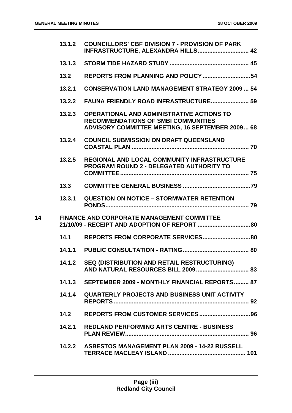|    | 13.1.2 | <b>COUNCILLORS' CBF DIVISION 7 - PROVISION OF PARK</b><br>INFRASTRUCTURE, ALEXANDRA HILLS 42                                                              |  |
|----|--------|-----------------------------------------------------------------------------------------------------------------------------------------------------------|--|
|    | 13.1.3 |                                                                                                                                                           |  |
|    | 13.2   |                                                                                                                                                           |  |
|    | 13.2.1 | <b>CONSERVATION LAND MANAGEMENT STRATEGY 2009  54</b>                                                                                                     |  |
|    | 13.2.2 | <b>FAUNA FRIENDLY ROAD INFRASTRUCTURE 59</b>                                                                                                              |  |
|    | 13.2.3 | <b>OPERATIONAL AND ADMINISTRATIVE ACTIONS TO</b><br><b>RECOMMENDATIONS OF SMBI COMMUNITIES</b><br><b>ADVISORY COMMITTEE MEETING, 16 SEPTEMBER 2009 68</b> |  |
|    | 13.2.4 | <b>COUNCIL SUBMISSION ON DRAFT QUEENSLAND</b>                                                                                                             |  |
|    | 13.2.5 | <b>REGIONAL AND LOCAL COMMUNITY INFRASTRUCTURE</b><br><b>PROGRAM ROUND 2 - DELEGATED AUTHORITY TO</b>                                                     |  |
|    | 13.3   |                                                                                                                                                           |  |
|    | 13.3.1 | QUESTION ON NOTICE - STORMWATER RETENTION                                                                                                                 |  |
| 14 |        | <b>FINANCE AND CORPORATE MANAGEMENT COMMITTEE</b>                                                                                                         |  |
|    | 14.1   |                                                                                                                                                           |  |
|    |        |                                                                                                                                                           |  |
|    | 14.1.2 | SEQ (DISTRIBUTION AND RETAIL RESTRUCTURING)                                                                                                               |  |
|    |        | 14.1.3 SEPTEMBER 2009 - MONTHLY FINANCIAL REPORTS 87                                                                                                      |  |
|    |        | 14.1.4 QUARTERLY PROJECTS AND BUSINESS UNIT ACTIVITY                                                                                                      |  |
|    | 14.2   |                                                                                                                                                           |  |
|    | 14.2.1 | <b>REDLAND PERFORMING ARTS CENTRE - BUSINESS</b>                                                                                                          |  |
|    |        | 14.2.2 ASBESTOS MANAGEMENT PLAN 2009 - 14-22 RUSSELL                                                                                                      |  |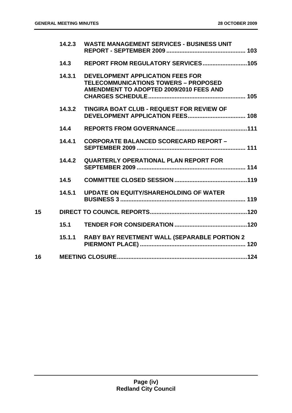|    | 14.2.3 | <b>WASTE MANAGEMENT SERVICES - BUSINESS UNIT</b>                                                                                  |
|----|--------|-----------------------------------------------------------------------------------------------------------------------------------|
|    | 14.3   |                                                                                                                                   |
|    | 14.3.1 | <b>DEVELOPMENT APPLICATION FEES FOR</b><br><b>TELECOMMUNICATIONS TOWERS - PROPOSED</b><br>AMENDMENT TO ADOPTED 2009/2010 FEES AND |
|    | 14.3.2 | <b>TINGIRA BOAT CLUB - REQUEST FOR REVIEW OF</b>                                                                                  |
|    | 14.4   |                                                                                                                                   |
|    | 14.4.1 | <b>CORPORATE BALANCED SCORECARD REPORT -</b>                                                                                      |
|    | 14.4.2 | <b>QUARTERLY OPERATIONAL PLAN REPORT FOR</b>                                                                                      |
|    | 14.5   |                                                                                                                                   |
|    | 14.5.1 | <b>UPDATE ON EQUITY/SHAREHOLDING OF WATER</b>                                                                                     |
| 15 |        |                                                                                                                                   |
|    | 15.1   |                                                                                                                                   |
|    | 15.1.1 | RABY BAY REVETMENT WALL (SEPARABLE PORTION 2                                                                                      |
| 16 |        |                                                                                                                                   |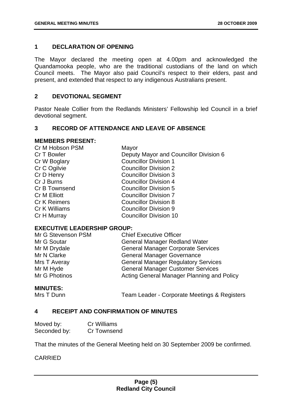#### <span id="page-5-0"></span>**1 DECLARATION OF OPENING**

The Mayor declared the meeting open at 4.00pm and acknowledged the Quandamooka people, who are the traditional custodians of the land on which Council meets. The Mayor also paid Council's respect to their elders, past and present, and extended that respect to any indigenous Australians present.

#### **2 DEVOTIONAL SEGMENT**

Pastor Neale Collier from the Redlands Ministers' Fellowship led Council in a brief devotional segment.

#### **3 RECORD OF ATTENDANCE AND LEAVE OF ABSENCE**

#### **MEMBERS PRESENT:**

| Cr M Hobson PSM     | Mayor                                  |
|---------------------|----------------------------------------|
| Cr T Bowler         | Deputy Mayor and Councillor Division 6 |
| Cr W Boglary        | <b>Councillor Division 1</b>           |
| Cr C Ogilvie        | <b>Councillor Division 2</b>           |
| Cr D Henry          | <b>Councillor Division 3</b>           |
| Cr J Burns          | <b>Councillor Division 4</b>           |
| Cr B Townsend       | <b>Councillor Division 5</b>           |
| <b>Cr M Elliott</b> | <b>Councillor Division 7</b>           |
| <b>Cr K Reimers</b> | <b>Councillor Division 8</b>           |
| Cr K Williams       | <b>Councillor Division 9</b>           |
| Cr H Murray         | <b>Councillor Division 10</b>          |
|                     |                                        |

#### **EXECUTIVE LEADERSHIP GROUP:**

| Mr G Stevenson PSM | <b>Chief Executive Officer</b>             |
|--------------------|--------------------------------------------|
| Mr G Soutar        | <b>General Manager Redland Water</b>       |
| Mr M Drydale       | <b>General Manager Corporate Services</b>  |
| Mr N Clarke        | <b>General Manager Governance</b>          |
| Mrs T Averay       | <b>General Manager Regulatory Services</b> |
| Mr M Hyde          | <b>General Manager Customer Services</b>   |
| Mr G Photinos      | Acting General Manager Planning and Policy |

#### **MINUTES:**

Mrs T Dunn Team Leader - Corporate Meetings & Registers

#### **4 RECEIPT AND CONFIRMATION OF MINUTES**

| Moved by:    | <b>Cr Williams</b> |
|--------------|--------------------|
| Seconded by: | Cr Townsend        |

That the minutes of the General Meeting held on 30 September 2009 be confirmed.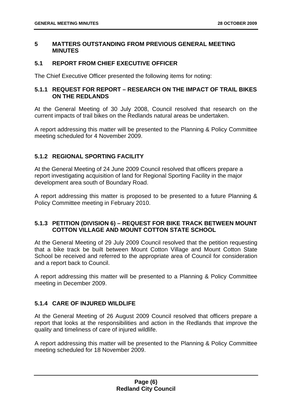#### <span id="page-6-0"></span>**5 MATTERS OUTSTANDING FROM PREVIOUS GENERAL MEETING MINUTES**

#### **5.1 REPORT FROM CHIEF EXECUTIVE OFFICER**

The Chief Executive Officer presented the following items for noting:

#### **5.1.1 REQUEST FOR REPORT – RESEARCH ON THE IMPACT OF TRAIL BIKES ON THE REDLANDS**

At the General Meeting of 30 July 2008, Council resolved that research on the current impacts of trail bikes on the Redlands natural areas be undertaken.

A report addressing this matter will be presented to the Planning & Policy Committee meeting scheduled for 4 November 2009.

#### **5.1.2 REGIONAL SPORTING FACILITY**

At the General Meeting of 24 June 2009 Council resolved that officers prepare a report investigating acquisition of land for Regional Sporting Facility in the major development area south of Boundary Road.

A report addressing this matter is proposed to be presented to a future Planning & Policy Committee meeting in February 2010.

#### **5.1.3 PETITION (DIVISION 6) – REQUEST FOR BIKE TRACK BETWEEN MOUNT COTTON VILLAGE AND MOUNT COTTON STATE SCHOOL**

At the General Meeting of 29 July 2009 Council resolved that the petition requesting that a bike track be built between Mount Cotton Village and Mount Cotton State School be received and referred to the appropriate area of Council for consideration and a report back to Council.

A report addressing this matter will be presented to a Planning & Policy Committee meeting in December 2009.

#### **5.1.4 CARE OF INJURED WILDLIFE**

At the General Meeting of 26 August 2009 Council resolved that officers prepare a report that looks at the responsibilities and action in the Redlands that improve the quality and timeliness of care of injured wildlife.

A report addressing this matter will be presented to the Planning & Policy Committee meeting scheduled for 18 November 2009.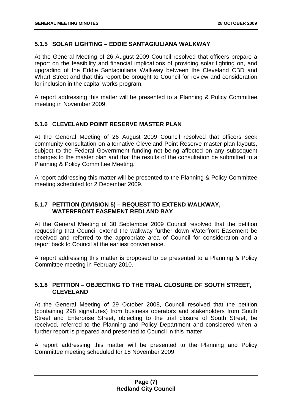#### <span id="page-7-0"></span>**5.1.5 SOLAR LIGHTING – EDDIE SANTAGIULIANA WALKWAY**

At the General Meeting of 26 August 2009 Council resolved that officers prepare a report on the feasibility and financial implications of providing solar lighting on, and upgrading of the Eddie Santagiuliana Walkway between the Cleveland CBD and Wharf Street and that this report be brought to Council for review and consideration for inclusion in the capital works program.

A report addressing this matter will be presented to a Planning & Policy Committee meeting in November 2009.

#### **5.1.6 CLEVELAND POINT RESERVE MASTER PLAN**

At the General Meeting of 26 August 2009 Council resolved that officers seek community consultation on alternative Cleveland Point Reserve master plan layouts, subject to the Federal Government funding not being affected on any subsequent changes to the master plan and that the results of the consultation be submitted to a Planning & Policy Committee Meeting.

A report addressing this matter will be presented to the Planning & Policy Committee meeting scheduled for 2 December 2009.

#### **5.1.7 PETITION (DIVISION 5) – REQUEST TO EXTEND WALKWAY, WATERFRONT EASEMENT REDLAND BAY**

At the General Meeting of 30 September 2009 Council resolved that the petition requesting that Council extend the walkway further down Waterfront Easement be received and referred to the appropriate area of Council for consideration and a report back to Council at the earliest convenience.

A report addressing this matter is proposed to be presented to a Planning & Policy Committee meeting in February 2010.

#### **5.1.8 PETITION – OBJECTING TO THE TRIAL CLOSURE OF SOUTH STREET, CLEVELAND**

At the General Meeting of 29 October 2008, Council resolved that the petition (containing 298 signatures) from business operators and stakeholders from South Street and Enterprise Street, objecting to the trial closure of South Street, be received, referred to the Planning and Policy Department and considered when a further report is prepared and presented to Council in this matter.

A report addressing this matter will be presented to the Planning and Policy Committee meeting scheduled for 18 November 2009.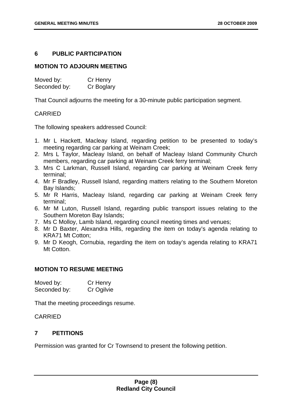#### <span id="page-8-0"></span>**6 PUBLIC PARTICIPATION**

#### **MOTION TO ADJOURN MEETING**

| Moved by:    | Cr Henry   |
|--------------|------------|
| Seconded by: | Cr Boglary |

That Council adjourns the meeting for a 30-minute public participation segment.

#### CARRIED

The following speakers addressed Council:

- 1. Mr L Hackett, Macleay Island, regarding petition to be presented to today's meeting regarding car parking at Weinam Creek;
- 2. Mrs L Taylor, Macleay Island, on behalf of Macleay Island Community Church members, regarding car parking at Weinam Creek ferry terminal;
- 3. Mrs C Larkman, Russell Island, regarding car parking at Weinam Creek ferry terminal;
- 4. Mr F Bradley, Russell Island, regarding matters relating to the Southern Moreton Bay Islands;
- 5. Mr R Harris, Macleay Island, regarding car parking at Weinam Creek ferry terminal;
- 6. Mr M Luton, Russell Island, regarding public transport issues relating to the Southern Moreton Bay Islands;
- 7. Ms C Molloy, Lamb Island, regarding council meeting times and venues;
- 8. Mr D Baxter, Alexandra Hills, regarding the item on today's agenda relating to KRA71 Mt Cotton;
- 9. Mr D Keogh, Cornubia, regarding the item on today's agenda relating to KRA71 Mt Cotton.

#### **MOTION TO RESUME MEETING**

| Moved by:    | Cr Henry   |
|--------------|------------|
| Seconded by: | Cr Ogilvie |

That the meeting proceedings resume.

#### **CARRIED**

#### **7 PETITIONS**

Permission was granted for Cr Townsend to present the following petition.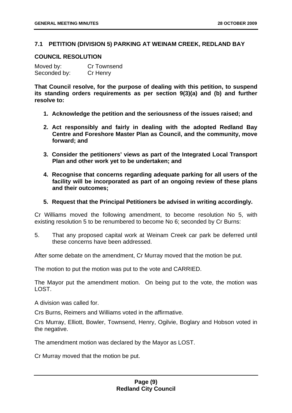#### <span id="page-9-0"></span>**7.1 PETITION (DIVISION 5) PARKING AT WEINAM CREEK, REDLAND BAY**

#### **COUNCIL RESOLUTION**

| Moved by:    | <b>Cr Townsend</b> |
|--------------|--------------------|
| Seconded by: | Cr Henry           |

**That Council resolve, for the purpose of dealing with this petition, to suspend its standing orders requirements as per section 9(3)(a) and (b) and further resolve to:** 

- **1. Acknowledge the petition and the seriousness of the issues raised; and**
- **2. Act responsibly and fairly in dealing with the adopted Redland Bay Centre and Foreshore Master Plan as Council, and the community, move forward; and**
- **3. Consider the petitioners' views as part of the Integrated Local Transport Plan and other work yet to be undertaken; and**
- **4. Recognise that concerns regarding adequate parking for all users of the facility will be incorporated as part of an ongoing review of these plans and their outcomes;**
- **5. Request that the Principal Petitioners be advised in writing accordingly.**

Cr Williams moved the following amendment, to become resolution No 5, with existing resolution 5 to be renumbered to become No 6; seconded by Cr Burns:

5. That any proposed capital work at Weinam Creek car park be deferred until these concerns have been addressed.

After some debate on the amendment, Cr Murray moved that the motion be put.

The motion to put the motion was put to the vote and CARRIED.

The Mayor put the amendment motion. On being put to the vote, the motion was LOST.

A division was called for.

Crs Burns, Reimers and Williams voted in the affirmative.

Crs Murray, Elliott, Bowler, Townsend, Henry, Ogilvie, Boglary and Hobson voted in the negative.

The amendment motion was declared by the Mayor as LOST.

Cr Murray moved that the motion be put.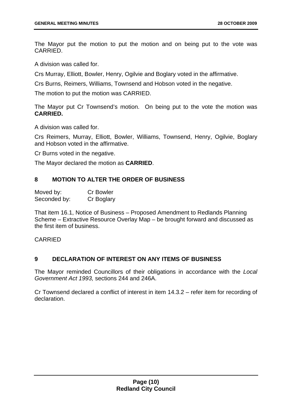<span id="page-10-0"></span>The Mayor put the motion to put the motion and on being put to the vote was CARRIED.

A division was called for.

Crs Murray, Elliott, Bowler, Henry, Ogilvie and Boglary voted in the affirmative.

Crs Burns, Reimers, Williams, Townsend and Hobson voted in the negative.

The motion to put the motion was CARRIED.

The Mayor put Cr Townsend's motion. On being put to the vote the motion was **CARRIED.**

A division was called for.

Crs Reimers, Murray, Elliott, Bowler, Williams, Townsend, Henry, Ogilvie, Boglary and Hobson voted in the affirmative.

Cr Burns voted in the negative.

The Mayor declared the motion as **CARRIED**.

#### **8 MOTION TO ALTER THE ORDER OF BUSINESS**

| Moved by:    | <b>Cr Bowler</b> |
|--------------|------------------|
| Seconded by: | Cr Boglary       |

That item 16.1, Notice of Business – Proposed Amendment to Redlands Planning Scheme – Extractive Resource Overlay Map – be brought forward and discussed as the first item of business.

#### CARRIED

#### **9 DECLARATION OF INTEREST ON ANY ITEMS OF BUSINESS**

The Mayor reminded Councillors of their obligations in accordance with the *Local Government Act 1993,* sections 244 and 246A.

Cr Townsend declared a conflict of interest in item 14.3.2 – refer item for recording of declaration.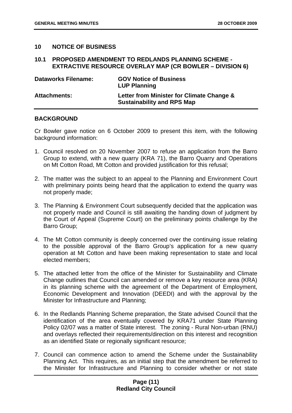#### <span id="page-11-0"></span>**10 NOTICE OF BUSINESS**

#### **10.1 PROPOSED AMENDMENT TO REDLANDS PLANNING SCHEME - EXTRACTIVE RESOURCE OVERLAY MAP (CR BOWLER – DIVISION 6)**

| <b>Dataworks Filename:</b> | <b>GOV Notice of Business</b><br><b>LUP Planning</b>                           |
|----------------------------|--------------------------------------------------------------------------------|
| <b>Attachments:</b>        | Letter from Minister for Climate Change &<br><b>Sustainability and RPS Map</b> |

#### **BACKGROUND**

Cr Bowler gave notice on 6 October 2009 to present this item, with the following background information:

- 1. Council resolved on 20 November 2007 to refuse an application from the Barro Group to extend, with a new quarry (KRA 71), the Barro Quarry and Operations on Mt Cotton Road, Mt Cotton and provided justification for this refusal;
- 2. The matter was the subject to an appeal to the Planning and Environment Court with preliminary points being heard that the application to extend the quarry was not properly made;
- 3. The Planning & Environment Court subsequently decided that the application was not properly made and Council is still awaiting the handing down of judgment by the Court of Appeal (Supreme Court) on the preliminary points challenge by the Barro Group;
- 4. The Mt Cotton community is deeply concerned over the continuing issue relating to the possible approval of the Barro Group's application for a new quarry operation at Mt Cotton and have been making representation to state and local elected members;
- 5. The attached letter from the office of the Minister for Sustainability and Climate Change outlines that Council can amended or remove a key resource area (KRA) in its planning scheme with the agreement of the Department of Employment, Economic Development and Innovation (DEEDI) and with the approval by the Minister for Infrastructure and Planning;
- 6. In the Redlands Planning Scheme preparation, the State advised Council that the identification of the area eventually covered by KRA71 under State Planning Policy 02/07 was a matter of State interest. The zoning - Rural Non-urban (RNU) and overlays reflected their requirements/direction on this interest and recognition as an identified State or regionally significant resource;
- 7. Council can commence action to amend the Scheme under the Sustainability Planning Act. This requires, as an initial step that the amendment be referred to the Minister for Infrastructure and Planning to consider whether or not state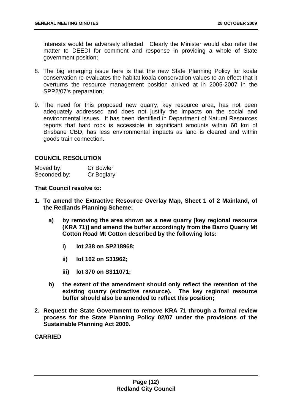interests would be adversely affected. Clearly the Minister would also refer the matter to DEEDI for comment and response in providing a whole of State government position;

- 8. The big emerging issue here is that the new State Planning Policy for koala conservation re-evaluates the habitat koala conservation values to an effect that it overturns the resource management position arrived at in 2005-2007 in the SPP2/07's preparation;
- 9. The need for this proposed new quarry, key resource area, has not been adequately addressed and does not justify the impacts on the social and environmental issues. It has been identified in Department of Natural Resources reports that hard rock is accessible in significant amounts within 60 km of Brisbane CBD, has less environmental impacts as land is cleared and within goods train connection.

#### **COUNCIL RESOLUTION**

| Moved by:    | <b>Cr Bowler</b> |
|--------------|------------------|
| Seconded by: | Cr Boglary       |

**That Council resolve to:** 

- **1. To amend the Extractive Resource Overlay Map, Sheet 1 of 2 Mainland, of the Redlands Planning Scheme:** 
	- **a) by removing the area shown as a new quarry [key regional resource (KRA 71)] and amend the buffer accordingly from the Barro Quarry Mt Cotton Road Mt Cotton described by the following lots:** 
		- **i) lot 238 on SP218968;**
		- **ii) lot 162 on S31962;**
		- **iii) lot 370 on S311071;**
	- **b) the extent of the amendment should only reflect the retention of the existing quarry (extractive resource). The key regional resource buffer should also be amended to reflect this position;**
- **2. Request the State Government to remove KRA 71 through a formal review process for the State Planning Policy 02/07 under the provisions of the Sustainable Planning Act 2009.**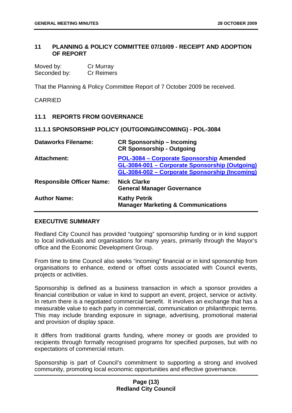#### <span id="page-13-0"></span>**11 PLANNING & POLICY COMMITTEE 07/10/09 - RECEIPT AND ADOPTION OF REPORT**

| Moved by:    | Cr Murray         |
|--------------|-------------------|
| Seconded by: | <b>Cr Reimers</b> |

That the Planning & Policy Committee Report of 7 October 2009 be received.

CARRIED

#### **11.1 REPORTS FROM GOVERNANCE**

#### **11.1.1 SPONSORSHIP POLICY (OUTGOING/INCOMING) - POL-3084**

| <b>Dataworks Filename:</b>       | <b>CR Sponsorship – Incoming</b><br><b>CR Sponsorship - Outgoing</b>                                                                         |
|----------------------------------|----------------------------------------------------------------------------------------------------------------------------------------------|
| <b>Attachment:</b>               | POL-3084 - Corporate Sponsorship Amended<br>GL-3084-001 - Corporate Sponsorship (Outgoing)<br>GL-3084-002 - Corporate Sponsorship (Incoming) |
| <b>Responsible Officer Name:</b> | <b>Nick Clarke</b><br><b>General Manager Governance</b>                                                                                      |
| <b>Author Name:</b>              | <b>Kathy Petrik</b><br><b>Manager Marketing &amp; Communications</b>                                                                         |

#### **EXECUTIVE SUMMARY**

Redland City Council has provided "outgoing" sponsorship funding or in kind support to local individuals and organisations for many years, primarily through the Mayor's office and the Economic Development Group.

From time to time Council also seeks "incoming" financial or in kind sponsorship from organisations to enhance, extend or offset costs associated with Council events, projects or activities.

Sponsorship is defined as a business transaction in which a sponsor provides a financial contribution or value in kind to support an event, project, service or activity. In return there is a negotiated commercial benefit. It involves an exchange that has a measurable value to each party in commercial, communication or philanthropic terms. This may include branding exposure in signage, advertising, promotional material and provision of display space.

It differs from traditional grants funding, where money or goods are provided to recipients through formally recognised programs for specified purposes, but with no expectations of commercial return.

Sponsorship is part of Council's commitment to supporting a strong and involved community, promoting local economic opportunities and effective governance.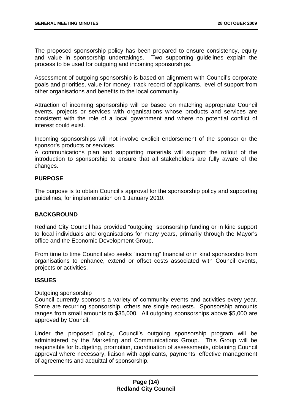The proposed sponsorship policy has been prepared to ensure consistency, equity and value in sponsorship undertakings. Two supporting guidelines explain the process to be used for outgoing and incoming sponsorships.

Assessment of outgoing sponsorship is based on alignment with Council's corporate goals and priorities, value for money, track record of applicants, level of support from other organisations and benefits to the local community.

Attraction of incoming sponsorship will be based on matching appropriate Council events, projects or services with organisations whose products and services are consistent with the role of a local government and where no potential conflict of interest could exist.

Incoming sponsorships will not involve explicit endorsement of the sponsor or the sponsor's products or services.

A communications plan and supporting materials will support the rollout of the introduction to sponsorship to ensure that all stakeholders are fully aware of the changes.

#### **PURPOSE**

The purpose is to obtain Council's approval for the sponsorship policy and supporting guidelines, for implementation on 1 January 2010.

#### **BACKGROUND**

Redland City Council has provided "outgoing" sponsorship funding or in kind support to local individuals and organisations for many years, primarily through the Mayor's office and the Economic Development Group.

From time to time Council also seeks "incoming" financial or in kind sponsorship from organisations to enhance, extend or offset costs associated with Council events, projects or activities.

#### **ISSUES**

#### Outgoing sponsorship

Council currently sponsors a variety of community events and activities every year. Some are recurring sponsorship, others are single requests. Sponsorship amounts ranges from small amounts to \$35,000. All outgoing sponsorships above \$5,000 are approved by Council.

Under the proposed policy, Council's outgoing sponsorship program will be administered by the Marketing and Communications Group. This Group will be responsible for budgeting, promotion, coordination of assessments, obtaining Council approval where necessary, liaison with applicants, payments, effective management of agreements and acquittal of sponsorship.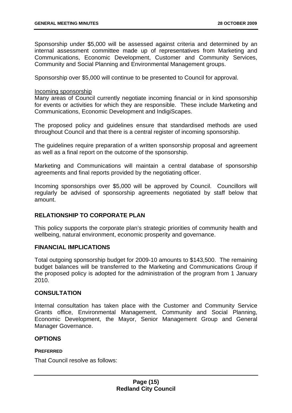Sponsorship under \$5,000 will be assessed against criteria and determined by an internal assessment committee made up of representatives from Marketing and Communications, Economic Development, Customer and Community Services, Community and Social Planning and Environmental Management groups.

Sponsorship over \$5,000 will continue to be presented to Council for approval.

#### Incoming sponsorship

Many areas of Council currently negotiate incoming financial or in kind sponsorship for events or activities for which they are responsible. These include Marketing and Communications, Economic Development and IndigiScapes.

The proposed policy and guidelines ensure that standardised methods are used throughout Council and that there is a central register of incoming sponsorship.

The guidelines require preparation of a written sponsorship proposal and agreement as well as a final report on the outcome of the sponsorship.

Marketing and Communications will maintain a central database of sponsorship agreements and final reports provided by the negotiating officer.

Incoming sponsorships over \$5,000 will be approved by Council. Councillors will regularly be advised of sponsorship agreements negotiated by staff below that amount.

#### **RELATIONSHIP TO CORPORATE PLAN**

This policy supports the corporate plan's strategic priorities of community health and wellbeing, natural environment, economic prosperity and governance.

#### **FINANCIAL IMPLICATIONS**

Total outgoing sponsorship budget for 2009-10 amounts to \$143,500. The remaining budget balances will be transferred to the Marketing and Communications Group if the proposed policy is adopted for the administration of the program from 1 January 2010.

#### **CONSULTATION**

Internal consultation has taken place with the Customer and Community Service Grants office, Environmental Management, Community and Social Planning, Economic Development, the Mayor, Senior Management Group and General Manager Governance.

#### **OPTIONS**

#### **PREFERRED**

That Council resolve as follows: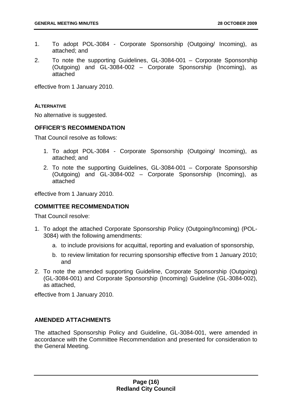- 1. To adopt POL-3084 Corporate Sponsorship (Outgoing/ Incoming), as attached; and
- 2. To note the supporting Guidelines, GL-3084-001 Corporate Sponsorship (Outgoing) and GL-3084-002 – Corporate Sponsorship (Incoming), as attached

effective from 1 January 2010.

#### **ALTERNATIVE**

No alternative is suggested.

#### **OFFICER'S RECOMMENDATION**

That Council resolve as follows:

- 1. To adopt POL-3084 Corporate Sponsorship (Outgoing/ Incoming), as attached; and
- 2. To note the supporting Guidelines, GL-3084-001 Corporate Sponsorship (Outgoing) and GL-3084-002 – Corporate Sponsorship (Incoming), as attached

effective from 1 January 2010.

#### **COMMITTEE RECOMMENDATION**

That Council resolve:

- 1. To adopt the attached Corporate Sponsorship Policy (Outgoing/Incoming) (POL-3084) with the following amendments:
	- a. to include provisions for acquittal, reporting and evaluation of sponsorship,
	- b. to review limitation for recurring sponsorship effective from 1 January 2010; and
- 2. To note the amended supporting Guideline, Corporate Sponsorship (Outgoing) (GL-3084-001) and Corporate Sponsorship (Incoming) Guideline (GL-3084-002), as attached,

effective from 1 January 2010.

#### **AMENDED ATTACHMENTS**

The attached Sponsorship Policy and Guideline, GL-3084-001, were amended in accordance with the Committee Recommendation and presented for consideration to the General Meeting.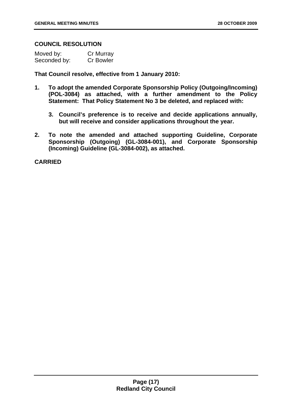#### **COUNCIL RESOLUTION**

| Moved by:    | Cr Murray        |
|--------------|------------------|
| Seconded by: | <b>Cr Bowler</b> |

**That Council resolve, effective from 1 January 2010:** 

- **1. To adopt the amended Corporate Sponsorship Policy (Outgoing/Incoming) (POL-3084) as attached, with a further amendment to the Policy Statement: That Policy Statement No 3 be deleted, and replaced with:** 
	- **3. Council's preference is to receive and decide applications annually, but will receive and consider applications throughout the year.**
- **2. To note the amended and attached supporting Guideline, Corporate Sponsorship (Outgoing) (GL-3084-001), and Corporate Sponsorship (Incoming) Guideline (GL-3084-002), as attached.**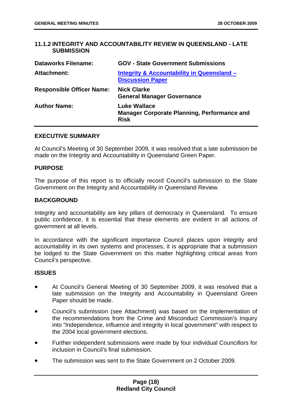#### <span id="page-18-0"></span>**11.1.2 INTEGRITY AND ACCOUNTABILITY REVIEW IN QUEENSLAND - LATE SUBMISSION**

| <b>Dataworks Filename:</b>       | <b>GOV - State Government Submissions</b>                                                |
|----------------------------------|------------------------------------------------------------------------------------------|
| Attachment:                      | Integrity & Accountability in Queensland -<br><b>Discussion Paper</b>                    |
| <b>Responsible Officer Name:</b> | <b>Nick Clarke</b><br><b>General Manager Governance</b>                                  |
| <b>Author Name:</b>              | <b>Luke Wallace</b><br><b>Manager Corporate Planning, Performance and</b><br><b>Risk</b> |

#### **EXECUTIVE SUMMARY**

At Council's Meeting of 30 September 2009, it was resolved that a late submission be made on the Integrity and Accountability in Queensland Green Paper.

#### **PURPOSE**

The purpose of this report is to officially record Council's submission to the State Government on the Integrity and Accountability in Queensland Review.

#### **BACKGROUND**

Integrity and accountability are key pillars of democracy in Queensland. To ensure public confidence, it is essential that these elements are evident in all actions of government at all levels.

In accordance with the significant importance Council places upon integrity and accountability in its own systems and processes, it is appropriate that a submission be lodged to the State Government on this matter highlighting critical areas from Council's perspective.

#### **ISSUES**

- At Council's General Meeting of 30 September 2009, it was resolved that a late submission on the Integrity and Accountability in Queensland Green Paper should be made.
- Council's submission (see Attachment) was based on the implementation of the recommendations from the Crime and Misconduct Commission's Inquiry into "Independence, influence and integrity in local government" with respect to the 2004 local government elections.
- Further independent submissions were made by four individual Councillors for inclusion in Council's final submission.
- The submission was sent to the State Government on 2 October 2009.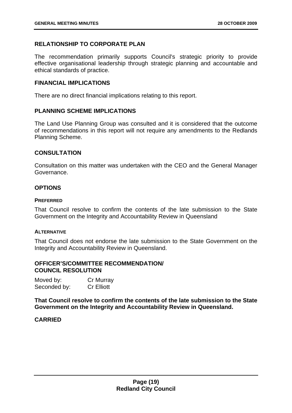#### **RELATIONSHIP TO CORPORATE PLAN**

The recommendation primarily supports Council's strategic priority to provide effective organisational leadership through strategic planning and accountable and ethical standards of practice.

#### **FINANCIAL IMPLICATIONS**

There are no direct financial implications relating to this report.

#### **PLANNING SCHEME IMPLICATIONS**

The Land Use Planning Group was consulted and it is considered that the outcome of recommendations in this report will not require any amendments to the Redlands Planning Scheme.

#### **CONSULTATION**

Consultation on this matter was undertaken with the CEO and the General Manager Governance.

#### **OPTIONS**

#### **PREFERRED**

That Council resolve to confirm the contents of the late submission to the State Government on the Integrity and Accountability Review in Queensland

#### **ALTERNATIVE**

That Council does not endorse the late submission to the State Government on the Integrity and Accountability Review in Queensland.

#### **OFFICER'S/COMMITTEE RECOMMENDATION/ COUNCIL RESOLUTION**

| Moved by:    | Cr Murray         |
|--------------|-------------------|
| Seconded by: | <b>Cr Elliott</b> |

**That Council resolve to confirm the contents of the late submission to the State Government on the Integrity and Accountability Review in Queensland.**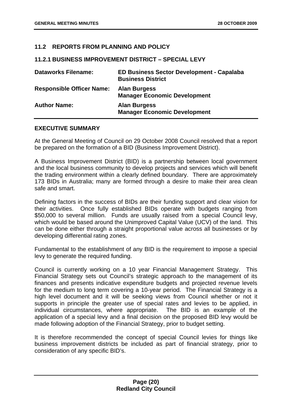#### <span id="page-20-0"></span>**11.2 REPORTS FROM PLANNING AND POLICY**

#### **11.2.1 BUSINESS IMPROVEMENT DISTRICT – SPECIAL LEVY**

| <b>Dataworks Filename:</b>       | <b>ED Business Sector Development - Capalaba</b><br><b>Business District</b> |
|----------------------------------|------------------------------------------------------------------------------|
| <b>Responsible Officer Name:</b> | <b>Alan Burgess</b><br><b>Manager Economic Development</b>                   |
| <b>Author Name:</b>              | <b>Alan Burgess</b><br><b>Manager Economic Development</b>                   |

#### **EXECUTIVE SUMMARY**

At the General Meeting of Council on 29 October 2008 Council resolved that a report be prepared on the formation of a BID (Business Improvement District).

A Business Improvement District (BID) is a partnership between local government and the local business community to develop projects and services which will benefit the trading environment within a clearly defined boundary. There are approximately 173 BIDs in Australia; many are formed through a desire to make their area clean safe and smart.

Defining factors in the success of BIDs are their funding support and clear vision for their activities. Once fully established BIDs operate with budgets ranging from \$50,000 to several million. Funds are usually raised from a special Council levy, which would be based around the Unimproved Capital Value (UCV) of the land. This can be done either through a straight proportional value across all businesses or by developing differential rating zones.

Fundamental to the establishment of any BID is the requirement to impose a special levy to generate the required funding.

Council is currently working on a 10 year Financial Management Strategy. This Financial Strategy sets out Council's strategic approach to the management of its finances and presents indicative expenditure budgets and projected revenue levels for the medium to long term covering a 10-year period. The Financial Strategy is a high level document and it will be seeking views from Council whether or not it supports in principle the greater use of special rates and levies to be applied, in individual circumstances, where appropriate. The BID is an example of the application of a special levy and a final decision on the proposed BID levy would be made following adoption of the Financial Strategy, prior to budget setting.

It is therefore recommended the concept of special Council levies for things like business improvement districts be included as part of financial strategy, prior to consideration of any specific BID's.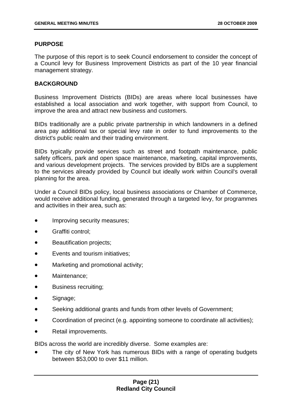#### **PURPOSE**

The purpose of this report is to seek Council endorsement to consider the concept of a Council levy for Business Improvement Districts as part of the 10 year financial management strategy.

#### **BACKGROUND**

Business Improvement Districts (BIDs) are areas where local businesses have established a local association and work together, with support from Council, to improve the area and attract new business and customers.

BIDs traditionally are a public private partnership in which landowners in a defined area pay additional tax or special levy rate in order to fund improvements to the district's public realm and their trading environment.

BIDs typically provide services such as street and footpath maintenance, public safety officers, park and open space maintenance, marketing, capital improvements, and various development projects. The services provided by BIDs are a supplement to the services already provided by Council but ideally work within Council's overall planning for the area.

Under a Council BIDs policy, local business associations or Chamber of Commerce, would receive additional funding, generated through a targeted levy, for programmes and activities in their area, such as:

- Improving security measures;
- Graffiti control;
- **Beautification projects;**
- Events and tourism initiatives;
- Marketing and promotional activity;
- Maintenance;
- Business recruiting;
- Signage:
- Seeking additional grants and funds from other levels of Government;
- Coordination of precinct (e.g. appointing someone to coordinate all activities):
- Retail improvements.

BIDs across the world are incredibly diverse. Some examples are:

The city of New York has numerous BIDs with a range of operating budgets between \$53,000 to over \$11 million.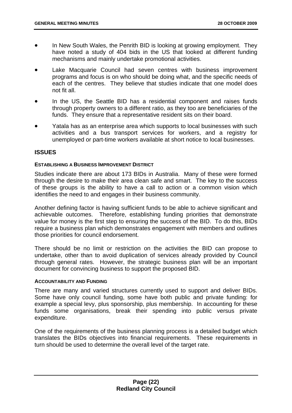- In New South Wales, the Penrith BID is looking at growing employment. They have noted a study of 404 bids in the US that looked at different funding mechanisms and mainly undertake promotional activities.
- Lake Macquarie Council had seven centres with business improvement programs and focus is on who should be doing what, and the specific needs of each of the centres. They believe that studies indicate that one model does not fit all.
- In the US, the Seattle BID has a residential component and raises funds through property owners to a different ratio, as they too are beneficiaries of the funds. They ensure that a representative resident sits on their board.
- Yatala has as an enterprise area which supports to local businesses with such activities and a bus transport services for workers, and a registry for unemployed or part-time workers available at short notice to local businesses.

#### **ISSUES**

#### **ESTABLISHING A BUSINESS IMPROVEMENT DISTRICT**

Studies indicate there are about 173 BIDs in Australia. Many of these were formed through the desire to make their area clean safe and smart. The key to the success of these groups is the ability to have a call to action or a common vision which identifies the need to and engages in their business community.

Another defining factor is having sufficient funds to be able to achieve significant and achievable outcomes. Therefore, establishing funding priorities that demonstrate value for money is the first step to ensuring the success of the BID. To do this, BIDs require a business plan which demonstrates engagement with members and outlines those priorities for council endorsement.

There should be no limit or restriction on the activities the BID can propose to undertake, other than to avoid duplication of services already provided by Council through general rates. However, the strategic business plan will be an important document for convincing business to support the proposed BID.

#### **ACCOUNTABILITY AND FUNDING**

There are many and varied structures currently used to support and deliver BIDs. Some have only council funding, some have both public and private funding: for example a special levy, plus sponsorship, plus membership. In accounting for these funds some organisations, break their spending into public versus private expenditure.

One of the requirements of the business planning process is a detailed budget which translates the BIDs objectives into financial requirements. These requirements in turn should be used to determine the overall level of the target rate.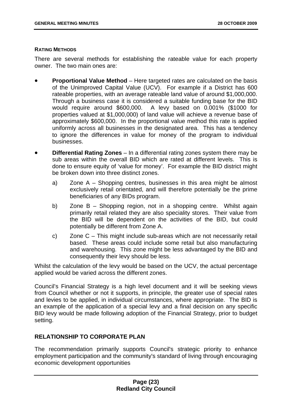#### **RATING METHODS**

There are several methods for establishing the rateable value for each property owner. The two main ones are:

- **Proportional Value Method** Here targeted rates are calculated on the basis of the Unimproved Capital Value (UCV). For example if a District has 600 rateable properties, with an average rateable land value of around \$1,000,000. Through a business case it is considered a suitable funding base for the BID would require around \$600,000. A levy based on 0.001% (\$1000 for properties valued at \$1,000,000) of land value will achieve a revenue base of approximately \$600,000. In the proportional value method this rate is applied uniformly across all businesses in the designated area. This has a tendency to ignore the differences in value for money of the program to individual businesses.
- **Differential Rating Zones** In a differential rating zones system there may be sub areas within the overall BID which are rated at different levels. This is done to ensure equity of 'value for money'. For example the BID district might be broken down into three distinct zones.
	- a) Zone A Shopping centres, businesses in this area might be almost exclusively retail orientated, and will therefore potentially be the prime beneficiaries of any BIDs program.
	- b) Zone B Shopping region, not in a shopping centre. Whilst again primarily retail related they are also speciality stores. Their value from the BID will be dependent on the activities of the BID, but could potentially be different from Zone A.
	- c) Zone C This might include sub-areas which are not necessarily retail based. These areas could include some retail but also manufacturing and warehousing. This zone might be less advantaged by the BID and consequently their levy should be less.

Whilst the calculation of the levy would be based on the UCV, the actual percentage applied would be varied across the different zones.

Council's Financial Strategy is a high level document and it will be seeking views from Council whether or not it supports, in principle, the greater use of special rates and levies to be applied, in individual circumstances, where appropriate. The BID is an example of the application of a special levy and a final decision on any specific BID levy would be made following adoption of the Financial Strategy, prior to budget setting.

#### **RELATIONSHIP TO CORPORATE PLAN**

The recommendation primarily supports Council's strategic priority to enhance employment participation and the community's standard of living through encouraging economic development opportunities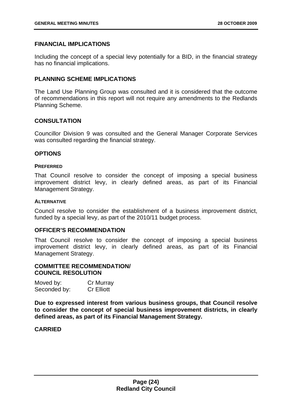#### **FINANCIAL IMPLICATIONS**

Including the concept of a special levy potentially for a BID, in the financial strategy has no financial implications.

#### **PLANNING SCHEME IMPLICATIONS**

The Land Use Planning Group was consulted and it is considered that the outcome of recommendations in this report will not require any amendments to the Redlands Planning Scheme.

#### **CONSULTATION**

Councillor Division 9 was consulted and the General Manager Corporate Services was consulted regarding the financial strategy.

#### **OPTIONS**

#### **PREFERRED**

That Council resolve to consider the concept of imposing a special business improvement district levy, in clearly defined areas, as part of its Financial Management Strategy.

#### **ALTERNATIVE**

Council resolve to consider the establishment of a business improvement district, funded by a special levy, as part of the 2010/11 budget process.

#### **OFFICER'S RECOMMENDATION**

That Council resolve to consider the concept of imposing a special business improvement district levy, in clearly defined areas, as part of its Financial Management Strategy.

#### **COMMITTEE RECOMMENDATION/ COUNCIL RESOLUTION**

| Moved by:    | Cr Murray         |
|--------------|-------------------|
| Seconded by: | <b>Cr Elliott</b> |

**Due to expressed interest from various business groups, that Council resolve to consider the concept of special business improvement districts, in clearly defined areas, as part of its Financial Management Strategy.**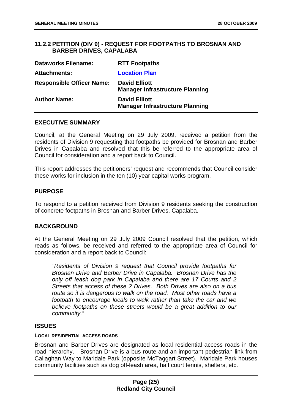#### <span id="page-25-0"></span>**11.2.2 PETITION (DIV 9) - REQUEST FOR FOOTPATHS TO BROSNAN AND BARBER DRIVES, CAPALABA**

| <b>Dataworks Filename:</b>       | <b>RTT Footpaths</b>                                           |
|----------------------------------|----------------------------------------------------------------|
| <b>Attachments:</b>              | <b>Location Plan</b>                                           |
| <b>Responsible Officer Name:</b> | <b>David Elliott</b><br><b>Manager Infrastructure Planning</b> |
| <b>Author Name:</b>              | <b>David Elliott</b><br><b>Manager Infrastructure Planning</b> |

#### **EXECUTIVE SUMMARY**

Council, at the General Meeting on 29 July 2009, received a petition from the residents of Division 9 requesting that footpaths be provided for Brosnan and Barber Drives in Capalaba and resolved that this be referred to the appropriate area of Council for consideration and a report back to Council.

This report addresses the petitioners' request and recommends that Council consider these works for inclusion in the ten (10) year capital works program.

#### **PURPOSE**

To respond to a petition received from Division 9 residents seeking the construction of concrete footpaths in Brosnan and Barber Drives, Capalaba.

#### **BACKGROUND**

At the General Meeting on 29 July 2009 Council resolved that the petition, which reads as follows, be received and referred to the appropriate area of Council for consideration and a report back to Council:

 *"Residents of Division 9 request that Council provide footpaths for Brosnan Drive and Barber Drive in Capalaba. Brosnan Drive has the only off leash dog park in Capalaba and there are 17 Courts and 2 Streets that access of these 2 Drives. Both Drives are also on a bus route so it is dangerous to walk on the road. Most other roads have a footpath to encourage locals to walk rather than take the car and we believe footpaths on these streets would be a great addition to our community."* 

#### **ISSUES**

#### **LOCAL RESIDENTIAL ACCESS ROADS**

Brosnan and Barber Drives are designated as local residential access roads in the road hierarchy. Brosnan Drive is a bus route and an important pedestrian link from Callaghan Way to Maridale Park (opposite McTaggart Street). Maridale Park houses community facilities such as dog off-leash area, half court tennis, shelters, etc.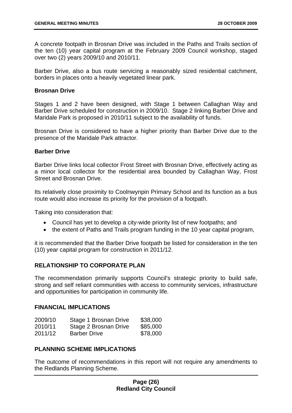A concrete footpath in Brosnan Drive was included in the Paths and Trails section of the ten (10) year capital program at the February 2009 Council workshop, staged over two (2) years 2009/10 and 2010/11.

Barber Drive, also a bus route servicing a reasonably sized residential catchment, borders in places onto a heavily vegetated linear park.

#### **Brosnan Drive**

Stages 1 and 2 have been designed, with Stage 1 between Callaghan Way and Barber Drive scheduled for construction in 2009/10. Stage 2 linking Barber Drive and Maridale Park is proposed in 2010/11 subject to the availability of funds.

Brosnan Drive is considered to have a higher priority than Barber Drive due to the presence of the Maridale Park attractor.

#### **Barber Drive**

Barber Drive links local collector Frost Street with Brosnan Drive, effectively acting as a minor local collector for the residential area bounded by Callaghan Way, Frost Street and Brosnan Drive.

Its relatively close proximity to Coolnwynpin Primary School and its function as a bus route would also increase its priority for the provision of a footpath.

Taking into consideration that:

- Council has yet to develop a city-wide priority list of new footpaths; and
- the extent of Paths and Trails program funding in the 10 year capital program,

it is recommended that the Barber Drive footpath be listed for consideration in the ten (10) year capital program for construction in 2011/12.

#### **RELATIONSHIP TO CORPORATE PLAN**

The recommendation primarily supports Council's strategic priority to build safe, strong and self reliant communities with access to community services, infrastructure and opportunities for participation in community life.

#### **FINANCIAL IMPLICATIONS**

| 2009/10 | Stage 1 Brosnan Drive | \$38,000 |
|---------|-----------------------|----------|
| 2010/11 | Stage 2 Brosnan Drive | \$85,000 |
| 2011/12 | <b>Barber Drive</b>   | \$78,000 |

#### **PLANNING SCHEME IMPLICATIONS**

The outcome of recommendations in this report will not require any amendments to the Redlands Planning Scheme.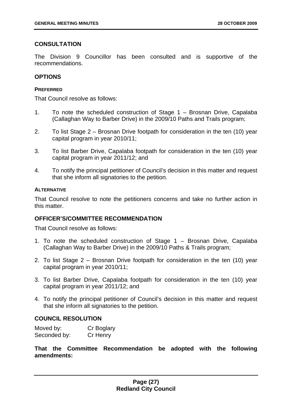#### **CONSULTATION**

The Division 9 Councillor has been consulted and is supportive of the recommendations.

#### **OPTIONS**

#### **PREFERRED**

That Council resolve as follows:

- 1. To note the scheduled construction of Stage 1 Brosnan Drive, Capalaba (Callaghan Way to Barber Drive) in the 2009/10 Paths and Trails program;
- 2. To list Stage 2 Brosnan Drive footpath for consideration in the ten (10) year capital program in year 2010/11;
- 3. To list Barber Drive, Capalaba footpath for consideration in the ten (10) year capital program in year 2011/12; and
- 4. To notify the principal petitioner of Council's decision in this matter and request that she inform all signatories to the petition.

#### **ALTERNATIVE**

That Council resolve to note the petitioners concerns and take no further action in this matter.

#### **OFFICER'S/COMMITTEE RECOMMENDATION**

That Council resolve as follows:

- 1. To note the scheduled construction of Stage 1 Brosnan Drive, Capalaba (Callaghan Way to Barber Drive) in the 2009/10 Paths & Trails program;
- 2. To list Stage 2 Brosnan Drive footpath for consideration in the ten (10) year capital program in year 2010/11;
- 3. To list Barber Drive, Capalaba footpath for consideration in the ten (10) year capital program in year 2011/12; and
- 4. To notify the principal petitioner of Council's decision in this matter and request that she inform all signatories to the petition.

#### **COUNCIL RESOLUTION**

| Moved by:    | Cr Boglary |
|--------------|------------|
| Seconded by: | Cr Henry   |

**That the Committee Recommendation be adopted with the following amendments:**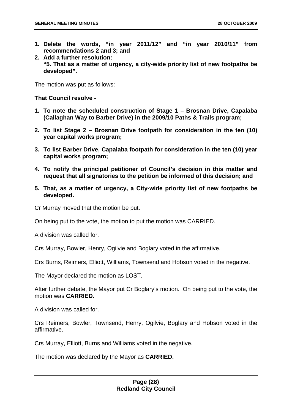- **1. Delete the words, "in year 2011/12" and "in year 2010/11" from recommendations 2 and 3; and**
- **2. Add a further resolution: "5. That as a matter of urgency, a city-wide priority list of new footpaths be developed".**

The motion was put as follows:

#### **That Council resolve -**

- **1. To note the scheduled construction of Stage 1 Brosnan Drive, Capalaba (Callaghan Way to Barber Drive) in the 2009/10 Paths & Trails program;**
- **2. To list Stage 2 Brosnan Drive footpath for consideration in the ten (10) year capital works program;**
- **3. To list Barber Drive, Capalaba footpath for consideration in the ten (10) year capital works program;**
- **4. To notify the principal petitioner of Council's decision in this matter and request that all signatories to the petition be informed of this decision; and**
- **5. That, as a matter of urgency, a City-wide priority list of new footpaths be developed.**

Cr Murray moved that the motion be put.

On being put to the vote, the motion to put the motion was CARRIED.

A division was called for.

Crs Murray, Bowler, Henry, Ogilvie and Boglary voted in the affirmative.

Crs Burns, Reimers, Elliott, Williams, Townsend and Hobson voted in the negative.

The Mayor declared the motion as LOST.

After further debate, the Mayor put Cr Boglary's motion. On being put to the vote, the motion was **CARRIED.** 

A division was called for.

Crs Reimers, Bowler, Townsend, Henry, Ogilvie, Boglary and Hobson voted in the affirmative.

Crs Murray, Elliott, Burns and Williams voted in the negative.

The motion was declared by the Mayor as **CARRIED.**

#### **Page (28) Redland City Council**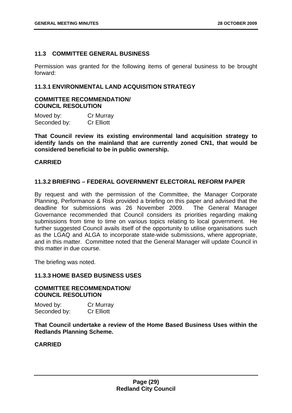#### <span id="page-29-0"></span>**11.3 COMMITTEE GENERAL BUSINESS**

Permission was granted for the following items of general business to be brought forward:

#### **11.3.1 ENVIRONMENTAL LAND ACQUISITION STRATEGY**

#### **COMMITTEE RECOMMENDATION/ COUNCIL RESOLUTION**

| Moved by:    | Cr Murray         |
|--------------|-------------------|
| Seconded by: | <b>Cr Elliott</b> |

**That Council review its existing environmental land acquisition strategy to identify lands on the mainland that are currently zoned CN1, that would be considered beneficial to be in public ownership.** 

#### **CARRIED**

#### **11.3.2 BRIEFING – FEDERAL GOVERNMENT ELECTORAL REFORM PAPER**

By request and with the permission of the Committee, the Manager Corporate Planning, Performance & Risk provided a briefing on this paper and advised that the deadline for submissions was 26 November 2009. The General Manager Governance recommended that Council considers its priorities regarding making submissions from time to time on various topics relating to local government. He further suggested Council avails itself of the opportunity to utilise organisations such as the LGAQ and ALGA to incorporate state-wide submissions, where appropriate, and in this matter. Committee noted that the General Manager will update Council in this matter in due course.

The briefing was noted.

#### **11.3.3 HOME BASED BUSINESS USES**

#### **COMMITTEE RECOMMENDATION/ COUNCIL RESOLUTION**

Moved by: Cr Murray Seconded by: Cr Elliott

**That Council undertake a review of the Home Based Business Uses within the Redlands Planning Scheme.**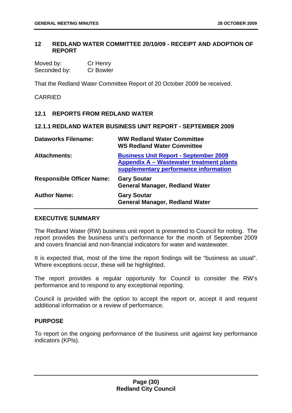#### <span id="page-30-0"></span>**12 REDLAND WATER COMMITTEE 20/10/09 - RECEIPT AND ADOPTION OF REPORT**

| Moved by:    | Cr Henry         |
|--------------|------------------|
| Seconded by: | <b>Cr Bowler</b> |

That the Redland Water Committee Report of 20 October 2009 be received.

#### CARRIED

#### **12.1 REPORTS FROM REDLAND WATER**

#### **12.1.1 REDLAND WATER BUSINESS UNIT REPORT - SEPTEMBER 2009**

| <b>Dataworks Filename:</b>       | <b>WW Redland Water Committee</b><br><b>WS Redland Water Committee</b>                                                            |
|----------------------------------|-----------------------------------------------------------------------------------------------------------------------------------|
| <b>Attachments:</b>              | <b>Business Unit Report - September 2009</b><br>Appendix A - Wastewater treatment plants<br>supplementary performance information |
| <b>Responsible Officer Name:</b> | <b>Gary Soutar</b><br><b>General Manager, Redland Water</b>                                                                       |
| <b>Author Name:</b>              | <b>Gary Soutar</b><br><b>General Manager, Redland Water</b>                                                                       |

#### **EXECUTIVE SUMMARY**

The Redland Water (RW) business unit report is presented to Council for noting. The report provides the business unit's performance for the month of September 2009 and covers financial and non-financial indicators for water and wastewater.

It is expected that, most of the time the report findings will be "business as usual". Where exceptions occur, these will be highlighted.

The report provides a regular opportunity for Council to consider the RW's performance and to respond to any exceptional reporting.

Council is provided with the option to accept the report or, accept it and request additional information or a review of performance.

#### **PURPOSE**

To report on the ongoing performance of the business unit against key performance indicators (KPIs).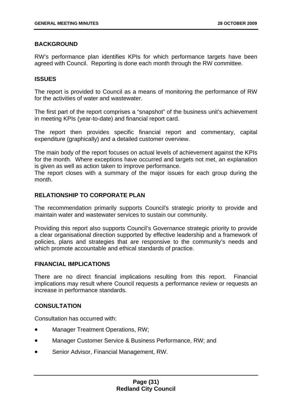#### **BACKGROUND**

RW's performance plan identifies KPIs for which performance targets have been agreed with Council. Reporting is done each month through the RW committee.

#### **ISSUES**

The report is provided to Council as a means of monitoring the performance of RW for the activities of water and wastewater.

The first part of the report comprises a "snapshot" of the business unit's achievement in meeting KPIs (year-to-date) and financial report card.

The report then provides specific financial report and commentary, capital expenditure (graphically) and a detailed customer overview.

The main body of the report focuses on actual levels of achievement against the KPIs for the month. Where exceptions have occurred and targets not met, an explanation is given as well as action taken to improve performance.

The report closes with a summary of the major issues for each group during the month.

#### **RELATIONSHIP TO CORPORATE PLAN**

The recommendation primarily supports Council's strategic priority to provide and maintain water and wastewater services to sustain our community.

Providing this report also supports Council's Governance strategic priority to provide a clear organisational direction supported by effective leadership and a framework of policies, plans and strategies that are responsive to the community's needs and which promote accountable and ethical standards of practice.

#### **FINANCIAL IMPLICATIONS**

There are no direct financial implications resulting from this report. Financial implications may result where Council requests a performance review or requests an increase in performance standards.

#### **CONSULTATION**

Consultation has occurred with:

- Manager Treatment Operations, RW;
- Manager Customer Service & Business Performance, RW; and
- Senior Advisor, Financial Management, RW.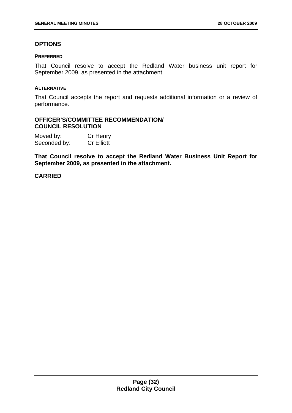#### **OPTIONS**

#### **PREFERRED**

That Council resolve to accept the Redland Water business unit report for September 2009, as presented in the attachment.

#### **ALTERNATIVE**

That Council accepts the report and requests additional information or a review of performance.

#### **OFFICER'S/COMMITTEE RECOMMENDATION/ COUNCIL RESOLUTION**

| Moved by:    | Cr Henry          |
|--------------|-------------------|
| Seconded by: | <b>Cr Elliott</b> |

**That Council resolve to accept the Redland Water Business Unit Report for September 2009, as presented in the attachment.**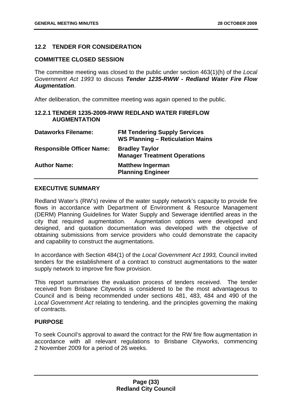#### <span id="page-33-0"></span>**12.2 TENDER FOR CONSIDERATION**

#### **COMMITTEE CLOSED SESSION**

The committee meeting was closed to the public under section 463(1)(h) of the *Local Government Act 1993* to discuss *Tender 1235-RWW - Redland Water Fire Flow Augmentation*.

After deliberation, the committee meeting was again opened to the public.

#### **12.2.1 TENDER 1235-2009-RWW REDLAND WATER FIREFLOW AUGMENTATION**

| <b>Dataworks Filename:</b>       | <b>FM Tendering Supply Services</b><br><b>WS Planning - Reticulation Mains</b> |
|----------------------------------|--------------------------------------------------------------------------------|
| <b>Responsible Officer Name:</b> | <b>Bradley Taylor</b><br><b>Manager Treatment Operations</b>                   |
| <b>Author Name:</b>              | <b>Matthew Ingerman</b><br><b>Planning Engineer</b>                            |

#### **EXECUTIVE SUMMARY**

Redland Water's (RW's) review of the water supply network's capacity to provide fire flows in accordance with Department of Environment & Resource Management (DERM) Planning Guidelines for Water Supply and Sewerage identified areas in the city that required augmentation. Augmentation options were developed and designed, and quotation documentation was developed with the objective of obtaining submissions from service providers who could demonstrate the capacity and capability to construct the augmentations.

In accordance with Section 484(1) of the *Local Government Act 1993,* Council invited tenders for the establishment of a contract to construct augmentations to the water supply network to improve fire flow provision.

This report summarises the evaluation process of tenders received. The tender received from Brisbane Cityworks is considered to be the most advantageous to Council and is being recommended under sections 481, 483, 484 and 490 of the *Local Government Act* relating to tendering, and the principles governing the making of contracts.

#### **PURPOSE**

To seek Council's approval to award the contract for the RW fire flow augmentation in accordance with all relevant regulations to Brisbane Cityworks, commencing 2 November 2009 for a period of 26 weeks.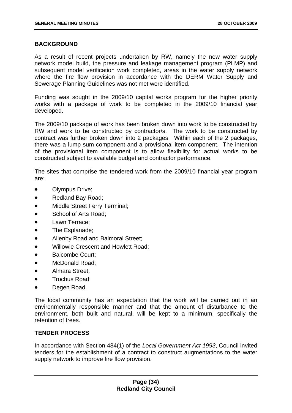#### **BACKGROUND**

As a result of recent projects undertaken by RW, namely the new water supply network model build, the pressure and leakage management program (PLMP) and subsequent model verification work completed, areas in the water supply network where the fire flow provision in accordance with the DERM Water Supply and Sewerage Planning Guidelines was not met were identified.

Funding was sought in the 2009/10 capital works program for the higher priority works with a package of work to be completed in the 2009/10 financial year developed.

The 2009/10 package of work has been broken down into work to be constructed by RW and work to be constructed by contractor/s. The work to be constructed by contract was further broken down into 2 packages. Within each of the 2 packages, there was a lump sum component and a provisional item component. The intention of the provisional item component is to allow flexibility for actual works to be constructed subject to available budget and contractor performance.

The sites that comprise the tendered work from the 2009/10 financial year program are:

- Olympus Drive;
- Redland Bay Road;
- Middle Street Ferry Terminal;
- School of Arts Road;
- Lawn Terrace:
- The Esplanade:
- Allenby Road and Balmoral Street;
- Willowie Crescent and Howlett Road;
- Balcombe Court;
- McDonald Road;
- Almara Street;
- Trochus Road:
- Degen Road.

The local community has an expectation that the work will be carried out in an environmentally responsible manner and that the amount of disturbance to the environment, both built and natural, will be kept to a minimum, specifically the retention of trees.

#### **TENDER PROCESS**

In accordance with Section 484(1) of the *Local Government Act 1993*, Council invited tenders for the establishment of a contract to construct augmentations to the water supply network to improve fire flow provision.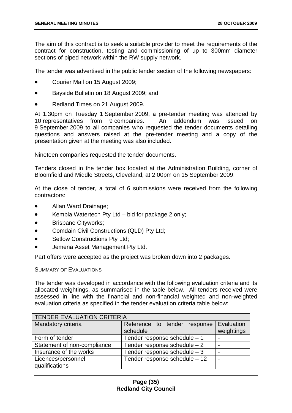The aim of this contract is to seek a suitable provider to meet the requirements of the contract for construction, testing and commissioning of up to 300mm diameter sections of piped network within the RW supply network.

The tender was advertised in the public tender section of the following newspapers:

- Courier Mail on 15 August 2009;
- Bayside Bulletin on 18 August 2009; and
- Redland Times on 21 August 2009.

At 1.30pm on Tuesday 1 September 2009, a pre-tender meeting was attended by 10 representatives from 9 companies. An addendum was issued on 9 September 2009 to all companies who requested the tender documents detailing questions and answers raised at the pre-tender meeting and a copy of the presentation given at the meeting was also included.

Nineteen companies requested the tender documents.

Tenders closed in the tender box located at the Administration Building, corner of Bloomfield and Middle Streets, Cleveland, at 2.00pm on 15 September 2009.

At the close of tender, a total of 6 submissions were received from the following contractors:

- Allan Ward Drainage;
- Kembla Watertech Pty Ltd bid for package 2 only;
- Brisbane Cityworks;
- Comdain Civil Constructions (QLD) Pty Ltd;
- Setlow Constructions Pty Ltd:
- Jemena Asset Management Pty Ltd.

Part offers were accepted as the project was broken down into 2 packages.

SUMMARY OF EVALUATIONS

The tender was developed in accordance with the following evaluation criteria and its allocated weightings, as summarised in the table below. All tenders received were assessed in line with the financial and non-financial weighted and non-weighted evaluation criteria as specified in the tender evaluation criteria table below:

| <b>TENDER EVALUATION CRITERIA</b> |                                          |                          |  |  |
|-----------------------------------|------------------------------------------|--------------------------|--|--|
| Mandatory criteria                | Reference to tender response<br>schedule | Evaluation<br>weightings |  |  |
| Form of tender                    | Tender response schedule $-1$            |                          |  |  |
| Statement of non-compliance       | Tender response schedule $-2$            |                          |  |  |
| Insurance of the works            | Tender response schedule $-3$            |                          |  |  |
| Licences/personnel                | Tender response schedule - 12            |                          |  |  |
| qualifications                    |                                          |                          |  |  |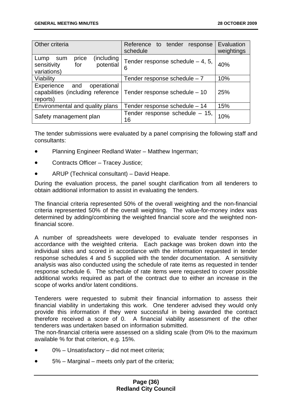| <b>Other criteria</b>                                                                                                     | Reference to tender<br>response<br>schedule | Evaluation<br>weightings |
|---------------------------------------------------------------------------------------------------------------------------|---------------------------------------------|--------------------------|
| (including<br>price<br>Lump<br>sum<br>potential<br>sensitivity<br>for<br>variations)                                      | Tender response schedule $-4$ , 5,<br>6     | 40%                      |
| Viability                                                                                                                 | Tender response schedule $-7$               | 10%                      |
| operational<br>Experience<br>and<br>capabilities (including reference<br>Tender response schedule - 10<br>25%<br>reports) |                                             |                          |
| Environmental and quality plans                                                                                           | Tender response schedule - 14               | 15%                      |
| Safety management plan                                                                                                    | Tender response schedule $-15$ ,<br>16      | 10%                      |

The tender submissions were evaluated by a panel comprising the following staff and consultants:

- Planning Engineer Redland Water Matthew Ingerman;
- Contracts Officer Tracey Justice;
- ARUP (Technical consultant) David Heape.

During the evaluation process, the panel sought clarification from all tenderers to obtain additional information to assist in evaluating the tenders.

The financial criteria represented 50% of the overall weighting and the non-financial criteria represented 50% of the overall weighting. The value-for-money index was determined by adding/combining the weighted financial score and the weighted nonfinancial score.

A number of spreadsheets were developed to evaluate tender responses in accordance with the weighted criteria. Each package was broken down into the individual sites and scored in accordance with the information requested in tender response schedules 4 and 5 supplied with the tender documentation. A sensitivity analysis was also conducted using the schedule of rate items as requested in tender response schedule 6. The schedule of rate items were requested to cover possible additional works required as part of the contract due to either an increase in the scope of works and/or latent conditions.

Tenderers were requested to submit their financial information to assess their financial viability in undertaking this work. One tenderer advised they would only provide this information if they were successful in being awarded the contract therefore received a score of 0. A financial viability assessment of the other tenderers was undertaken based on information submitted.

The non-financial criteria were assessed on a sliding scale (from 0% to the maximum available % for that criterion, e.g. 15%.

- 0% Unsatisfactory did not meet criteria;
- 5% Marginal meets only part of the criteria;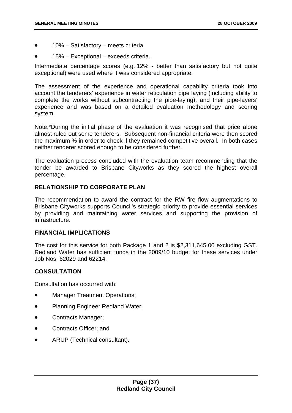- 10% Satisfactory meets criteria;
- 15% Exceptional exceeds criteria.

Intermediate percentage scores (e.g. 12% - better than satisfactory but not quite exceptional) were used where it was considered appropriate.

The assessment of the experience and operational capability criteria took into account the tenderers' experience in water reticulation pipe laying (including ability to complete the works without subcontracting the pipe-laying), and their pipe-layers' experience and was based on a detailed evaluation methodology and scoring system.

Note:\*During the initial phase of the evaluation it was recognised that price alone almost ruled out some tenderers. Subsequent non-financial criteria were then scored the maximum % in order to check if they remained competitive overall. In both cases neither tenderer scored enough to be considered further.

The evaluation process concluded with the evaluation team recommending that the tender be awarded to Brisbane Cityworks as they scored the highest overall percentage.

# **RELATIONSHIP TO CORPORATE PLAN**

The recommendation to award the contract for the RW fire flow augmentations to Brisbane Cityworks supports Council's strategic priority to provide essential services by providing and maintaining water services and supporting the provision of infrastructure.

## **FINANCIAL IMPLICATIONS**

The cost for this service for both Package 1 and 2 is \$2,311,645.00 excluding GST. Redland Water has sufficient funds in the 2009/10 budget for these services under Job Nos. 62029 and 62214.

## **CONSULTATION**

Consultation has occurred with:

- Manager Treatment Operations;
- Planning Engineer Redland Water;
- Contracts Manager;
- Contracts Officer; and
- ARUP (Technical consultant).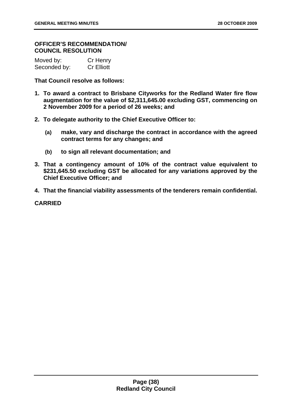## **OFFICER'S RECOMMENDATION/ COUNCIL RESOLUTION**

| Moved by:    | Cr Henry          |
|--------------|-------------------|
| Seconded by: | <b>Cr Elliott</b> |

**That Council resolve as follows:** 

- **1. To award a contract to Brisbane Cityworks for the Redland Water fire flow augmentation for the value of \$2,311,645.00 excluding GST, commencing on 2 November 2009 for a period of 26 weeks; and**
- **2. To delegate authority to the Chief Executive Officer to:** 
	- **(a) make, vary and discharge the contract in accordance with the agreed contract terms for any changes; and**
	- **(b) to sign all relevant documentation; and**
- **3. That a contingency amount of 10% of the contract value equivalent to \$231,645.50 excluding GST be allocated for any variations approved by the Chief Executive Officer; and**
- **4. That the financial viability assessments of the tenderers remain confidential.**

**CARRIED**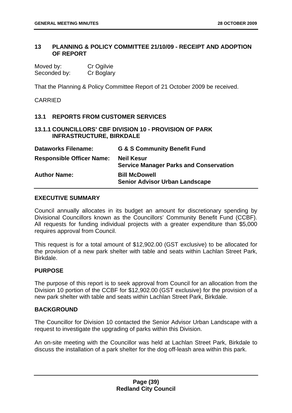## **13 PLANNING & POLICY COMMITTEE 21/10/09 - RECEIPT AND ADOPTION OF REPORT**

| Moved by:    | Cr Ogilvie |
|--------------|------------|
| Seconded by: | Cr Boglary |

That the Planning & Policy Committee Report of 21 October 2009 be received.

CARRIED

# **13.1 REPORTS FROM CUSTOMER SERVICES**

# **13.1.1 COUNCILLORS' CBF DIVISION 10 - PROVISION OF PARK INFRASTRUCTURE, BIRKDALE**

| <b>Dataworks Filename:</b>       | <b>G &amp; S Community Benefit Fund</b>                            |
|----------------------------------|--------------------------------------------------------------------|
| <b>Responsible Officer Name:</b> | <b>Neil Kesur</b><br><b>Service Manager Parks and Conservation</b> |
| <b>Author Name:</b>              | <b>Bill McDowell</b><br><b>Senior Advisor Urban Landscape</b>      |

## **EXECUTIVE SUMMARY**

Council annually allocates in its budget an amount for discretionary spending by Divisional Councillors known as the Councillors' Community Benefit Fund (CCBF). All requests for funding individual projects with a greater expenditure than \$5,000 requires approval from Council.

This request is for a total amount of \$12,902.00 (GST exclusive) to be allocated for the provision of a new park shelter with table and seats within Lachlan Street Park, Birkdale.

## **PURPOSE**

The purpose of this report is to seek approval from Council for an allocation from the Division 10 portion of the CCBF for \$12,902.00 (GST exclusive) for the provision of a new park shelter with table and seats within Lachlan Street Park, Birkdale.

## **BACKGROUND**

The Councillor for Division 10 contacted the Senior Advisor Urban Landscape with a request to investigate the upgrading of parks within this Division.

An on-site meeting with the Councillor was held at Lachlan Street Park, Birkdale to discuss the installation of a park shelter for the dog off-leash area within this park.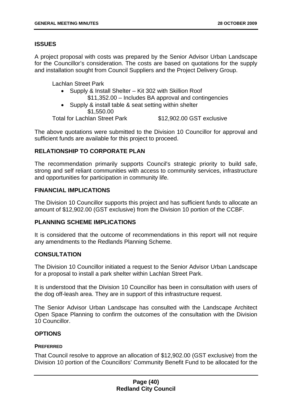# **ISSUES**

A project proposal with costs was prepared by the Senior Advisor Urban Landscape for the Councillor's consideration. The costs are based on quotations for the supply and installation sought from Council Suppliers and the Project Delivery Group.

Lachlan Street Park

- Supply & Install Shelter Kit 302 with Skillion Roof \$11,352.00 – Includes BA approval and contingencies
- Supply & install table & seat setting within shelter \$1,550.00

Total for Lachlan Street Park \$12,902.00 GST exclusive

The above quotations were submitted to the Division 10 Councillor for approval and sufficient funds are available for this project to proceed.

# **RELATIONSHIP TO CORPORATE PLAN**

The recommendation primarily supports Council's strategic priority to build safe, strong and self reliant communities with access to community services, infrastructure and opportunities for participation in community life.

# **FINANCIAL IMPLICATIONS**

The Division 10 Councillor supports this project and has sufficient funds to allocate an amount of \$12,902.00 (GST exclusive) from the Division 10 portion of the CCBF.

# **PLANNING SCHEME IMPLICATIONS**

It is considered that the outcome of recommendations in this report will not require any amendments to the Redlands Planning Scheme.

# **CONSULTATION**

The Division 10 Councillor initiated a request to the Senior Advisor Urban Landscape for a proposal to install a park shelter within Lachlan Street Park.

It is understood that the Division 10 Councillor has been in consultation with users of the dog off-leash area. They are in support of this infrastructure request.

The Senior Advisor Urban Landscape has consulted with the Landscape Architect Open Space Planning to confirm the outcomes of the consultation with the Division 10 Councillor.

## **OPTIONS**

## **PREFERRED**

That Council resolve to approve an allocation of \$12,902.00 (GST exclusive) from the Division 10 portion of the Councillors' Community Benefit Fund to be allocated for the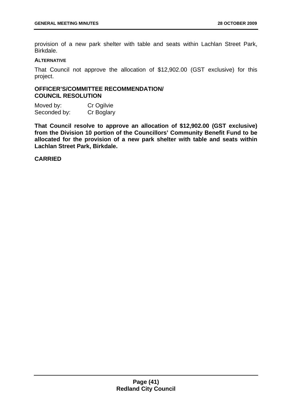provision of a new park shelter with table and seats within Lachlan Street Park, Birkdale.

#### **ALTERNATIVE**

That Council not approve the allocation of \$12,902.00 (GST exclusive) for this project.

# **OFFICER'S/COMMITTEE RECOMMENDATION/ COUNCIL RESOLUTION**

Moved by: Cr Ogilvie Seconded by: Cr Boglary

**That Council resolve to approve an allocation of \$12,902.00 (GST exclusive) from the Division 10 portion of the Councillors' Community Benefit Fund to be allocated for the provision of a new park shelter with table and seats within Lachlan Street Park, Birkdale.** 

## **CARRIED**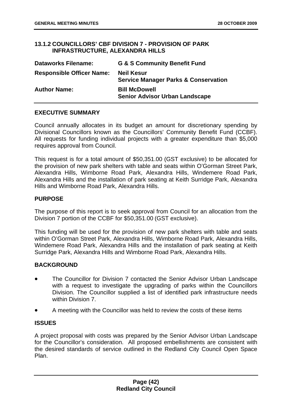# **13.1.2 COUNCILLORS' CBF DIVISION 7 - PROVISION OF PARK INFRASTRUCTURE, ALEXANDRA HILLS**

| <b>Dataworks Filename:</b>       | <b>G &amp; S Community Benefit Fund</b>                              |
|----------------------------------|----------------------------------------------------------------------|
| <b>Responsible Officer Name:</b> | <b>Neil Kesur</b><br><b>Service Manager Parks &amp; Conservation</b> |
| <b>Author Name:</b>              | <b>Bill McDowell</b><br><b>Senior Advisor Urban Landscape</b>        |

# **EXECUTIVE SUMMARY**

Council annually allocates in its budget an amount for discretionary spending by Divisional Councillors known as the Councillors' Community Benefit Fund (CCBF). All requests for funding individual projects with a greater expenditure than \$5,000 requires approval from Council.

This request is for a total amount of \$50,351.00 (GST exclusive) to be allocated for the provision of new park shelters with table and seats within O'Gorman Street Park, Alexandra Hills, Wimborne Road Park, Alexandra Hills, Windemere Road Park, Alexandra Hills and the installation of park seating at Keith Surridge Park, Alexandra Hills and Wimborne Road Park, Alexandra Hills.

# **PURPOSE**

The purpose of this report is to seek approval from Council for an allocation from the Division 7 portion of the CCBF for \$50,351.00 (GST exclusive).

This funding will be used for the provision of new park shelters with table and seats within O'Gorman Street Park, Alexandra Hills, Wimborne Road Park, Alexandra Hills, Windemere Road Park, Alexandra Hills and the installation of park seating at Keith Surridge Park, Alexandra Hills and Wimborne Road Park, Alexandra Hills.

# **BACKGROUND**

- The Councillor for Division 7 contacted the Senior Advisor Urban Landscape with a request to investigate the upgrading of parks within the Councillors Division. The Councillor supplied a list of identified park infrastructure needs within Division 7.
- A meeting with the Councillor was held to review the costs of these items

# **ISSUES**

A project proposal with costs was prepared by the Senior Advisor Urban Landscape for the Councillor's consideration. All proposed embellishments are consistent with the desired standards of service outlined in the Redland City Council Open Space Plan.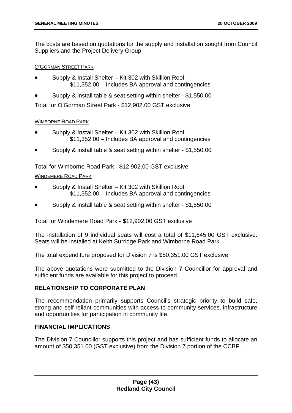The costs are based on quotations for the supply and installation sought from Council Suppliers and the Project Delivery Group.

## O'GORMAN STREET PARK

- Supply & Install Shelter Kit 302 with Skillion Roof \$11,352.00 – Includes BA approval and contingencies
- Supply & install table & seat setting within shelter \$1,550.00

Total for O'Gorman Street Park - \$12,902.00 GST exclusive

## WIMBORNE ROAD PARK

- Supply & Install Shelter Kit 302 with Skillion Roof \$11,352.00 – Includes BA approval and contingencies
- Supply & install table & seat setting within shelter \$1,550.00

Total for Wimborne Road Park - \$12,902.00 GST exclusive

# WINDEMERE ROAD PARK

- Supply & Install Shelter Kit 302 with Skillion Roof \$11,352.00 – Includes BA approval and contingencies
- Supply & install table & seat setting within shelter \$1,550.00

Total for Windemere Road Park - \$12,902.00 GST exclusive

The installation of 9 individual seats will cost a total of \$11,645.00 GST exclusive. Seats will be installed at Keith Surridge Park and Wimborne Road Park.

The total expenditure proposed for Division 7 is \$50,351.00 GST exclusive.

The above quotations were submitted to the Division 7 Councillor for approval and sufficient funds are available for this project to proceed.

# **RELATIONSHIP TO CORPORATE PLAN**

The recommendation primarily supports Council's strategic priority to build safe, strong and self reliant communities with access to community services, infrastructure and opportunities for participation in community life.

# **FINANCIAL IMPLICATIONS**

The Division 7 Councillor supports this project and has sufficient funds to allocate an amount of \$50,351.00 (GST exclusive) from the Division 7 portion of the CCBF.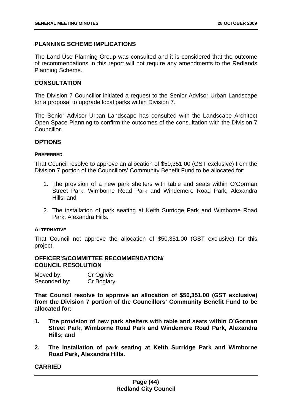# **PLANNING SCHEME IMPLICATIONS**

The Land Use Planning Group was consulted and it is considered that the outcome of recommendations in this report will not require any amendments to the Redlands Planning Scheme.

## **CONSULTATION**

The Division 7 Councillor initiated a request to the Senior Advisor Urban Landscape for a proposal to upgrade local parks within Division 7.

The Senior Advisor Urban Landscape has consulted with the Landscape Architect Open Space Planning to confirm the outcomes of the consultation with the Division 7 Councillor.

## **OPTIONS**

#### **PREFERRED**

That Council resolve to approve an allocation of \$50,351.00 (GST exclusive) from the Division 7 portion of the Councillors' Community Benefit Fund to be allocated for:

- 1. The provision of a new park shelters with table and seats within O'Gorman Street Park, Wimborne Road Park and Windemere Road Park, Alexandra Hills; and
- 2. The installation of park seating at Keith Surridge Park and Wimborne Road Park, Alexandra Hills.

## **ALTERNATIVE**

That Council not approve the allocation of \$50,351.00 (GST exclusive) for this project.

## **OFFICER'S/COMMITTEE RECOMMENDATION/ COUNCIL RESOLUTION**

| Moved by:    | Cr Ogilvie |
|--------------|------------|
| Seconded by: | Cr Boglary |

**That Council resolve to approve an allocation of \$50,351.00 (GST exclusive) from the Division 7 portion of the Councillors' Community Benefit Fund to be allocated for:** 

- **1. The provision of new park shelters with table and seats within O'Gorman Street Park, Wimborne Road Park and Windemere Road Park, Alexandra Hills; and**
- **2. The installation of park seating at Keith Surridge Park and Wimborne Road Park, Alexandra Hills.**

**CARRIED**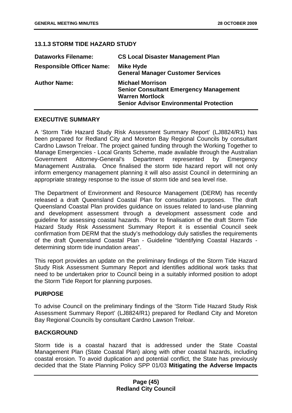# **13.1.3 STORM TIDE HAZARD STUDY**

| <b>Dataworks Filename:</b>       | <b>CS Local Disaster Management Plan</b>                                                                                                             |
|----------------------------------|------------------------------------------------------------------------------------------------------------------------------------------------------|
| <b>Responsible Officer Name:</b> | <b>Mike Hyde</b><br><b>General Manager Customer Services</b>                                                                                         |
| <b>Author Name:</b>              | <b>Michael Morrison</b><br><b>Senior Consultant Emergency Management</b><br><b>Warren Mortlock</b><br><b>Senior Advisor Environmental Protection</b> |

# **EXECUTIVE SUMMARY**

A 'Storm Tide Hazard Study Risk Assessment Summary Report' (LJ8824/R1) has been prepared for Redland City and Moreton Bay Regional Councils by consultant Cardno Lawson Treloar. The project gained funding through the Working Together to Manage Emergencies - Local Grants Scheme, made available through the Australian Government Attorney-General's Department represented by Emergency Management Australia. Once finalised the storm tide hazard report will not only inform emergency management planning it will also assist Council in determining an appropriate strategy response to the issue of storm tide and sea level rise.

The Department of Environment and Resource Management (DERM) has recently released a draft Queensland Coastal Plan for consultation purposes. The draft Queensland Coastal Plan provides guidance on issues related to land-use planning and development assessment through a development assessment code and guideline for assessing coastal hazards. Prior to finalisation of the draft Storm Tide Hazard Study Risk Assessment Summary Report it is essential Council seek confirmation from DERM that the study's methodology duly satisfies the requirements of the draft Queensland Coastal Plan - Guideline "Identifying Coastal Hazards determining storm tide inundation areas".

This report provides an update on the preliminary findings of the Storm Tide Hazard Study Risk Assessment Summary Report and identifies additional work tasks that need to be undertaken prior to Council being in a suitably informed position to adopt the Storm Tide Report for planning purposes.

## **PURPOSE**

To advise Council on the preliminary findings of the 'Storm Tide Hazard Study Risk Assessment Summary Report' (LJ8824/R1) prepared for Redland City and Moreton Bay Regional Councils by consultant Cardno Lawson Treloar.

# **BACKGROUND**

Storm tide is a coastal hazard that is addressed under the State Coastal Management Plan (State Coastal Plan) along with other coastal hazards, including coastal erosion. To avoid duplication and potential conflict, the State has previously decided that the State Planning Policy SPP 01/03 **Mitigating the Adverse Impacts**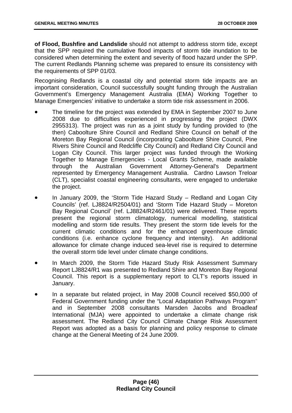**of Flood, Bushfire and Landslide** should not attempt to address storm tide, except that the SPP required the cumulative flood impacts of storm tide inundation to be considered when determining the extent and severity of flood hazard under the SPP. The current Redlands Planning scheme was prepared to ensure its consistency with the requirements of SPP 01/03.

Recognising Redlands is a coastal city and potential storm tide impacts are an important consideration, Council successfully sought funding through the Australian Government's Emergency Management Australia (EMA) Working Together to Manage Emergencies' initiative to undertake a storm tide risk assessment in 2006.

- The timeline for the project was extended by EMA in September 2007 to June 2008 due to difficulties experienced in progressing the project (DWX 2955313). The project was run as a joint study by funding provided to (the then) Caboolture Shire Council and Redland Shire Council on behalf of the Moreton Bay Regional Council (incorporating Caboolture Shire Council, Pine Rivers Shire Council and Redcliffe City Council) and Redland City Council and Logan City Council. This larger project was funded through the Working Together to Manage Emergencies - Local Grants Scheme, made available through the Australian Government Attorney-General's Department represented by Emergency Management Australia. Cardno Lawson Treloar (CLT), specialist coastal engineering consultants, were engaged to undertake the project.
- In January 2009, the 'Storm Tide Hazard Study Redland and Logan City Councils' (ref. LJ8824/R2504/01) and 'Storm Tide Hazard Study – Moreton Bay Regional Council' (ref. LJ8824/R2461/01) were delivered. These reports present the regional storm climatology, numerical modelling, statistical modelling and storm tide results. They present the storm tide levels for the current climatic conditions and for the enhanced greenhouse climatic conditions (i.e. enhance cyclone frequency and intensity). An additional allowance for climate change induced sea-level rise is required to determine the overall storm tide level under climate change conditions.
- In March 2009, the Storm Tide Hazard Study Risk Assessment Summary Report LJ8824/R1 was presented to Redland Shire and Moreton Bay Regional Council. This report is a supplementary report to CLT's reports issued in January.
- In a separate but related project, in May 2008 Council received \$50,000 of Federal Government funding under the "Local Adaptation Pathways Program" and in September 2008 consultants Marsden Jacobs and Broadleaf International (MJA) were appointed to undertake a climate change risk assessment. The Redland City Council Climate Change Risk Assessment Report was adopted as a basis for planning and policy response to climate change at the General Meeting of 24 June 2009.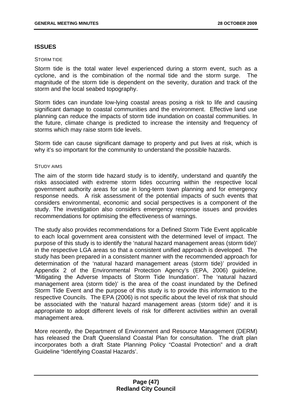## **ISSUES**

#### STORM TIDE

Storm tide is the total water level experienced during a storm event, such as a cyclone, and is the combination of the normal tide and the storm surge. The magnitude of the storm tide is dependent on the severity, duration and track of the storm and the local seabed topography.

Storm tides can inundate low-lying coastal areas posing a risk to life and causing significant damage to coastal communities and the environment. Effective land use planning can reduce the impacts of storm tide inundation on coastal communities. In the future, climate change is predicted to increase the intensity and frequency of storms which may raise storm tide levels.

Storm tide can cause significant damage to property and put lives at risk, which is why it's so important for the community to understand the possible hazards.

#### STUDY AIMS

The aim of the storm tide hazard study is to identify, understand and quantify the risks associated with extreme storm tides occurring within the respective local government authority areas for use in long-term town planning and for emergency response needs. A risk assessment of the potential impacts of such events that considers environmental, economic and social perspectives is a component of the study. The investigation also considers emergency response issues and provides recommendations for optimising the effectiveness of warnings.

The study also provides recommendations for a Defined Storm Tide Event applicable to each local government area consistent with the determined level of impact. The purpose of this study is to identify the 'natural hazard management areas (storm tide)' in the respective LGA areas so that a consistent unified approach is developed. The study has been prepared in a consistent manner with the recommended approach for determination of the 'natural hazard management areas (storm tide)' provided in Appendix 2 of the Environmental Protection Agency's (EPA, 2006) guideline, 'Mitigating the Adverse Impacts of Storm Tide Inundation'. The 'natural hazard management area (storm tide)' is the area of the coast inundated by the Defined Storm Tide Event and the purpose of this study is to provide this information to the respective Councils. The EPA (2006) is not specific about the level of risk that should be associated with the 'natural hazard management areas (storm tide)' and it is appropriate to adopt different levels of risk for different activities within an overall management area.

More recently, the Department of Environment and Resource Management (DERM) has released the Draft Queensland Coastal Plan for consultation. The draft plan incorporates both a draft State Planning Policy "Coastal Protection" and a draft Guideline "Identifying Coastal Hazards'.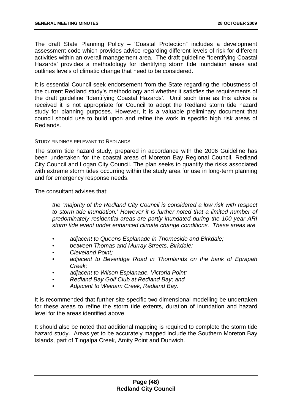The draft State Planning Policy – 'Coastal Protection" includes a development assessment code which provides advice regarding different levels of risk for different activities within an overall management area. The draft guideline "Identifying Coastal Hazards' provides a methodology for identifying storm tide inundation areas and outlines levels of climatic change that need to be considered.

It is essential Council seek endorsement from the State regarding the robustness of the current Redland study's methodology and whether it satisfies the requirements of the draft guideline "Identifying Coastal Hazards'. Until such time as this advice is received it is not appropriate for Council to adopt the Redland storm tide hazard study for planning purposes. However, it is a valuable preliminary document that council should use to build upon and refine the work in specific high risk areas of Redlands.

#### STUDY FINDINGS RELEVANT TO REDLANDS

The storm tide hazard study, prepared in accordance with the 2006 Guideline has been undertaken for the coastal areas of Moreton Bay Regional Council, Redland City Council and Logan City Council. The plan seeks to quantify the risks associated with extreme storm tides occurring within the study area for use in long-term planning and for emergency response needs.

The consultant advises that:

*the "majority of the Redland City Council is considered a low risk with respect to storm tide inundation.' However it is further noted that a limited number of predominately residential areas are partly inundated during the 100 year ARI storm tide event under enhanced climate change conditions. These areas are* 

- *adjacent to Queens Esplanade in Thorneside and Birkdale;*
- *between Thomas and Murray Streets, Birkdale;*
- *Cleveland Point;*
- *adjacent to Beveridge Road in Thornlands on the bank of Eprapah Creek;*
- *adjacent to Wilson Esplanade, Victoria Point;*
- *Redland Bay Golf Club at Redland Bay; and*
- *Adjacent to Weinam Creek, Redland Bay.*

It is recommended that further site specific two dimensional modelling be undertaken for these areas to refine the storm tide extents, duration of inundation and hazard level for the areas identified above.

It should also be noted that additional mapping is required to complete the storm tide hazard study. Areas yet to be accurately mapped include the Southern Moreton Bay Islands, part of Tingalpa Creek, Amity Point and Dunwich.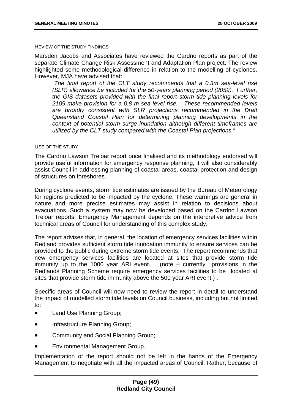#### REVIEW OF THE STUDY FINDINGS

Marsden Jacobs and Associates have reviewed the Cardno reports as part of the separate Climate Change Risk Assessment and Adaptation Plan project. The review highlighted some methodological difference in relation to the modelling of cyclones. However, MJA have advised that:

*"The final report of the CLT study recommends that a 0.3m sea-level rise (SLR) allowance be included for the 50-years planning period (2059). Further, the GIS datasets provided with the final report storm tide planning levels for 2109 make provision for a 0.8 m sea level rise. These recommended levels are broadly consistent with SLR projections recommended in the Draft Queensland Coastal Plan for determining planning developments in the context of potential storm surge inundation although different timeframes are utilized by the CLT study compared with the Coastal Plan projections."* 

#### USE OF THE STUDY

The Cardno Lawson Treloar report once finalised and its methodology endorsed will provide useful information for emergency response planning, it will also considerably assist Council in addressing planning of coastal areas, coastal protection and design of structures on foreshores.

During cyclone events, storm tide estimates are issued by the Bureau of Meteorology for regions predicted to be impacted by the cyclone. These warnings are general in nature and more precise estimates may assist in relation to decisions about evacuations. Such a system may now be developed based on the Cardno Lawson Treloar reports. Emergency Management depends on the interpretive advice from technical areas of Council for understanding of this complex study.

The report advises that, in general, the location of emergency services facilities within Redland provides sufficient storm tide inundation immunity to ensure services can be provided to the public during extreme storm tide events. The report recommends that new emergency services facilities are located at sites that provide storm tide immunity up to the 1000 year ARI event. (note – currently provisions in the Redlands Planning Scheme require emergency services facilities to be located at sites that provide storm tide immunity above the 500 year ARI event ) .

Specific areas of Council will now need to review the report in detail to understand the impact of modelled storm tide levels on Council business, including but not limited to:

- Land Use Planning Group;
- Infrastructure Planning Group;
- Community and Social Planning Group;
- Environmental Management Group.

Implementation of the report should not be left in the hands of the Emergency Management to negotiate with all the impacted areas of Council. Rather, because of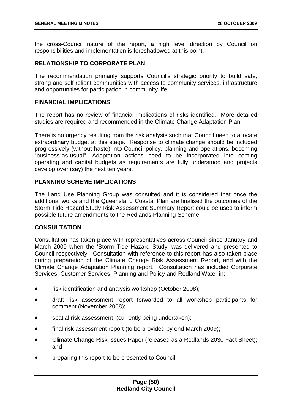the cross-Council nature of the report, a high level direction by Council on responsibilities and implementation is foreshadowed at this point.

# **RELATIONSHIP TO CORPORATE PLAN**

The recommendation primarily supports Council's strategic priority to build safe, strong and self reliant communities with access to community services, infrastructure and opportunities for participation in community life.

### **FINANCIAL IMPLICATIONS**

The report has no review of financial implications of risks identified. More detailed studies are required and recommended in the Climate Change Adaptation Plan.

There is no urgency resulting from the risk analysis such that Council need to allocate extraordinary budget at this stage. Response to climate change should be included progressively (without haste) into Council policy, planning and operations, becoming "business-as-usual". Adaptation actions need to be incorporated into coming operating and capital budgets as requirements are fully understood and projects develop over (say) the next ten years.

# **PLANNING SCHEME IMPLICATIONS**

The Land Use Planning Group was consulted and it is considered that once the additional works and the Queensland Coastal Plan are finalised the outcomes of the Storm Tide Hazard Study Risk Assessment Summary Report could be used to inform possible future amendments to the Redlands Planning Scheme.

## **CONSULTATION**

Consultation has taken place with representatives across Council since January and March 2009 when the 'Storm Tide Hazard Study' was delivered and presented to Council respectively. Consultation with reference to this report has also taken place during preparation of the Climate Change Risk Assessment Report, and with the Climate Change Adaptation Planning report. Consultation has included Corporate Services, Customer Services, Planning and Policy and Redland Water in:

- risk identification and analysis workshop (October 2008);
- draft risk assessment report forwarded to all workshop participants for comment (November 2008);
- spatial risk assessment (currently being undertaken);
- final risk assessment report (to be provided by end March 2009);
- Climate Change Risk Issues Paper (released as a Redlands 2030 Fact Sheet); and
- preparing this report to be presented to Council.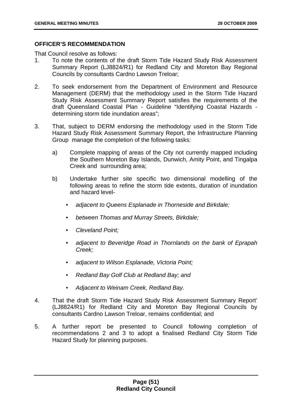# **OFFICER'S RECOMMENDATION**

That Council resolve as follows:

- 1. To note the contents of the draft Storm Tide Hazard Study Risk Assessment Summary Report (LJ8824/R1) for Redland City and Moreton Bay Regional Councils by consultants Cardno Lawson Treloar;
- 2. To seek endorsement from the Department of Environment and Resource Management (DERM) that the methodology used in the Storm Tide Hazard Study Risk Assessment Summary Report satisfies the requirements of the draft Queensland Coastal Plan - Guideline "Identifying Coastal Hazards determining storm tide inundation areas";
- 3. That, subject to DERM endorsing the methodology used in the Storm Tide Hazard Study Risk Assessment Summary Report, the Infrastructure Planning Group manage the completion of the following tasks:
	- a) Complete mapping of areas of the City not currently mapped including the Southern Moreton Bay Islands, Dunwich, Amity Point, and Tingalpa Creek and surrounding area;
	- b) Undertake further site specific two dimensional modelling of the following areas to refine the storm tide extents, duration of inundation and hazard level-
		- *adjacent to Queens Esplanade in Thorneside and Birkdale;*
		- *between Thomas and Murray Streets, Birkdale;*
		- *Cleveland Point;*
		- *adjacent to Beveridge Road in Thornlands on the bank of Eprapah Creek;*
		- *adjacent to Wilson Esplanade, Victoria Point;*
		- *Redland Bay Golf Club at Redland Bay; and*
		- *Adjacent to Weinam Creek, Redland Bay.*
- 4. That the draft Storm Tide Hazard Study Risk Assessment Summary Report' (LJ8824/R1) for Redland City and Moreton Bay Regional Councils by consultants Cardno Lawson Treloar, remains confidential; and
- 5. A further report be presented to Council following completion of recommendations 2 and 3 to adopt a finalised Redland City Storm Tide Hazard Study for planning purposes.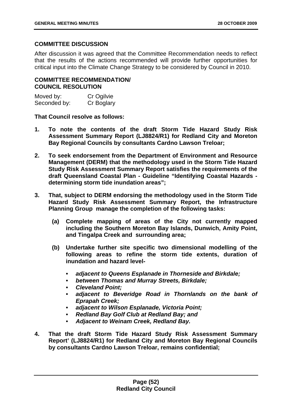# **COMMITTEE DISCUSSION**

After discussion it was agreed that the Committee Recommendation needs to reflect that the results of the actions recommended will provide further opportunities for critical input into the Climate Change Strategy to be considered by Council in 2010.

# **COMMITTEE RECOMMENDATION/ COUNCIL RESOLUTION**

| Moved by:    | Cr Ogilvie |
|--------------|------------|
| Seconded by: | Cr Boglary |

## **That Council resolve as follows:**

- **1. To note the contents of the draft Storm Tide Hazard Study Risk Assessment Summary Report (LJ8824/R1) for Redland City and Moreton Bay Regional Councils by consultants Cardno Lawson Treloar;**
- **2. To seek endorsement from the Department of Environment and Resource Management (DERM) that the methodology used in the Storm Tide Hazard Study Risk Assessment Summary Report satisfies the requirements of the draft Queensland Coastal Plan - Guideline "Identifying Coastal Hazards determining storm tide inundation areas";**
- **3. That, subject to DERM endorsing the methodology used in the Storm Tide Hazard Study Risk Assessment Summary Report, the Infrastructure Planning Group manage the completion of the following tasks:** 
	- **(a) Complete mapping of areas of the City not currently mapped including the Southern Moreton Bay Islands, Dunwich, Amity Point, and Tingalpa Creek and surrounding area;**
	- **(b) Undertake further site specific two dimensional modelling of the following areas to refine the storm tide extents, duration of inundation and hazard level-** 
		- *adjacent to Queens Esplanade in Thorneside and Birkdale;*
		- *between Thomas and Murray Streets, Birkdale;*
		- *Cleveland Point;*
		- *adjacent to Beveridge Road in Thornlands on the bank of Eprapah Creek;*
		- *adjacent to Wilson Esplanade, Victoria Point;*
		- *Redland Bay Golf Club at Redland Bay; and*
		- *Adjacent to Weinam Creek, Redland Bay.*
- **4. That the draft Storm Tide Hazard Study Risk Assessment Summary Report' (LJ8824/R1) for Redland City and Moreton Bay Regional Councils by consultants Cardno Lawson Treloar, remains confidential;**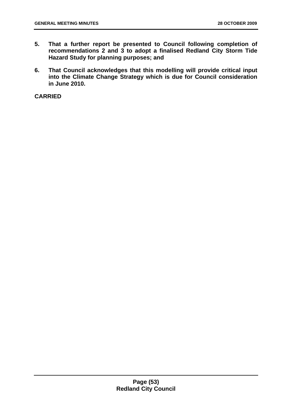- **5. That a further report be presented to Council following completion of recommendations 2 and 3 to adopt a finalised Redland City Storm Tide Hazard Study for planning purposes; and**
- **6. That Council acknowledges that this modelling will provide critical input into the Climate Change Strategy which is due for Council consideration in June 2010.**

**CARRIED**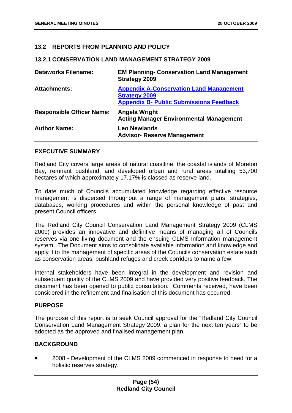# **13.2 REPORTS FROM PLANNING AND POLICY**

### **13.2.1 CONSERVATION LAND MANAGEMENT STRATEGY 2009**

| <b>Dataworks Filename:</b>       | <b>EM Planning- Conservation Land Management</b><br><b>Strategy 2009</b>                                                 |
|----------------------------------|--------------------------------------------------------------------------------------------------------------------------|
| <b>Attachments:</b>              | <b>Appendix A-Conservation Land Management</b><br><b>Strategy 2009</b><br><b>Appendix B- Public Submissions Feedback</b> |
| <b>Responsible Officer Name:</b> | Angela Wright<br><b>Acting Manager Environmental Management</b>                                                          |
| <b>Author Name:</b>              | <b>Leo Newlands</b><br><b>Advisor- Reserve Management</b>                                                                |

## **EXECUTIVE SUMMARY**

Redland City covers large areas of natural coastline, the coastal islands of Moreton Bay, remnant bushland, and developed urban and rural areas totalling 53,700 hectares of which approximately 17.17% is classed as reserve land.

To date much of Councils accumulated knowledge regarding effective resource management is dispersed throughout a range of management plans, strategies, databases, working procedures and within the personal knowledge of past and present Council officers.

The Redland City Council Conservation Land Management Strategy 2009 (CLMS 2009) provides an innovative and definitive means of managing all of Councils reserves via one living document and the ensuing CLMS Information management system. The Document aims to consolidate available information and knowledge and apply it to the management of specific areas of the Councils conservation estate such as conservation areas, bushland refuges and creek corridors to name a few.

Internal stakeholders have been integral in the development and revision and subsequent quality of the CLMS 2009 and have provided very positive feedback. The document has been opened to public consultation. Comments received, have been considered in the refinement and finalisation of this document has occurred.

# **PURPOSE**

The purpose of this report is to seek Council approval for the "Redland City Council Conservation Land Management Strategy 2009: a plan for the next ten years" to be adopted as the approved and finalised management plan.

## **BACKGROUND**

• 2008 - Development of the CLMS 2009 commenced in response to need for a holistic reserves strategy.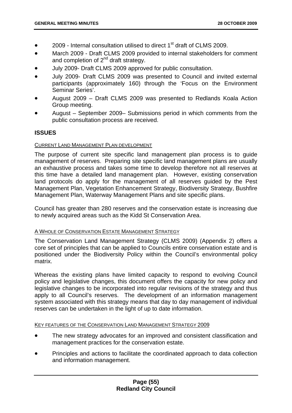- 2009 Internal consultation utilised to direct  $1<sup>st</sup>$  draft of CLMS 2009.
- March 2009 Draft CLMS 2009 provided to internal stakeholders for comment and completion of  $2^{nd}$  draft strategy.
- July 2009- Draft CLMS 2009 approved for public consultation.
- July 2009- Draft CLMS 2009 was presented to Council and invited external participants (approximately 160) through the 'Focus on the Environment Seminar Series'.
- August 2009 Draft CLMS 2009 was presented to Redlands Koala Action Group meeting.
- August September 2009– Submissions period in which comments from the public consultation process are received.

# **ISSUES**

#### CURRENT LAND MANAGEMENT PLAN DEVELOPMENT

The purpose of current site specific land management plan process is to guide management of reserves. Preparing site specific land management plans are usually an exhaustive process and takes some time to develop therefore not all reserves at this time have a detailed land management plan. However, existing conservation land protocols do apply for the management of all reserves guided by the Pest Management Plan, Vegetation Enhancement Strategy, Biodiversity Strategy, Bushfire Management Plan, Waterway Management Plans and site specific plans.

Council has greater than 280 reserves and the conservation estate is increasing due to newly acquired areas such as the Kidd St Conservation Area.

## A WHOLE OF CONSERVATION ESTATE MANAGEMENT STRATEGY

The Conservation Land Management Strategy (CLMS 2009) (Appendix 2) offers a core set of principles that can be applied to Councils entire conservation estate and is positioned under the Biodiversity Policy within the Council's environmental policy matrix.

Whereas the existing plans have limited capacity to respond to evolving Council policy and legislative changes, this document offers the capacity for new policy and legislative changes to be incorporated into regular revisions of the strategy and thus apply to all Council's reserves. The development of an information management system associated with this strategy means that day to day management of individual reserves can be undertaken in the light of up to date information.

#### KEY FEATURES OF THE CONSERVATION LAND MANAGEMENT STRATEGY 2009

- The new strategy advocates for an improved and consistent classification and management practices for the conservation estate.
- Principles and actions to facilitate the coordinated approach to data collection and information management.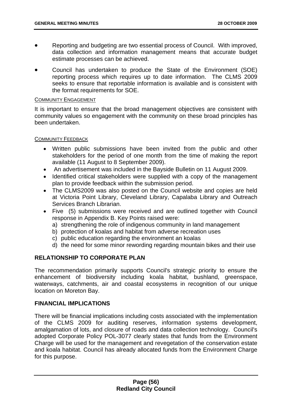- Reporting and budgeting are two essential process of Council. With improved, data collection and information management means that accurate budget estimate processes can be achieved.
- Council has undertaken to produce the State of the Environment (SOE) reporting process which requires up to date information. The CLMS 2009 seeks to ensure that reportable information is available and is consistent with the format requirements for SOE.

#### COMMUNITY ENGAGEMENT

It is important to ensure that the broad management objectives are consistent with community values so engagement with the community on these broad principles has been undertaken.

#### COMMUNITY FEEDBACK

- Written public submissions have been invited from the public and other stakeholders for the period of one month from the time of making the report available (11 August to 8 September 2009).
- An advertisement was included in the Bayside Bulletin on 11 August 2009.
- Identified critical stakeholders were supplied with a copy of the management plan to provide feedback within the submission period.
- The CLMS2009 was also posted on the Council website and copies are held at Victoria Point Library, Cleveland Library, Capalaba Library and Outreach Services Branch Librarian.
- Five (5) submissions were received and are outlined together with Council response in Appendix B. Key Points raised were:
	- a) strengthening the role of indigenous community in land management
	- b) protection of koalas and habitat from adverse recreation uses
	- c) public education regarding the environment an koalas
	- d) the need for some minor rewording regarding mountain bikes and their use

# **RELATIONSHIP TO CORPORATE PLAN**

The recommendation primarily supports Council's strategic priority to ensure the enhancement of biodiversity including koala habitat, bushland, greenspace, waterways, catchments, air and coastal ecosystems in recognition of our unique location on Moreton Bay.

## **FINANCIAL IMPLICATIONS**

There will be financial implications including costs associated with the implementation of the CLMS 2009 for auditing reserves, information systems development, amalgamation of lots, and closure of roads and data collection technology. Council's adopted Corporate Policy POL-3077 clearly states that funds from the Environment Charge will be used for the management and revegetation of the conservation estate and koala habitat. Council has already allocated funds from the Environment Charge for this purpose.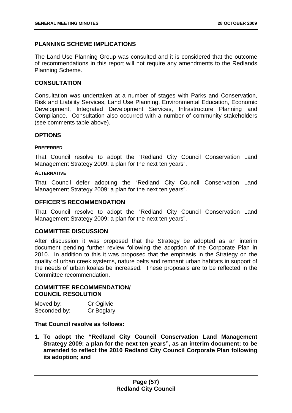# **PLANNING SCHEME IMPLICATIONS**

The Land Use Planning Group was consulted and it is considered that the outcome of recommendations in this report will not require any amendments to the Redlands Planning Scheme.

## **CONSULTATION**

Consultation was undertaken at a number of stages with Parks and Conservation, Risk and Liability Services, Land Use Planning, Environmental Education, Economic Development, Integrated Development Services, Infrastructure Planning and Compliance. Consultation also occurred with a number of community stakeholders (see comments table above).

# **OPTIONS**

## **PREFERRED**

That Council resolve to adopt the "Redland City Council Conservation Land Management Strategy 2009: a plan for the next ten years".

#### **ALTERNATIVE**

That Council defer adopting the "Redland City Council Conservation Land Management Strategy 2009: a plan for the next ten years".

# **OFFICER'S RECOMMENDATION**

That Council resolve to adopt the "Redland City Council Conservation Land Management Strategy 2009: a plan for the next ten years".

## **COMMITTEE DISCUSSION**

After discussion it was proposed that the Strategy be adopted as an interim document pending further review following the adoption of the Corporate Plan in 2010. In addition to this it was proposed that the emphasis in the Strategy on the quality of urban creek systems, nature belts and remnant urban habitats in support of the needs of urban koalas be increased. These proposals are to be reflected in the Committee recommendation.

# **COMMITTEE RECOMMENDATION/ COUNCIL RESOLUTION**

| Moved by:    | Cr Ogilvie |
|--------------|------------|
| Seconded by: | Cr Boglary |

## **That Council resolve as follows:**

**1. To adopt the "Redland City Council Conservation Land Management Strategy 2009: a plan for the next ten years", as an interim document; to be amended to reflect the 2010 Redland City Council Corporate Plan following its adoption; and**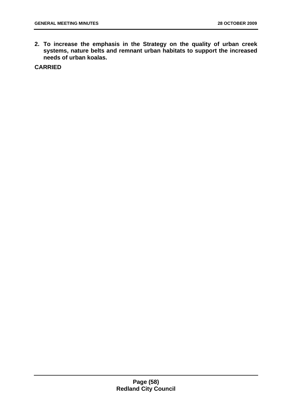**2. To increase the emphasis in the Strategy on the quality of urban creek systems, nature belts and remnant urban habitats to support the increased needs of urban koalas.** 

**CARRIED**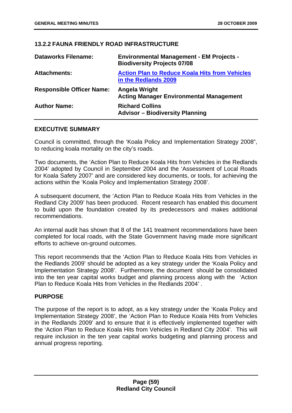# **13.2.2 FAUNA FRIENDLY ROAD INFRASTRUCTURE**

| <b>Dataworks Filename:</b>       | <b>Environmental Management - EM Projects -</b><br><b>Biodiversity Projects 07/08</b> |
|----------------------------------|---------------------------------------------------------------------------------------|
| <b>Attachments:</b>              | <b>Action Plan to Reduce Koala Hits from Vehicles</b><br>in the Redlands 2009         |
| <b>Responsible Officer Name:</b> | Angela Wright<br><b>Acting Manager Environmental Management</b>                       |
| <b>Author Name:</b>              | <b>Richard Collins</b><br><b>Advisor - Biodiversity Planning</b>                      |

# **EXECUTIVE SUMMARY**

Council is committed, through the 'Koala Policy and Implementation Strategy 2008", to reducing koala mortality on the city's roads.

Two documents, the 'Action Plan to Reduce Koala Hits from Vehicles in the Redlands 2004' adopted by Council in September 2004 and the 'Assessment of Local Roads for Koala Safety 2007' and are considered key documents, or tools, for achieving the actions within the 'Koala Policy and Implementation Strategy 2008'.

A subsequent document, the 'Action Plan to Reduce Koala Hits from Vehicles in the Redland City 2009' has been produced. Recent research has enabled this document to build upon the foundation created by its predecessors and makes additional recommendations.

An internal audit has shown that 8 of the 141 treatment recommendations have been completed for local roads, with the State Government having made more significant efforts to achieve on-ground outcomes.

This report recommends that the 'Action Plan to Reduce Koala Hits from Vehicles in the Redlands 2009' should be adopted as a key strategy under the 'Koala Policy and Implementation Strategy 2008'. Furthermore, the document should be consolidated into the ten year capital works budget and planning process along with the 'Action Plan to Reduce Koala Hits from Vehicles in the Redlands 2004*'* .

## **PURPOSE**

The purpose of the report is to adopt, as a key strategy under the 'Koala Policy and Implementation Strategy 2008', the 'Action Plan to Reduce Koala Hits from Vehicles in the Redlands 2009' and to ensure that it is effectively implemented together with the 'Action Plan to Reduce Koala Hits from Vehicles in Redland City 2004'. This will require inclusion in the ten year capital works budgeting and planning process and annual progress reporting.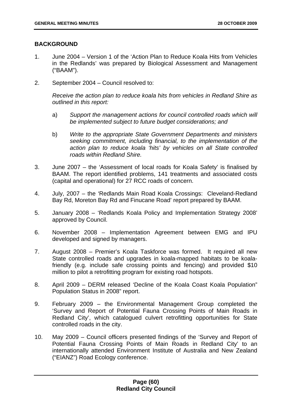# **BACKGROUND**

- 1. June 2004 Version 1 of the 'Action Plan to Reduce Koala Hits from Vehicles in the Redlands' was prepared by Biological Assessment and Management ("BAAM").
- 2. September 2004 Council resolved to:

*Receive the action plan to reduce koala hits from vehicles in Redland Shire as outlined in this report:* 

- a) *Support the management actions for council controlled roads which will be implemented subject to future budget considerations; and*
- b) *Write to the appropriate State Government Departments and ministers seeking commitment, including financial, to the implementation of the action plan to reduce koala 'hits' by vehicles on all State controlled roads within Redland Shire.*
- 3. June 2007 the 'Assessment of local roads for Koala Safety' is finalised by BAAM. The report identified problems, 141 treatments and associated costs (capital and operational) for 27 RCC roads of concern.
- 4. July, 2007 the 'Redlands Main Road Koala Crossings: Cleveland-Redland Bay Rd, Moreton Bay Rd and Finucane Road' report prepared by BAAM.
- 5. January 2008 'Redlands Koala Policy and Implementation Strategy 2008' approved by Council.
- 6. November 2008 Implementation Agreement between EMG and IPU developed and signed by managers.
- 7. August 2008 Premier's Koala Taskforce was formed. It required all new State controlled roads and upgrades in koala-mapped habitats to be koalafriendly (e.g. include safe crossing points and fencing) and provided \$10 million to pilot a retrofitting program for existing road hotspots.
- 8. April 2009 DERM released 'Decline of the Koala Coast Koala Population" Population Status in 2008" report.
- 9. February 2009 the Environmental Management Group completed the 'Survey and Report of Potential Fauna Crossing Points of Main Roads in Redland City', which catalogued culvert retrofitting opportunities for State controlled roads in the city.
- 10. May 2009 Council officers presented findings of the 'Survey and Report of Potential Fauna Crossing Points of Main Roads in Redland City' to an internationally attended Environment Institute of Australia and New Zealand ("EIANZ") Road Ecology conference.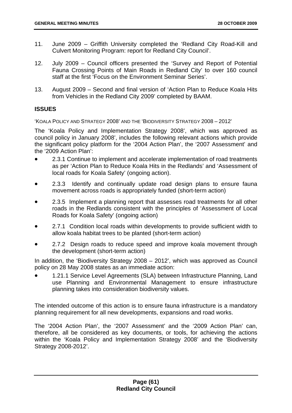- 11. June 2009 Griffith University completed the 'Redland City Road-Kill and Culvert Monitoring Program: report for Redland City Council'.
- 12. July 2009 Council officers presented the 'Survey and Report of Potential Fauna Crossing Points of Main Roads in Redland City' to over 160 council staff at the first 'Focus on the Environment Seminar Series'.
- 13. August 2009 Second and final version of 'Action Plan to Reduce Koala Hits from Vehicles in the Redland City 2009' completed by BAAM.

# **ISSUES**

'KOALA POLICY AND STRATEGY 2008' AND THE 'BIODIVERSITY STRATEGY 2008 – 2012'

The 'Koala Policy and Implementation Strategy 2008', which was approved as council policy in January 2008', includes the following relevant actions which provide the significant policy platform for the '2004 Action Plan', the '2007 Assessment' and the '2009 Action Plan':

- 2.3.1 Continue to implement and accelerate implementation of road treatments as per 'Action Plan to Reduce Koala Hits in the Redlands' and 'Assessment of local roads for Koala Safety' (ongoing action).
- 2.3.3 Identify and continually update road design plans to ensure fauna movement across roads is appropriately funded (short-term action)
- 2.3.5 Implement a planning report that assesses road treatments for all other roads in the Redlands consistent with the principles of 'Assessment of Local Roads for Koala Safety' (ongoing action)
- 2.7.1 Condition local roads within developments to provide sufficient width to allow koala habitat trees to be planted (short-term action)
- 2.7.2 Design roads to reduce speed and improve koala movement through the development (short-term action)

In addition, the 'Biodiversity Strategy 2008 – 2012', which was approved as Council policy on 28 May 2008 states as an immediate action:

• 1.21.1 Service Level Agreements (SLA) between Infrastructure Planning, Land use Planning and Environmental Management to ensure infrastructure planning takes into consideration biodiversity values.

The intended outcome of this action is to ensure fauna infrastructure is a mandatory planning requirement for all new developments, expansions and road works.

The '2004 Action Plan', the '2007 Assessment' and the '2009 Action Plan' can, therefore, all be considered as key documents, or tools, for achieving the actions within the 'Koala Policy and Implementation Strategy 2008' and the 'Biodiversity Strategy 2008-2012'.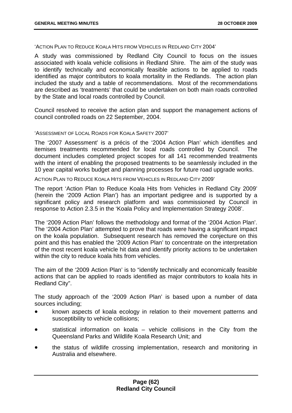'ACTION PLAN TO REDUCE KOALA HITS FROM VEHICLES IN REDLAND CITY 2004'

A study was commissioned by Redland City Council to focus on the issues associated with koala vehicle collisions in Redland Shire. The aim of the study was to identify technically and economically feasible actions to be applied to roads identified as major contributors to koala mortality in the Redlands. The action plan included the study and a table of recommendations. Most of the recommendations are described as 'treatments' that could be undertaken on both main roads controlled by the State and local roads controlled by Council.

Council resolved to receive the action plan and support the management actions of council controlled roads on 22 September, 2004.

#### 'ASSESSMENT OF LOCAL ROADS FOR KOALA SAFETY 2007'

The '2007 Assessment' is a précis of the '2004 Action Plan' which identifies and itemises treatments recommended for local roads controlled by Council. The document includes completed project scopes for all 141 recommended treatments with the intent of enabling the proposed treatments to be seamlessly included in the 10 year capital works budget and planning processes for future road upgrade works.

ACTION PLAN TO REDUCE KOALA HITS FROM VEHICLES IN REDLAND CITY 2009'

The report 'Action Plan to Reduce Koala Hits from Vehicles in Redland City 2009' (herein the '2009 Action Plan') has an important pedigree and is supported by a significant policy and research platform and was commissioned by Council in response to Action 2.3.5 in the 'Koala Policy and Implementation Strategy 2008'.

The '2009 Action Plan' follows the methodology and format of the '2004 Action Plan'. The '2004 Action Plan' attempted to prove that roads were having a significant impact on the koala population. Subsequent research has removed the conjecture on this point and this has enabled the '2009 Action Plan' to concentrate on the interpretation of the most recent koala vehicle hit data and identify priority actions to be undertaken within the city to reduce koala hits from vehicles.

The aim of the '2009 Action Plan' is to "identify technically and economically feasible actions that can be applied to roads identified as major contributors to koala hits in Redland City".

The study approach of the '2009 Action Plan' is based upon a number of data sources including;

- known aspects of koala ecology in relation to their movement patterns and susceptibility to vehicle collisions;
- statistical information on koala vehicle collisions in the City from the Queensland Parks and Wildlife Koala Research Unit; and
- the status of wildlife crossing implementation, research and monitoring in Australia and elsewhere.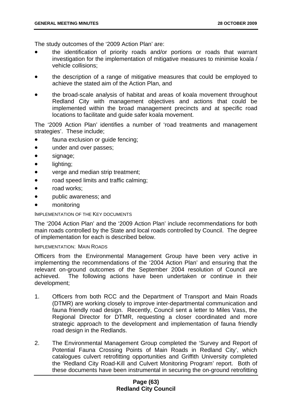The study outcomes of the '2009 Action Plan' are:

- the identification of priority roads and/or portions or roads that warrant investigation for the implementation of mitigative measures to minimise koala / vehicle collisions;
- the description of a range of mitigative measures that could be employed to achieve the stated aim of the Action Plan, and
- the broad-scale analysis of habitat and areas of koala movement throughout Redland City with management objectives and actions that could be implemented within the broad management precincts and at specific road locations to facilitate and guide safer koala movement.

The '2009 Action Plan' identifies a number of 'road treatments and management strategies'. These include;

- fauna exclusion or quide fencing;
- under and over passes;
- signage;
- lighting;
- verge and median strip treatment;
- road speed limits and traffic calming;
- road works:
- public awareness; and
- monitoring

#### IMPLEMENTATION OF THE KEY DOCUMENTS

The '2004 Action Plan' and the '2009 Action Plan' include recommendations for both main roads controlled by the State and local roads controlled by Council. The degree of implementation for each is described below.

IMPLEMENTATION: MAIN ROADS

Officers from the Environmental Management Group have been very active in implementing the recommendations of the '2004 Action Plan' and ensuring that the relevant on-ground outcomes of the September 2004 resolution of Council are achieved. The following actions have been undertaken or continue in their development;

- 1. Officers from both RCC and the Department of Transport and Main Roads (DTMR) are working closely to improve inter-departmental communication and fauna friendly road design. Recently, Council sent a letter to Miles Vass, the Regional Director for DTMR, requesting a closer coordinated and more strategic approach to the development and implementation of fauna friendly road design in the Redlands.
- 2. The Environmental Management Group completed the 'Survey and Report of Potential Fauna Crossing Points of Main Roads in Redland City', which catalogues culvert retrofitting opportunities and Griffith University completed the 'Redland City Road-Kill and Culvert Monitoring Program' report. Both of these documents have been instrumental in securing the on-ground retrofitting

# **Page (63) Redland City Council**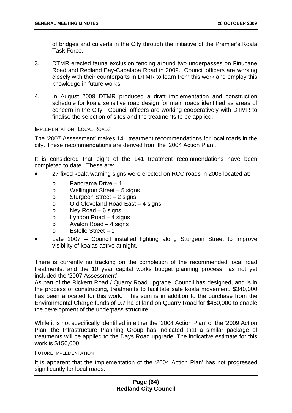of bridges and culverts in the City through the initiative of the Premier's Koala Task Force.

- 3. DTMR erected fauna exclusion fencing around two underpasses on Finucane Road and Redland Bay-Capalaba Road in 2009. Council officers are working closely with their counterparts in DTMR to learn from this work and employ this knowledge in future works.
- 4. In August 2009 DTMR produced a draft implementation and construction schedule for koala sensitive road design for main roads identified as areas of concern in the City. Council officers are working cooperatively with DTMR to finalise the selection of sites and the treatments to be applied.

#### IMPLEMENTATION: LOCAL ROADS

The '2007 Assessment' makes 141 treatment recommendations for local roads in the city. These recommendations are derived from the '2004 Action Plan'.

It is considered that eight of the 141 treatment recommendations have been completed to date. These are:

- 27 fixed koala warning signs were erected on RCC roads in 2006 located at;
	- o Panorama Drive 1
	- o Wellington Street 5 signs
	- o Sturgeon Street 2 signs
	- o Old Cleveland Road East 4 signs
	- o Ney Road 6 signs
	- o Lyndon Road 4 signs
	- o Avalon Road 4 signs
	- o Estelle Street 1
- Late 2007 Council installed lighting along Sturgeon Street to improve visibility of koalas active at night.

There is currently no tracking on the completion of the recommended local road treatments, and the 10 year capital works budget planning process has not yet included the '2007 Assessment'.

As part of the Rickertt Road / Quarry Road upgrade, Council has designed, and is in the process of constructing, treatments to facilitate safe koala movement. \$340,000 has been allocated for this work. This sum is in addition to the purchase from the Environmental Charge funds of 0.7 ha of land on Quarry Road for \$450,000 to enable the development of the underpass structure.

While it is not specifically identified in either the '2004 Action Plan' or the '2009 Action Plan' the Infrastructure Planning Group has indicated that a similar package of treatments will be applied to the Days Road upgrade. The indicative estimate for this work is \$150,000.

FUTURE IMPLEMENTATION

It is apparent that the implementation of the '2004 Action Plan' has not progressed significantly for local roads.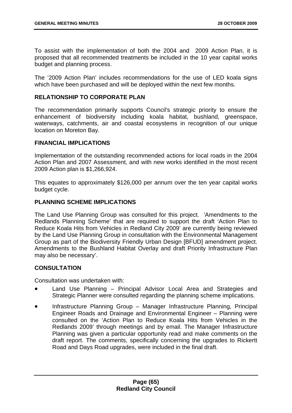To assist with the implementation of both the 2004 and 2009 Action Plan, it is proposed that all recommended treatments be included in the 10 year capital works budget and planning process.

The '2009 Action Plan' includes recommendations for the use of LED koala signs which have been purchased and will be deployed within the next few months.

# **RELATIONSHIP TO CORPORATE PLAN**

The recommendation primarily supports Council's strategic priority to ensure the enhancement of biodiversity including koala habitat, bushland, greenspace, waterways, catchments, air and coastal ecosystems in recognition of our unique location on Moreton Bay.

# **FINANCIAL IMPLICATIONS**

Implementation of the outstanding recommended actions for local roads in the 2004 Action Plan and 2007 Assessment, and with new works identified in the most recent 2009 Action plan is \$1,266,924.

This equates to approximately \$126,000 per annum over the ten year capital works budget cycle.

# **PLANNING SCHEME IMPLICATIONS**

The Land Use Planning Group was consulted for this project. 'Amendments to the Redlands Planning Scheme' that are required to support the draft 'Action Plan to Reduce Koala Hits from Vehicles in Redland City 2009' are currently being reviewed by the Land Use Planning Group in consultation with the Environmental Management Group as part of the Biodiversity Friendly Urban Design [BFUD] amendment project. Amendments to the Bushland Habitat Overlay and draft Priority Infrastructure Plan may also be necessary'.

# **CONSULTATION**

Consultation was undertaken with:

- Land Use Planning Principal Advisor Local Area and Strategies and Strategic Planner were consulted regarding the planning scheme implications.
- Infrastructure Planning Group Manager Infrastructure Planning, Principal Engineer Roads and Drainage and Environmental Engineer – Planning were consulted on the 'Action Plan to Reduce Koala Hits from Vehicles in the Redlands 2009' through meetings and by email. The Manager Infrastructure Planning was given a particular opportunity read and make comments on the draft report. The comments, specifically concerning the upgrades to Rickertt Road and Days Road upgrades, were included in the final draft.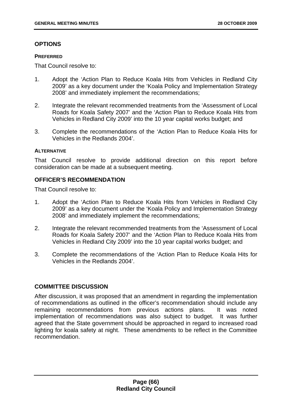# **OPTIONS**

### **PREFERRED**

That Council resolve to:

- 1. Adopt the 'Action Plan to Reduce Koala Hits from Vehicles in Redland City 2009' as a key document under the 'Koala Policy and Implementation Strategy 2008' and immediately implement the recommendations;
- 2. Integrate the relevant recommended treatments from the 'Assessment of Local Roads for Koala Safety 2007' and the 'Action Plan to Reduce Koala Hits from Vehicles in Redland City 2009' into the 10 year capital works budget; and
- 3. Complete the recommendations of the 'Action Plan to Reduce Koala Hits for Vehicles in the Redlands 2004'.

## **ALTERNATIVE**

That Council resolve to provide additional direction on this report before consideration can be made at a subsequent meeting.

# **OFFICER'S RECOMMENDATION**

That Council resolve to:

- 1. Adopt the 'Action Plan to Reduce Koala Hits from Vehicles in Redland City 2009' as a key document under the 'Koala Policy and Implementation Strategy 2008' and immediately implement the recommendations;
- 2. Integrate the relevant recommended treatments from the 'Assessment of Local Roads for Koala Safety 2007' and the 'Action Plan to Reduce Koala Hits from Vehicles in Redland City 2009' into the 10 year capital works budget; and
- 3. Complete the recommendations of the 'Action Plan to Reduce Koala Hits for Vehicles in the Redlands 2004'.

# **COMMITTEE DISCUSSION**

After discussion, it was proposed that an amendment in regarding the implementation of recommendations as outlined in the officer's recommendation should include any remaining recommendations from previous actions plans. It was noted implementation of recommendations was also subject to budget. It was further agreed that the State government should be approached in regard to increased road lighting for koala safety at night. These amendments to be reflect in the Committee recommendation.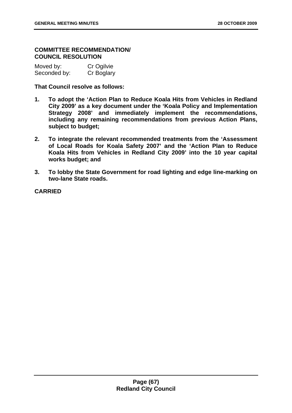# **COMMITTEE RECOMMENDATION/ COUNCIL RESOLUTION**

| Moved by:    | Cr Ogilvie |
|--------------|------------|
| Seconded by: | Cr Boglary |

**That Council resolve as follows:** 

- **1. To adopt the 'Action Plan to Reduce Koala Hits from Vehicles in Redland City 2009' as a key document under the 'Koala Policy and Implementation Strategy 2008' and immediately implement the recommendations, including any remaining recommendations from previous Action Plans, subject to budget;**
- **2. To integrate the relevant recommended treatments from the 'Assessment of Local Roads for Koala Safety 2007' and the 'Action Plan to Reduce Koala Hits from Vehicles in Redland City 2009' into the 10 year capital works budget; and**
- **3. To lobby the State Government for road lighting and edge line-marking on two-lane State roads.**

**CARRIED**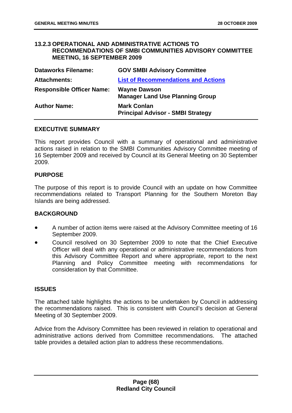## **13.2.3 OPERATIONAL AND ADMINISTRATIVE ACTIONS TO RECOMMENDATIONS OF SMBI COMMUNITIES ADVISORY COMMITTEE MEETING, 16 SEPTEMBER 2009**

| <b>Dataworks Filename:</b>       | <b>GOV SMBI Advisory Committee</b>                             |
|----------------------------------|----------------------------------------------------------------|
| <b>Attachments:</b>              | <b>List of Recommendations and Actions</b>                     |
| <b>Responsible Officer Name:</b> | <b>Wayne Dawson</b><br><b>Manager Land Use Planning Group</b>  |
| <b>Author Name:</b>              | <b>Mark Conlan</b><br><b>Principal Advisor - SMBI Strategy</b> |

## **EXECUTIVE SUMMARY**

This report provides Council with a summary of operational and administrative actions raised in relation to the SMBI Communities Advisory Committee meeting of 16 September 2009 and received by Council at its General Meeting on 30 September 2009.

## **PURPOSE**

The purpose of this report is to provide Council with an update on how Committee recommendations related to Transport Planning for the Southern Moreton Bay Islands are being addressed.

## **BACKGROUND**

- A number of action items were raised at the Advisory Committee meeting of 16 September 2009.
- Council resolved on 30 September 2009 to note that the Chief Executive Officer will deal with any operational or administrative recommendations from this Advisory Committee Report and where appropriate, report to the next Planning and Policy Committee meeting with recommendations for consideration by that Committee.

## **ISSUES**

The attached table highlights the actions to be undertaken by Council in addressing the recommendations raised. This is consistent with Council's decision at General Meeting of 30 September 2009.

Advice from the Advisory Committee has been reviewed in relation to operational and administrative actions derived from Committee recommendations. The attached table provides a detailed action plan to address these recommendations.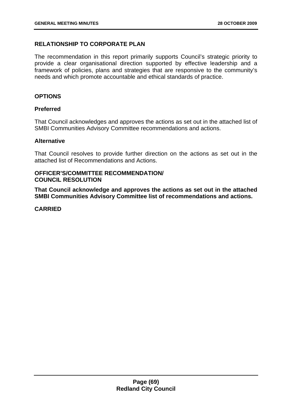# **RELATIONSHIP TO CORPORATE PLAN**

The recommendation in this report primarily supports Council's strategic priority to provide a clear organisational direction supported by effective leadership and a framework of policies, plans and strategies that are responsive to the community's needs and which promote accountable and ethical standards of practice.

# **OPTIONS**

# **Preferred**

That Council acknowledges and approves the actions as set out in the attached list of SMBI Communities Advisory Committee recommendations and actions.

## **Alternative**

That Council resolves to provide further direction on the actions as set out in the attached list of Recommendations and Actions.

# **OFFICER'S/COMMITTEE RECOMMENDATION/ COUNCIL RESOLUTION**

**That Council acknowledge and approves the actions as set out in the attached SMBI Communities Advisory Committee list of recommendations and actions.** 

**CARRIED**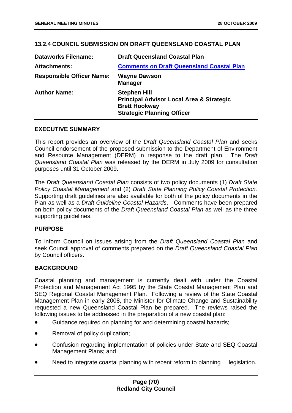# **13.2.4 COUNCIL SUBMISSION ON DRAFT QUEENSLAND COASTAL PLAN**

| <b>Dataworks Filename:</b>       | <b>Draft Queensland Coastal Plan</b>                                                                                                    |
|----------------------------------|-----------------------------------------------------------------------------------------------------------------------------------------|
| <b>Attachments:</b>              | <b>Comments on Draft Queensland Coastal Plan</b>                                                                                        |
| <b>Responsible Officer Name:</b> | <b>Wayne Dawson</b><br><b>Manager</b>                                                                                                   |
| <b>Author Name:</b>              | <b>Stephen Hill</b><br><b>Principal Advisor Local Area &amp; Strategic</b><br><b>Brett Hookway</b><br><b>Strategic Planning Officer</b> |

## **EXECUTIVE SUMMARY**

This report provides an overview of the *Draft Queensland Coastal Plan* and seeks Council endorsement of the proposed submission to the Department of Environment and Resource Management (DERM) in response to the draft plan. The *Draft Queensland Coastal Plan* was released by the DERM in July 2009 for consultation purposes until 31 October 2009.

The *Draft Queensland Coastal Plan* consists of two policy documents (1) *Draft State Policy Coastal Management* and (2) *Draft State Planning Policy Coastal Protection.*  Supporting draft guidelines are also available for both of the policy documents in the Plan as well as a *Draft Guideline Coastal Hazards*. Comments have been prepared on both policy documents of the *Draft Queensland Coastal Plan* as well as the three supporting guidelines.

## **PURPOSE**

To inform Council on issues arising from the *Draft Queensland Coastal Plan* and seek Council approval of comments prepared on the *Draft Queensland Coastal Plan* by Council officers.

## **BACKGROUND**

Coastal planning and management is currently dealt with under the Coastal Protection and Management Act 1995 by the State Coastal Management Plan and SEQ Regional Coastal Management Plan. Following a review of the State Coastal Management Plan in early 2008, the Minister for Climate Change and Sustainability requested a new Queensland Coastal Plan be prepared. The reviews raised the following issues to be addressed in the preparation of a new coastal plan:

- Guidance required on planning for and determining coastal hazards;
- Removal of policy duplication;
- Confusion regarding implementation of policies under State and SEQ Coastal Management Plans; and
- Need to integrate coastal planning with recent reform to planning legislation.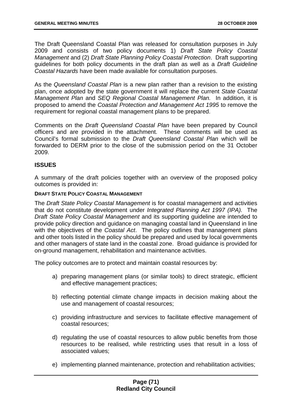The Draft Queensland Coastal Plan was released for consultation purposes in July 2009 and consists of two policy documents 1) *Draft State Policy Coastal Management* and (2) *Draft State Planning Policy Coastal Protection*. Draft supporting guidelines for both policy documents in the draft plan as well as a *Draft Guideline Coastal Hazards* have been made available for consultation purposes.

As the *Queensland Coastal Plan* is a new plan rather than a revision to the existing plan, once adopted by the state government it will replace the current *State Coastal Management Plan* and *SEQ Regional Coastal Management Plan.* In addition, it is proposed to amend the *Coastal Protection and Management Act 1995* to remove the requirement for regional coastal management plans to be prepared.

Comments on the *Draft Queensland Coastal Plan* have been prepared by Council officers and are provided in the attachment. These comments will be used as Council's formal submission to the *Draft Queensland Coastal Plan* which will be forwarded to DERM prior to the close of the submission period on the 31 October 2009.

# **ISSUES**

A summary of the draft policies together with an overview of the proposed policy outcomes is provided in:

#### **DRAFT STATE POLICY COASTAL MANAGEMENT**

The *Draft State Policy Coastal Management* is for coastal management and activities that do not constitute development under *Integrated Planning Act 1997 (IPA).* The *Draft State Policy Coastal Management* and its supporting guideline are intended to provide policy direction and guidance on managing coastal land in Queensland in line with the objectives of the *Coastal Act*. The policy outlines that management plans and other tools listed in the policy should be prepared and used by local governments and other managers of state land in the coastal zone. Broad guidance is provided for on-ground management, rehabilitation and maintenance activities.

The policy outcomes are to protect and maintain coastal resources by:

- a) preparing management plans (or similar tools) to direct strategic, efficient and effective management practices;
- b) reflecting potential climate change impacts in decision making about the use and management of coastal resources;
- c) providing infrastructure and services to facilitate effective management of coastal resources;
- d) regulating the use of coastal resources to allow public benefits from those resources to be realised, while restricting uses that result in a loss of associated values;
- e) implementing planned maintenance, protection and rehabilitation activities;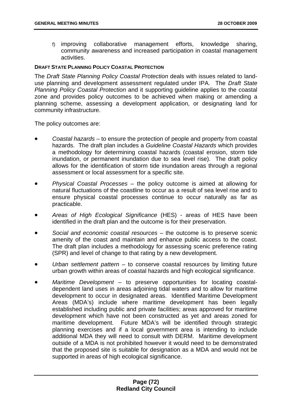f) improving collaborative management efforts, knowledge sharing, community awareness and increased participation in coastal management activities.

### **DRAFT STATE PLANNING POLICY COASTAL PROTECTION**

The *Draft State Planning Policy Coastal Protection* deals with issues related to landuse planning and development assessment regulated under IPA. The *Draft State Planning Policy Coastal Protection* and it supporting guideline applies to the coastal zone and provides policy outcomes to be achieved when making or amending a planning scheme, assessing a development application, or designating land for community infrastructure.

The policy outcomes are:

- *Coastal hazards* to ensure the protection of people and property from coastal hazards. The draft plan includes a *Guideline Coastal Hazards* which provides a methodology for determining coastal hazards (coastal erosion, storm tide inundation, or permanent inundation due to sea level rise). The draft policy allows for the identification of storm tide inundation areas through a regional assessment or local assessment for a specific site.
- *Physical Coastal Processes* the policy outcome is aimed at allowing for natural fluctuations of the coastline to occur as a result of sea level rise and to ensure physical coastal processes continue to occur naturally as far as practicable.
- *Areas of High Ecological Significance* (HES) areas of HES have been identified in the draft plan and the outcome is for their preservation.
- *Social and economic coastal resources* the outcome is to preserve scenic amenity of the coast and maintain and enhance public access to the coast. The draft plan includes a methodology for assessing scenic preference rating (SPR) and level of change to that rating by a new development.
- *Urban settlement pattern* to conserve coastal resources by limiting future urban growth within areas of coastal hazards and high ecological significance.
- *Maritime Development* to preserve opportunities for locating coastaldependent land uses in areas adjoining tidal waters and to allow for maritime development to occur in designated areas. Identified Maritime Development Areas (MDA's) include where maritime development has been legally established including public and private facilities; areas approved for maritime development which have not been constructed as yet and areas zoned for maritime development. Future MDA's will be identified through strategic planning exercises and if a local government area is intending to include additional MDA they will need to consult with DERM. Maritime development outside of a MDA is not prohibited however it would need to be demonstrated that the proposed site is suitable for designation as a MDA and would not be supported in areas of high ecological significance.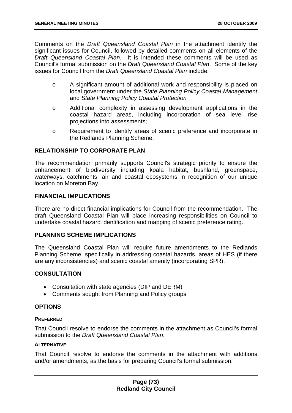Comments on the *Draft Queensland Coastal Plan* in the attachment identify the significant issues for Council, followed by detailed comments on all elements of the *Draft Queensland Coastal Plan*. It is intended these comments will be used as Council's formal submission on the *Draft Queensland Coastal Plan*. Some of the key issues for Council from the *Draft Queensland Coastal Plan* include:

- o A significant amount of additional work and responsibility is placed on local government under the *State Planning Policy Coastal Management*  and *State Planning Policy Coastal Protection* ;
- o Additional complexity in assessing development applications in the coastal hazard areas, including incorporation of sea level rise projections into assessments;
- o Requirement to identify areas of scenic preference and incorporate in the Redlands Planning Scheme.

# **RELATIONSHIP TO CORPORATE PLAN**

The recommendation primarily supports Council's strategic priority to ensure the enhancement of biodiversity including koala habitat, bushland, greenspace, waterways, catchments, air and coastal ecosystems in recognition of our unique location on Moreton Bay.

# **FINANCIAL IMPLICATIONS**

There are no direct financial implications for Council from the recommendation. The draft Queensland Coastal Plan will place increasing responsibilities on Council to undertake coastal hazard identification and mapping of scenic preference rating.

# **PLANNING SCHEME IMPLICATIONS**

The Queensland Coastal Plan will require future amendments to the Redlands Planning Scheme, specifically in addressing coastal hazards, areas of HES (if there are any inconsistencies) and scenic coastal amenity (incorporating SPR).

# **CONSULTATION**

- Consultation with state agencies (DIP and DERM)
- Comments sought from Planning and Policy groups

# **OPTIONS**

### **PREFERRED**

That Council resolve to endorse the comments in the attachment as Council's formal submission to the *Draft Queensland Coastal Plan*.

### **ALTERNATIVE**

That Council resolve to endorse the comments in the attachment with additions and/or amendments, as the basis for preparing Council's formal submission.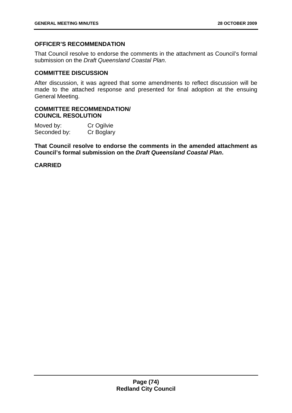# **OFFICER'S RECOMMENDATION**

That Council resolve to endorse the comments in the attachment as Council's formal submission on the *Draft Queensland Coastal Plan*.

### **COMMITTEE DISCUSSION**

After discussion, it was agreed that some amendments to reflect discussion will be made to the attached response and presented for final adoption at the ensuing General Meeting.

### **COMMITTEE RECOMMENDATION/ COUNCIL RESOLUTION**

| Moved by:    | Cr Ogilvie |
|--------------|------------|
| Seconded by: | Cr Boglary |

**That Council resolve to endorse the comments in the amended attachment as Council's formal submission on the** *Draft Queensland Coastal Plan***.**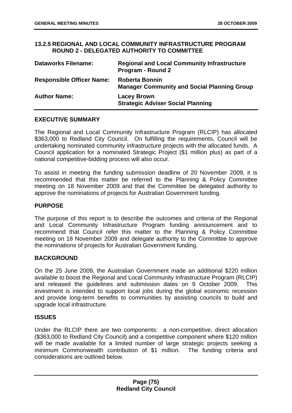### **13.2.5 REGIONAL AND LOCAL COMMUNITY INFRASTRUCTURE PROGRAM ROUND 2 - DELEGATED AUTHORITY TO COMMITTEE**

| <b>Dataworks Filename:</b>       | <b>Regional and Local Community Infrastructure</b><br><b>Program - Round 2</b> |
|----------------------------------|--------------------------------------------------------------------------------|
| <b>Responsible Officer Name:</b> | <b>Roberta Bonnin</b><br><b>Manager Community and Social Planning Group</b>    |
| <b>Author Name:</b>              | <b>Lacey Brown</b><br><b>Strategic Adviser Social Planning</b>                 |

### **EXECUTIVE SUMMARY**

The Regional and Local Community Infrastructure Program (RLCIP) has allocated \$363,000 to Redland City Council. On fulfilling the requirements, Council will be undertaking nominated community infrastructure projects with the allocated funds. A Council application for a nominated Strategic Project (\$1 million plus) as part of a national competitive-bidding process will also occur.

To assist in meeting the funding submission deadline of 20 November 2009, it is recommended that this matter be referred to the Planning & Policy Committee meeting on 18 November 2009 and that the Committee be delegated authority to approve the nominations of projects for Australian Government funding.

### **PURPOSE**

The purpose of this report is to describe the outcomes and criteria of the Regional and Local Community Infrastructure Program funding announcement and to recommend that Council refer this matter to the Planning & Policy Committee meeting on 18 November 2009 and delegate authority to the Committee to approve the nominations of projects for Australian Government funding.

### **BACKGROUND**

On the 25 June 2009, the Australian Government made an additional \$220 million available to boost the Regional and Local Community Infrastructure Program (RLCIP) and released the guidelines and submission dates on 9 October 2009. This investment is intended to support local jobs during the global economic recession and provide long-term benefits to communities by assisting councils to build and upgrade local infrastructure.

### **ISSUES**

Under the RLCIP there are two components: a non-competitive, direct allocation (\$363,000 to Redland City Council) and a competitive component where \$120 million will be made available for a limited number of large strategic projects seeking a minimum Commonwealth contribution of \$1 million. The funding criteria and considerations are outlined below.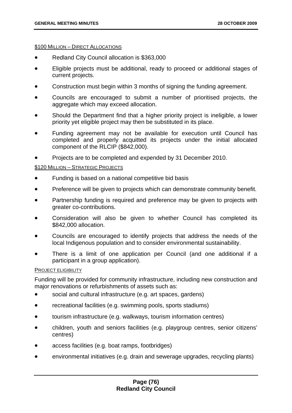#### **\$100 MILLION – DIRECT ALLOCATIONS**

- Redland City Council allocation is \$363,000
- Eligible projects must be additional, ready to proceed or additional stages of current projects.
- Construction must begin within 3 months of signing the funding agreement.
- Councils are encouraged to submit a number of prioritised projects, the aggregate which may exceed allocation.
- Should the Department find that a higher priority project is ineligible, a lower priority yet eligible project may then be substituted in its place.
- Funding agreement may not be available for execution until Council has completed and properly acquitted its projects under the initial allocated component of the RLCIP (\$842,000).
- Projects are to be completed and expended by 31 December 2010.

#### \$120 MILLION – STRATEGIC PROJECTS

- Funding is based on a national competitive bid basis
- Preference will be given to projects which can demonstrate community benefit.
- Partnership funding is required and preference may be given to projects with greater co-contributions.
- Consideration will also be given to whether Council has completed its \$842,000 allocation.
- Councils are encouraged to identify projects that address the needs of the local Indigenous population and to consider environmental sustainability.
- There is a limit of one application per Council (and one additional if a participant in a group application).

#### PROJECT ELIGIBILITY

Funding will be provided for community infrastructure, including new construction and major renovations or refurbishments of assets such as:

- social and cultural infrastructure (e.g. art spaces, gardens)
- recreational facilities (e.g. swimming pools, sports stadiums)
- tourism infrastructure (e.g. walkways, tourism information centres)
- children, youth and seniors facilities (e.g. playgroup centres, senior citizens' centres)
- access facilities (e.g. boat ramps, footbridges)
- environmental initiatives (e.g. drain and sewerage upgrades, recycling plants)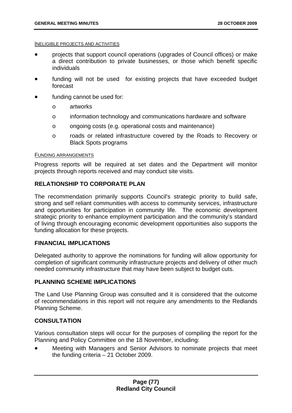#### INELIGIBLE PROJECTS AND ACTIVITIES

- projects that support council operations (upgrades of Council offices) or make a direct contribution to private businesses, or those which benefit specific individuals
- funding will not be used for existing projects that have exceeded budget forecast
- funding cannot be used for:
	- o artworks
	- o information technology and communications hardware and software
	- o ongoing costs (e.g. operational costs and maintenance)
	- o roads or related infrastructure covered by the Roads to Recovery or Black Spots programs

#### FUNDING ARRANGEMENTS

Progress reports will be required at set dates and the Department will monitor projects through reports received and may conduct site visits.

# **RELATIONSHIP TO CORPORATE PLAN**

The recommendation primarily supports Council's strategic priority to build safe, strong and self reliant communities with access to community services, infrastructure and opportunities for participation in community life. The economic development strategic priority to enhance employment participation and the community's standard of living through encouraging economic development opportunities also supports the funding allocation for these projects.

### **FINANCIAL IMPLICATIONS**

Delegated authority to approve the nominations for funding will allow opportunity for completion of significant community infrastructure projects and delivery of other much needed community infrastructure that may have been subject to budget cuts.

# **PLANNING SCHEME IMPLICATIONS**

The Land Use Planning Group was consulted and it is considered that the outcome of recommendations in this report will not require any amendments to the Redlands Planning Scheme.

# **CONSULTATION**

Various consultation steps will occur for the purposes of compiling the report for the Planning and Policy Committee on the 18 November, including:

• Meeting with Managers and Senior Advisors to nominate projects that meet the funding criteria – 21 October 2009.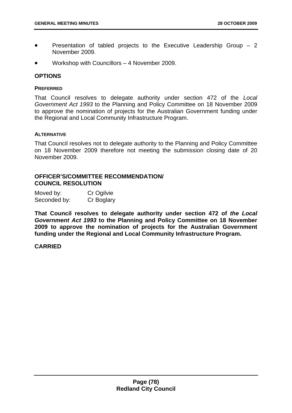- Presentation of tabled projects to the Executive Leadership Group  $-2$ November 2009.
- Workshop with Councillors 4 November 2009.

### **OPTIONS**

#### **PREFERRED**

That Council resolves to delegate authority under section 472 of the *Local Government Act 1993* to the Planning and Policy Committee on 18 November 2009 to approve the nomination of projects for the Australian Government funding under the Regional and Local Community Infrastructure Program.

#### **ALTERNATIVE**

That Council resolves not to delegate authority to the Planning and Policy Committee on 18 November 2009 therefore not meeting the submission closing date of 20 November 2009.

### **OFFICER'S/COMMITTEE RECOMMENDATION/ COUNCIL RESOLUTION**

| Moved by:    | Cr Ogilvie |
|--------------|------------|
| Seconded by: | Cr Boglary |

**That Council resolves to delegate authority under section 472 of** *the Local Government Act 1993* **to the Planning and Policy Committee on 18 November 2009 to approve the nomination of projects for the Australian Government funding under the Regional and Local Community Infrastructure Program.**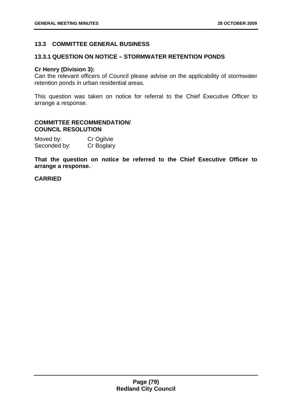# **13.3 COMMITTEE GENERAL BUSINESS**

### **13.3.1 QUESTION ON NOTICE – STORMWATER RETENTION PONDS**

#### **Cr Henry (Division 3):**

Can the relevant officers of Council please advise on the applicability of stormwater retention ponds in urban residential areas.

This question was taken on notice for referral to the Chief Executive Officer to arrange a response.

### **COMMITTEE RECOMMENDATION/ COUNCIL RESOLUTION**

| Moved by:    | Cr Ogilvie |
|--------------|------------|
| Seconded by: | Cr Boglary |

**That the question on notice be referred to the Chief Executive Officer to arrange a response.**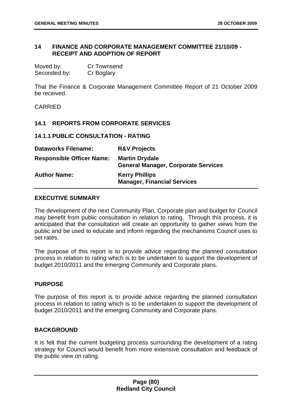## **14 FINANCE AND CORPORATE MANAGEMENT COMMITTEE 21/10/09 - RECEIPT AND ADOPTION OF REPORT**

| Moved by:    | <b>Cr Townsend</b> |
|--------------|--------------------|
| Seconded by: | Cr Boglary         |

That the Finance & Corporate Management Committee Report of 21 October 2009 be received.

CARRIED

### **14.1 REPORTS FROM CORPORATE SERVICES**

#### **14.1.1 PUBLIC CONSULTATION - RATING**

| <b>Dataworks Filename:</b>       | <b>R&amp;V Projects</b>                                             |
|----------------------------------|---------------------------------------------------------------------|
| <b>Responsible Officer Name:</b> | <b>Martin Drydale</b><br><b>General Manager, Corporate Services</b> |
| <b>Author Name:</b>              | <b>Kerry Phillips</b><br><b>Manager, Financial Services</b>         |

### **EXECUTIVE SUMMARY**

The development of the next Community Plan, Corporate plan and budget for Council may benefit from public consultation in relation to rating. Through this process, it is anticipated that the consultation will create an opportunity to gather views from the public and be used to educate and inform regarding the mechanisms Council uses to set rates.

The purpose of this report is to provide advice regarding the planned consultation process in relation to rating which is to be undertaken to support the development of budget 2010/2011 and the emerging Community and Corporate plans.

### **PURPOSE**

The purpose of this report is to provide advice regarding the planned consultation process in relation to rating which is to be undertaken to support the development of budget 2010/2011 and the emerging Community and Corporate plans.

# **BACKGROUND**

It is felt that the current budgeting process surrounding the development of a rating strategy for Council would benefit from more extensive consultation and feedback of the public view on rating.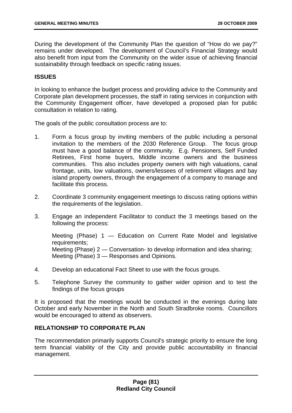During the development of the Community Plan the question of "How do we pay?" remains under developed. The development of Council's Financial Strategy would also benefit from input from the Community on the wider issue of achieving financial sustainability through feedback on specific rating issues.

### **ISSUES**

In looking to enhance the budget process and providing advice to the Community and Corporate plan development processes, the staff in rating services in conjunction with the Community Engagement officer, have developed a proposed plan for public consultation in relation to rating.

The goals of the public consultation process are to:

- 1. Form a focus group by inviting members of the public including a personal invitation to the members of the 2030 Reference Group. The focus group must have a good balance of the community. E.g. Pensioners, Self Funded Retirees, First home buyers, Middle income owners and the business communities. This also includes property owners with high valuations, canal frontage, units, low valuations, owners/lessees of retirement villages and bay island property owners, through the engagement of a company to manage and facilitate this process.
- 2. Coordinate 3 community engagement meetings to discuss rating options within the requirements of the legislation.
- 3. Engage an independent Facilitator to conduct the 3 meetings based on the following the process:

Meeting (Phase) 1 — Education on Current Rate Model and legislative requirements; Meeting (Phase) 2 — Conversation- to develop information and idea sharing; Meeting (Phase) 3 — Responses and Opinions.

- 4. Develop an educational Fact Sheet to use with the focus groups.
- 5. Telephone Survey the community to gather wider opinion and to test the findings of the focus groups

It is proposed that the meetings would be conducted in the evenings during late October and early November in the North and South Stradbroke rooms. Councillors would be encouraged to attend as observers.

### **RELATIONSHIP TO CORPORATE PLAN**

The recommendation primarily supports Council's strategic priority to ensure the long term financial viability of the City and provide public accountability in financial management.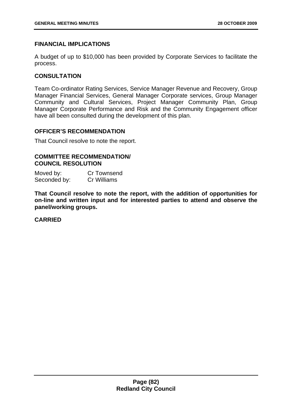### **FINANCIAL IMPLICATIONS**

A budget of up to \$10,000 has been provided by Corporate Services to facilitate the process.

### **CONSULTATION**

Team Co-ordinator Rating Services, Service Manager Revenue and Recovery, Group Manager Financial Services, General Manager Corporate services, Group Manager Community and Cultural Services, Project Manager Community Plan, Group Manager Corporate Performance and Risk and the Community Engagement officer have all been consulted during the development of this plan.

### **OFFICER'S RECOMMENDATION**

That Council resolve to note the report.

#### **COMMITTEE RECOMMENDATION/ COUNCIL RESOLUTION**

| Moved by:    | <b>Cr Townsend</b> |
|--------------|--------------------|
| Seconded by: | Cr Williams        |

**That Council resolve to note the report, with the addition of opportunities for on-line and written input and for interested parties to attend and observe the panel/working groups.**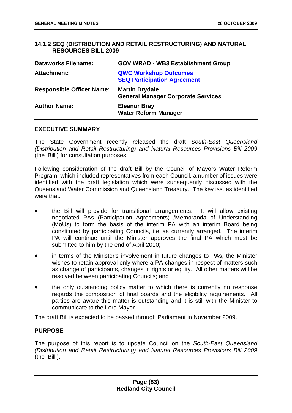## **14.1.2 SEQ (DISTRIBUTION AND RETAIL RESTRUCTURING) AND NATURAL RESOURCES BILL 2009**

| <b>Dataworks Filename:</b>       | <b>GOV WRAD - WB3 Establishment Group</b>                          |
|----------------------------------|--------------------------------------------------------------------|
| <b>Attachment:</b>               | <b>QWC Workshop Outcomes</b><br><b>SEQ Participation Agreement</b> |
| <b>Responsible Officer Name:</b> | <b>Martin Drydale</b><br><b>General Manager Corporate Services</b> |
| <b>Author Name:</b>              | <b>Eleanor Bray</b><br><b>Water Reform Manager</b>                 |

#### **EXECUTIVE SUMMARY**

The State Government recently released the draft *South-East Queensland (Distribution and Retail Restructuring) and Natural Resources Provisions Bill 2009* (the 'Bill') for consultation purposes.

Following consideration of the draft Bill by the Council of Mayors Water Reform Program, which included representatives from each Council, a number of issues were identified with the draft legislation which were subsequently discussed with the Queensland Water Commission and Queensland Treasury. The key issues identified were that:

- the Bill will provide for transitional arrangements. It will allow existing negotiated PAs (Participation Agreements) /Memoranda of Understanding (MoUs) to form the basis of the interim PA with an interim Board being constituted by participating Councils, i.e. as currently arranged. The interim PA will continue until the Minister approves the final PA which must be submitted to him by the end of April 2010;
- in terms of the Minister's involvement in future changes to PAs, the Minister wishes to retain approval only where a PA changes in respect of matters such as change of participants, changes in rights or equity. All other matters will be resolved between participating Councils; and
- the only outstanding policy matter to which there is currently no response regards the composition of final boards and the eligibility requirements. All parties are aware this matter is outstanding and it is still with the Minister to communicate to the Lord Mayor.

The draft Bill is expected to be passed through Parliament in November 2009.

### **PURPOSE**

The purpose of this report is to update Council on the *South-East Queensland (Distribution and Retail Restructuring) and Natural Resources Provisions Bill 2009* (the 'Bill').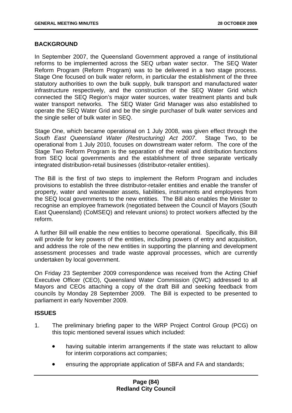### **BACKGROUND**

In September 2007, the Queensland Government approved a range of institutional reforms to be implemented across the SEQ urban water sector. The SEQ Water Reform Program (Reform Program) was to be delivered in a two stage process. Stage One focused on bulk water reform, in particular the establishment of the three statutory authorities to own the bulk supply, bulk transport and manufactured water infrastructure respectively, and the construction of the SEQ Water Grid which connected the SEQ Region's major water sources, water treatment plants and bulk water transport networks. The SEQ Water Grid Manager was also established to operate the SEQ Water Grid and be the single purchaser of bulk water services and the single seller of bulk water in SEQ.

Stage One, which became operational on 1 July 2008, was given effect through the *South East Queensland Water (Restructuring) Act 2007*. Stage Two, to be operational from 1 July 2010, focuses on downstream water reform. The core of the Stage Two Reform Program is the separation of the retail and distribution functions from SEQ local governments and the establishment of three separate vertically integrated distribution-retail businesses (distributor-retailer entities).

The Bill is the first of two steps to implement the Reform Program and includes provisions to establish the three distributor-retailer entities and enable the transfer of property, water and wastewater assets, liabilities, instruments and employees from the SEQ local governments to the new entities. The Bill also enables the Minister to recognise an employee framework (negotiated between the Council of Mayors (South East Queensland) (CoMSEQ) and relevant unions) to protect workers affected by the reform.

A further Bill will enable the new entities to become operational. Specifically, this Bill will provide for key powers of the entities, including powers of entry and acquisition, and address the role of the new entities in supporting the planning and development assessment processes and trade waste approval processes, which are currently undertaken by local government.

On Friday 23 September 2009 correspondence was received from the Acting Chief Executive Officer (CEO), Queensland Water Commission (QWC) addressed to all Mayors and CEOs attaching a copy of the draft Bill and seeking feedback from councils by Monday 28 September 2009. The Bill is expected to be presented to parliament in early November 2009.

### **ISSUES**

- 1. The preliminary briefing paper to the WRP Project Control Group (PCG) on this topic mentioned several issues which included:
	- having suitable interim arrangements if the state was reluctant to allow for interim corporations act companies;
	- ensuring the appropriate application of SBFA and FA and standards;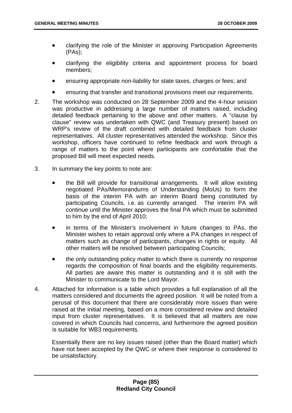- clarifying the role of the Minister in approving Participation Agreements (PAs);
- clarifying the eligibility criteria and appointment process for board members;
- ensuring appropriate non-liability for state taxes, charges or fees; and
- ensuring that transfer and transitional provisions meet our requirements.
- 2. The workshop was conducted on 28 September 2009 and the 4-hour session was productive in addressing a large number of matters raised, including detailed feedback pertaining to the above and other matters. A "clause by clause" review was undertaken with QWC (and Treasury present) based on WRP's review of the draft combined with detailed feedback from cluster representatives. All cluster representatives attended the workshop. Since this workshop, officers have continued to refine feedback and work through a range of matters to the point where participants are comfortable that the proposed Bill will meet expected needs.
- 3. In summary the key points to note are:
	- the Bill will provide for transitional arrangements. It will allow existing negotiated PAs/Memorandums of Understanding (MoUs) to form the basis of the interim PA with an interim Board being constituted by participating Councils, i.e. as currently arranged. The interim PA will continue until the Minister approves the final PA which must be submitted to him by the end of April 2010;
	- in terms of the Minister's involvement in future changes to PAs, the Minister wishes to retain approval only where a PA changes in respect of matters such as change of participants, changes in rights or equity. All other matters will be resolved between participating Councils;
	- the only outstanding policy matter to which there is currently no response regards the composition of final boards and the eligibility requirements. All parties are aware this matter is outstanding and it is still with the Minister to communicate to the Lord Mayor.
- 4. Attached for information is a table which provides a full explanation of all the matters considered and documents the agreed position. It will be noted from a perusal of this document that there are considerably more issues than were raised at the initial meeting, based on a more considered review and detailed input from cluster representatives. It is believed that all matters are now covered in which Councils had concerns, and furthermore the agreed position is suitable for WB3 requirements.

Essentially there are no key issues raised (other than the Board matter) which have not been accepted by the QWC or where their response is considered to be unsatisfactory.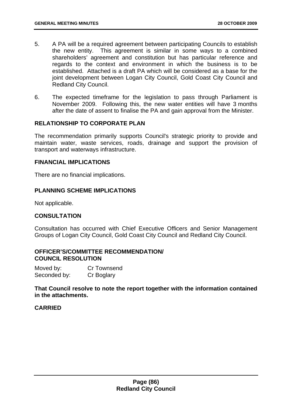- 5. A PA will be a required agreement between participating Councils to establish the new entity. This agreement is similar in some ways to a combined shareholders' agreement and constitution but has particular reference and regards to the context and environment in which the business is to be established. Attached is a draft PA which will be considered as a base for the joint development between Logan City Council, Gold Coast City Council and Redland City Council.
- 6. The expected timeframe for the legislation to pass through Parliament is November 2009. Following this, the new water entities will have 3 months after the date of assent to finalise the PA and gain approval from the Minister.

### **RELATIONSHIP TO CORPORATE PLAN**

The recommendation primarily supports Council's strategic priority to provide and maintain water, waste services, roads, drainage and support the provision of transport and waterways infrastructure.

### **FINANCIAL IMPLICATIONS**

There are no financial implications.

## **PLANNING SCHEME IMPLICATIONS**

Not applicable.

# **CONSULTATION**

Consultation has occurred with Chief Executive Officers and Senior Management Groups of Logan City Council, Gold Coast City Council and Redland City Council.

### **OFFICER'S/COMMITTEE RECOMMENDATION/ COUNCIL RESOLUTION**

Moved by: Cr Townsend Seconded by: Cr Boglary

**That Council resolve to note the report together with the information contained in the attachments.**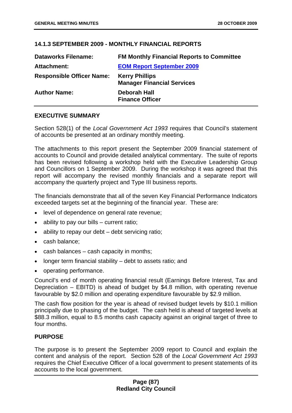# **14.1.3 SEPTEMBER 2009 - MONTHLY FINANCIAL REPORTS**

| <b>Dataworks Filename:</b>       | <b>FM Monthly Financial Reports to Committee</b>           |
|----------------------------------|------------------------------------------------------------|
| <b>Attachment:</b>               | <b>EOM Report September 2009</b>                           |
| <b>Responsible Officer Name:</b> | <b>Kerry Phillips</b><br><b>Manager Financial Services</b> |
| <b>Author Name:</b>              | <b>Deborah Hall</b><br><b>Finance Officer</b>              |

# **EXECUTIVE SUMMARY**

Section 528(1) of the *Local Government Act 1993* requires that Council's statement of accounts be presented at an ordinary monthly meeting.

The attachments to this report present the September 2009 financial statement of accounts to Council and provide detailed analytical commentary. The suite of reports has been revised following a workshop held with the Executive Leadership Group and Councillors on 1 September 2009. During the workshop it was agreed that this report will accompany the revised monthly financials and a separate report will accompany the quarterly project and Type III business reports.

The financials demonstrate that all of the seven Key Financial Performance Indicators exceeded targets set at the beginning of the financial year. These are:

- level of dependence on general rate revenue;
- ability to pay our bills current ratio;
- ability to repay our debt debt servicing ratio;
- cash balance;
- cash balances cash capacity in months;
- longer term financial stability debt to assets ratio; and
- operating performance.

Council's end of month operating financial result (Earnings Before Interest, Tax and Depreciation – EBITD) is ahead of budget by \$4.8 million, with operating revenue favourable by \$2.0 million and operating expenditure favourable by \$2.9 million.

The cash flow position for the year is ahead of revised budget levels by \$10.1 million principally due to phasing of the budget. The cash held is ahead of targeted levels at \$88.3 million, equal to 8.5 months cash capacity against an original target of three to four months.

### **PURPOSE**

The purpose is to present the September 2009 report to Council and explain the content and analysis of the report. Section 528 of the *Local Government Act 1993* requires the Chief Executive Officer of a local government to present statements of its accounts to the local government.

## **Page (87) Redland City Council**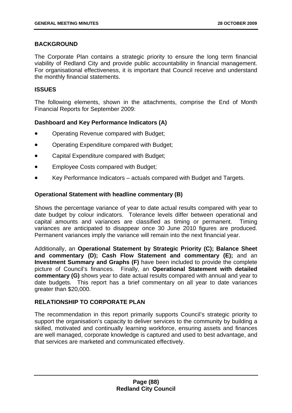# **BACKGROUND**

The Corporate Plan contains a strategic priority to ensure the long term financial viability of Redland City and provide public accountability in financial management. For organisational effectiveness, it is important that Council receive and understand the monthly financial statements.

### **ISSUES**

The following elements, shown in the attachments, comprise the End of Month Financial Reports for September 2009:

# **Dashboard and Key Performance Indicators (A)**

- Operating Revenue compared with Budget;
- Operating Expenditure compared with Budget;
- Capital Expenditure compared with Budget;
- Employee Costs compared with Budget;
- Key Performance Indicators actuals compared with Budget and Targets.

### **Operational Statement with headline commentary (B)**

Shows the percentage variance of year to date actual results compared with year to date budget by colour indicators. Tolerance levels differ between operational and capital amounts and variances are classified as timing or permanent. Timing variances are anticipated to disappear once 30 June 2010 figures are produced. Permanent variances imply the variance will remain into the next financial year.

Additionally, an **Operational Statement by Strategic Priority (C); Balance Sheet and commentary (D); Cash Flow Statement and commentary (E);** and an **Investment Summary and Graphs (F)** have been included to provide the complete picture of Council's finances. Finally, an **Operational Statement with detailed commentary (G)** shows year to date actual results compared with annual and year to date budgets. This report has a brief commentary on all year to date variances greater than \$20,000.

# **RELATIONSHIP TO CORPORATE PLAN**

The recommendation in this report primarily supports Council's strategic priority to support the organisation's capacity to deliver services to the community by building a skilled, motivated and continually learning workforce, ensuring assets and finances are well managed, corporate knowledge is captured and used to best advantage, and that services are marketed and communicated effectively.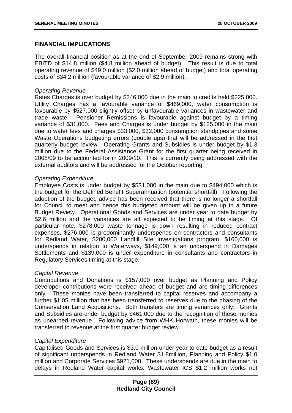### **FINANCIAL IMPLICATIONS**

The overall financial position as at the end of September 2009 remains strong with EBITD of \$14.8 million (\$4.8 million ahead of budget). This result is due to total operating revenue of \$49.0 million (\$2.0 million ahead of budget) and total operating costs of \$34.2 million (favourable variance of \$2.9 million).

### *Operating Revenue*

Rates Charges is over budget by \$246,000 due in the main to credits held \$225,000. Utility Charges has a favourable variance of \$469,000, water consumption is favourable by \$527,000 slightly offset by unfavourable variances in wastewater and trade waste. Pensioner Remissions is favourable against budget by a timing variance of \$31,000. Fees and Charges is under budget by \$125,000 in the main due to water fees and charges \$33,000, \$32,000 consumption standpipes and some Waste Operations budgeting errors (double ups) that will be addressed in the first quarterly budget review. Operating Grants and Subsidies is under budget by \$1.3 million due to the Federal Assistance Grant for the first quarter being received in 2008/09 to be accounted for in 2009/10. This is currently being addressed with the external auditors and will be addressed for the October reporting.

### *Operating Expenditure*

Employee Costs is under budget by \$531,000 in the main due to \$494,000 which is the budget for the Defined Benefit Superannuation (potential shortfall). Following the adoption of the budget, advice has been received that there is no longer a shortfall for Council to meet and hence this budgeted amount will be given up in a future Budget Review. Operational Goods and Services are under year to date budget by \$2.6 million and the variances are all expected to be timing at this stage. Of particular note, \$278,000 waste tonnage is down resulting in reduced contract expenses, \$276,000 is predominantly underspends on contractors and consultants for Redland Water, \$200,000 Landfill Site Investigations program, \$160,000 is underspends in relation to Waterways, \$149,000 is an underspend in Damages Settlements and \$139,000 is under expenditure in consultants and contractors in Regulatory Services timing at this stage.

### *Capital Revenue*

Contributions and Donations is \$157,000 over budget as Planning and Policy developer contributions were received ahead of budget and are timing differences only. These monies have been transferred to capital reserves and accompany a further \$1.05 million that has been transferred to reserves due to the phasing of the Conservation Land Acquisitions. Both transfers are timing variances only. Grants and Subsidies are under budget by \$461,000 due to the recognition of these monies as unearned revenue. Following advice from WHK Horwath, these monies will be transferred to revenue at the first quarter budget review.

### *Capital Expenditure*

Capitalised Goods and Services is \$3.0 million under year to date budget as a result of significant underspends in Redland Water \$1.8million, Planning and Policy \$1.0 million and Corporate Services \$921,000. These underspends are due in the main to delays in Redland Water capital works: Wastewater ICS \$1.2 million works not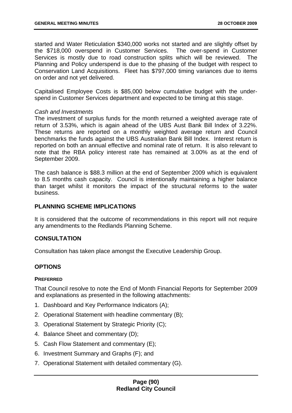started and Water Reticulation \$340,000 works not started and are slightly offset by the \$718,000 overspend in Customer Services. The over-spend in Customer Services is mostly due to road construction splits which will be reviewed. The Planning and Policy underspend is due to the phasing of the budget with respect to Conservation Land Acquisitions. Fleet has \$797,000 timing variances due to items on order and not yet delivered.

Capitalised Employee Costs is \$85,000 below cumulative budget with the underspend in Customer Services department and expected to be timing at this stage.

### *Cash and Investments*

The investment of surplus funds for the month returned a weighted average rate of return of 3.53%, which is again ahead of the UBS Aust Bank Bill Index of 3.22%. These returns are reported on a monthly weighted average return and Council benchmarks the funds against the UBS Australian Bank Bill Index. Interest return is reported on both an annual effective and nominal rate of return. It is also relevant to note that the RBA policy interest rate has remained at 3.00% as at the end of September 2009.

The cash balance is \$88.3 million at the end of September 2009 which is equivalent to 8.5 months cash capacity. Council is intentionally maintaining a higher balance than target whilst it monitors the impact of the structural reforms to the water business.

## **PLANNING SCHEME IMPLICATIONS**

It is considered that the outcome of recommendations in this report will not require any amendments to the Redlands Planning Scheme.

# **CONSULTATION**

Consultation has taken place amongst the Executive Leadership Group.

# **OPTIONS**

### **PREFERRED**

That Council resolve to note the End of Month Financial Reports for September 2009 and explanations as presented in the following attachments:

- 1. Dashboard and Key Performance Indicators (A);
- 2. Operational Statement with headline commentary (B);
- 3. Operational Statement by Strategic Priority (C);
- 4. Balance Sheet and commentary (D);
- 5. Cash Flow Statement and commentary (E);
- 6. Investment Summary and Graphs (F); and
- 7. Operational Statement with detailed commentary (G).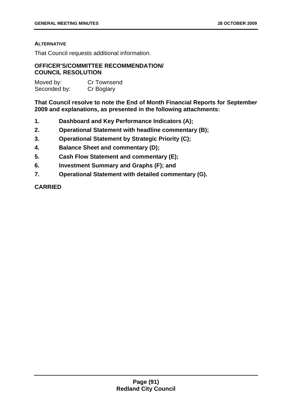### **ALTERNATIVE**

That Council requests additional information.

# **OFFICER'S/COMMITTEE RECOMMENDATION/ COUNCIL RESOLUTION**

| Moved by:    | <b>Cr Townsend</b> |
|--------------|--------------------|
| Seconded by: | Cr Boglary         |

**That Council resolve to note the End of Month Financial Reports for September 2009 and explanations, as presented in the following attachments:** 

- **1. Dashboard and Key Performance Indicators (A);**
- **2. Operational Statement with headline commentary (B);**
- **3. Operational Statement by Strategic Priority (C);**
- **4. Balance Sheet and commentary (D);**
- **5. Cash Flow Statement and commentary (E);**
- **6. Investment Summary and Graphs (F); and**
- **7. Operational Statement with detailed commentary (G).**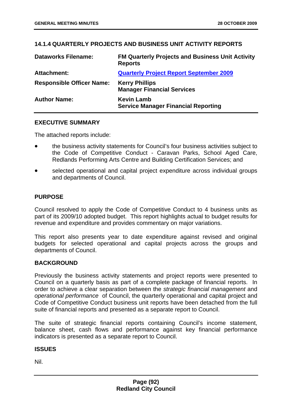# **14.1.4 QUARTERLY PROJECTS AND BUSINESS UNIT ACTIVITY REPORTS**

| <b>Dataworks Filename:</b>       | <b>FM Quarterly Projects and Business Unit Activity</b><br><b>Reports</b> |
|----------------------------------|---------------------------------------------------------------------------|
| <b>Attachment:</b>               | <b>Quarterly Project Report September 2009</b>                            |
| <b>Responsible Officer Name:</b> | <b>Kerry Phillips</b><br><b>Manager Financial Services</b>                |
| <b>Author Name:</b>              | <b>Kevin Lamb</b><br><b>Service Manager Financial Reporting</b>           |

### **EXECUTIVE SUMMARY**

The attached reports include:

- the business activity statements for Council's four business activities subject to the Code of Competitive Conduct - Caravan Parks, School Aged Care, Redlands Performing Arts Centre and Building Certification Services; and
- selected operational and capital project expenditure across individual groups and departments of Council.

### **PURPOSE**

Council resolved to apply the Code of Competitive Conduct to 4 business units as part of its 2009/10 adopted budget. This report highlights actual to budget results for revenue and expenditure and provides commentary on major variations.

This report also presents year to date expenditure against revised and original budgets for selected operational and capital projects across the groups and departments of Council.

### **BACKGROUND**

Previously the business activity statements and project reports were presented to Council on a quarterly basis as part of a complete package of financial reports. In order to achieve a clear separation between the *strategic financial management* and *operational performance* of Council, the quarterly operational and capital project and Code of Competitive Conduct business unit reports have been detached from the full suite of financial reports and presented as a separate report to Council.

The suite of strategic financial reports containing Council's income statement, balance sheet, cash flows and performance against key financial performance indicators is presented as a separate report to Council.

### **ISSUES**

Nil.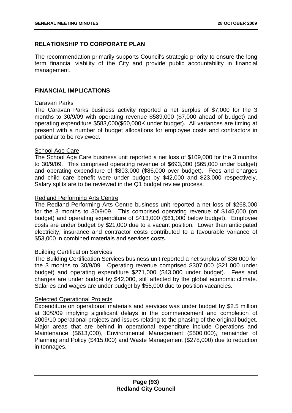# **RELATIONSHIP TO CORPORATE PLAN**

The recommendation primarily supports Council's strategic priority to ensure the long term financial viability of the City and provide public accountability in financial management.

## **FINANCIAL IMPLICATIONS**

### Caravan Parks

The Caravan Parks business activity reported a net surplus of \$7,000 for the 3 months to 30/9/09 with operating revenue \$589,000 (\$7,000 ahead of budget) and operating expenditure \$583,000(\$60,000K under budget). All variances are timing at present with a number of budget allocations for employee costs and contractors in particular to be reviewed.

## **School Age Care**

The School Age Care business unit reported a net loss of \$109,000 for the 3 months to 30/9/09. This comprised operating revenue of \$693,000 (\$65,000 under budget) and operating expenditure of \$803,000 (\$86,000 over budget). Fees and charges and child care benefit were under budget by \$42,000 and \$23,000 respectively. Salary splits are to be reviewed in the Q1 budget review process.

### Redland Performing Arts Centre

The Redland Performing Arts Centre business unit reported a net loss of \$268,000 for the 3 months to 30/9/09. This comprised operating revenue of \$145,000 (on budget) and operating expenditure of \$413,000 (\$61,000 below budget). Employee costs are under budget by \$21,000 due to a vacant position. Lower than anticipated electricity, insurance and contractor costs contributed to a favourable variance of \$53,000 in combined materials and services costs.

### Building Certification Services

The Building Certification Services business unit reported a net surplus of \$36,000 for the 3 months to 30/9/09. Operating revenue comprised \$307,000 (\$21,000 under budget) and operating expenditure \$271,000 (\$43,000 under budget). Fees and charges are under budget by \$42,000, still affected by the global economic climate. Salaries and wages are under budget by \$55,000 due to position vacancies.

# Selected Operational Projects

Expenditure on operational materials and services was under budget by \$2.5 million at 30/9/09 implying significant delays in the commencement and completion of 2009/10 operational projects and issues relating to the phasing of the original budget. Major areas that are behind in operational expenditure include Operations and Maintenance (\$613,000), Environmental Management (\$500,000), remainder of Planning and Policy (\$415,000) and Waste Management (\$278,000) due to reduction in tonnages.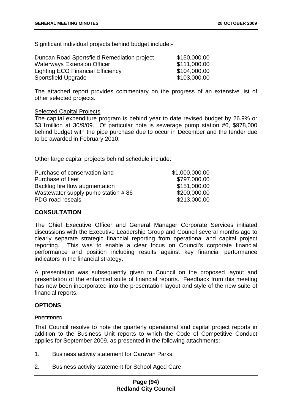Significant individual projects behind budget include:-

| Duncan Road Sportsfield Remediation project | \$150,000.00 |
|---------------------------------------------|--------------|
| <b>Waterways Extension Officer</b>          | \$111,000.00 |
| <b>Lighting ECO Financial Efficiency</b>    | \$104,000.00 |
| Sportsfield Upgrade                         | \$103,000.00 |

The attached report provides commentary on the progress of an extensive list of other selected projects.

#### Selected Capital Projects

The capital expenditure program is behind year to date revised budget by 26.9% or \$3.1million at 30/9/09. Of particular note is sewerage pump station #6, \$978,000 behind budget with the pipe purchase due to occur in December and the tender due to be awarded in February 2010.

Other large capital projects behind schedule include:

| Purchase of conservation land      | \$1,000,000.00 |
|------------------------------------|----------------|
| Purchase of fleet                  | \$797,000.00   |
| Backlog fire flow augmentation     | \$151,000.00   |
| Wastewater supply pump station #86 | \$200,000.00   |
| PDG road reseals                   | \$213,000.00   |
|                                    |                |

# **CONSULTATION**

The Chief Executive Officer and General Manager Corporate Services initiated discussions with the Executive Leadership Group and Council several months ago to clearly separate strategic financial reporting from operational and capital project reporting. This was to enable a clear focus on Council's corporate financial performance and position including results against key financial performance indicators in the financial strategy.

A presentation was subsequently given to Council on the proposed layout and presentation of the enhanced suite of financial reports. Feedback from this meeting has now been incorporated into the presentation layout and style of the new suite of financial reports.

### **OPTIONS**

#### **PREFERRED**

That Council resolve to note the quarterly operational and capital project reports in addition to the Business Unit reports to which the Code of Competitive Conduct applies for September 2009, as presented in the following attachments:

- 1. Business activity statement for Caravan Parks;
- 2. Business activity statement for School Aged Care;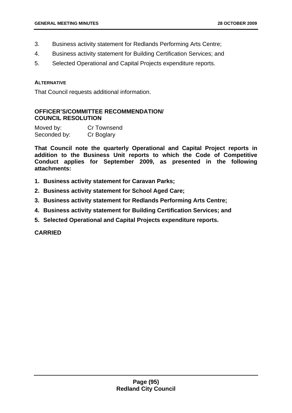- 3. Business activity statement for Redlands Performing Arts Centre;
- 4. Business activity statement for Building Certification Services; and
- 5. Selected Operational and Capital Projects expenditure reports.

#### **ALTERNATIVE**

That Council requests additional information.

# **OFFICER'S/COMMITTEE RECOMMENDATION/ COUNCIL RESOLUTION**

| Moved by:    | <b>Cr Townsend</b> |
|--------------|--------------------|
| Seconded by: | Cr Boglary         |

**That Council note the quarterly Operational and Capital Project reports in addition to the Business Unit reports to which the Code of Competitive Conduct applies for September 2009, as presented in the following attachments:** 

- **1. Business activity statement for Caravan Parks;**
- **2. Business activity statement for School Aged Care;**
- **3. Business activity statement for Redlands Performing Arts Centre;**
- **4. Business activity statement for Building Certification Services; and**
- **5. Selected Operational and Capital Projects expenditure reports.**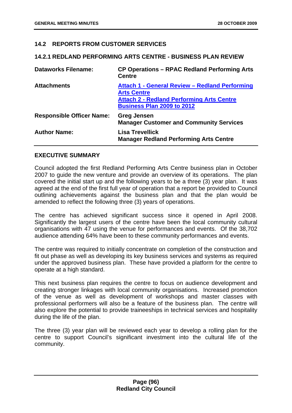# **14.2 REPORTS FROM CUSTOMER SERVICES**

### **14.2.1 REDLAND PERFORMING ARTS CENTRE - BUSINESS PLAN REVIEW**

| <b>Dataworks Filename:</b>       | <b>CP Operations – RPAC Redland Performing Arts</b><br><b>Centre</b>                                                                                          |
|----------------------------------|---------------------------------------------------------------------------------------------------------------------------------------------------------------|
| <b>Attachments</b>               | Attach 1 - General Review - Redland Performing<br><b>Arts Centre</b><br><b>Attach 2 - Redland Performing Arts Centre</b><br><b>Business Plan 2009 to 2012</b> |
| <b>Responsible Officer Name:</b> | <b>Greg Jensen</b><br><b>Manager Customer and Community Services</b>                                                                                          |
| <b>Author Name:</b>              | <b>Lisa Trevellick</b><br><b>Manager Redland Performing Arts Centre</b>                                                                                       |

### **EXECUTIVE SUMMARY**

Council adopted the first Redland Performing Arts Centre business plan in October 2007 to guide the new venture and provide an overview of its operations. The plan covered the initial start up and the following years to be a three (3) year plan. It was agreed at the end of the first full year of operation that a report be provided to Council outlining achievements against the business plan and that the plan would be amended to reflect the following three (3) years of operations.

The centre has achieved significant success since it opened in April 2008. Significantly the largest users of the centre have been the local community cultural organisations with 47 using the venue for performances and events. Of the 38,702 audience attending 64% have been to these community performances and events.

The centre was required to initially concentrate on completion of the construction and fit out phase as well as developing its key business services and systems as required under the approved business plan. These have provided a platform for the centre to operate at a high standard.

This next business plan requires the centre to focus on audience development and creating stronger linkages with local community organisations. Increased promotion of the venue as well as development of workshops and master classes with professional performers will also be a feature of the business plan. The centre will also explore the potential to provide traineeships in technical services and hospitality during the life of the plan.

The three (3) year plan will be reviewed each year to develop a rolling plan for the centre to support Council's significant investment into the cultural life of the community.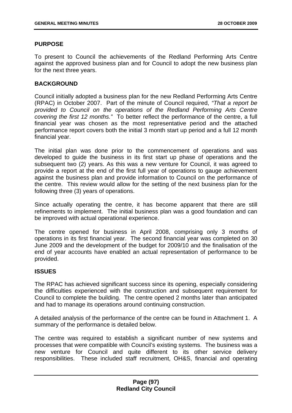### **PURPOSE**

To present to Council the achievements of the Redland Performing Arts Centre against the approved business plan and for Council to adopt the new business plan for the next three years.

### **BACKGROUND**

Council initially adopted a business plan for the new Redland Performing Arts Centre (RPAC) in October 2007. Part of the minute of Council required, *"That a report be provided to Council on the operations of the Redland Performing Arts Centre covering the first 12 months."* To better reflect the performance of the centre, a full financial year was chosen as the most representative period and the attached performance report covers both the initial 3 month start up period and a full 12 month financial year.

The initial plan was done prior to the commencement of operations and was developed to guide the business in its first start up phase of operations and the subsequent two (2) years. As this was a new venture for Council, it was agreed to provide a report at the end of the first full year of operations to gauge achievement against the business plan and provide information to Council on the performance of the centre. This review would allow for the setting of the next business plan for the following three (3) years of operations.

Since actually operating the centre, it has become apparent that there are still refinements to implement. The initial business plan was a good foundation and can be improved with actual operational experience.

The centre opened for business in April 2008, comprising only 3 months of operations in its first financial year. The second financial year was completed on 30 June 2009 and the development of the budget for 2009/10 and the finalisation of the end of year accounts have enabled an actual representation of performance to be provided.

### **ISSUES**

The RPAC has achieved significant success since its opening, especially considering the difficulties experienced with the construction and subsequent requirement for Council to complete the building. The centre opened 2 months later than anticipated and had to manage its operations around continuing construction.

A detailed analysis of the performance of the centre can be found in Attachment 1. A summary of the performance is detailed below.

The centre was required to establish a significant number of new systems and processes that were compatible with Council's existing systems. The business was a new venture for Council and quite different to its other service delivery responsibilities. These included staff recruitment, OH&S, financial and operating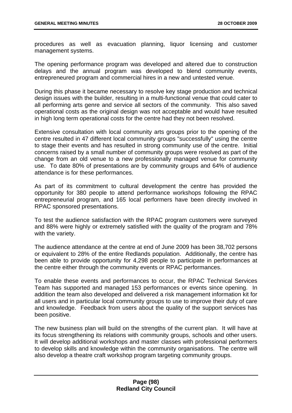procedures as well as evacuation planning, liquor licensing and customer management systems.

The opening performance program was developed and altered due to construction delays and the annual program was developed to blend community events, entrepreneured program and commercial hires in a new and untested venue.

During this phase it became necessary to resolve key stage production and technical design issues with the builder, resulting in a multi-functional venue that could cater to all performing arts genre and service all sectors of the community. This also saved operational costs as the original design was not acceptable and would have resulted in high long term operational costs for the centre had they not been resolved.

Extensive consultation with local community arts groups prior to the opening of the centre resulted in 47 different local community groups "successfully" using the centre to stage their events and has resulted in strong community use of the centre. Initial concerns raised by a small number of community groups were resolved as part of the change from an old venue to a new professionally managed venue for community use. To date 80% of presentations are by community groups and 64% of audience attendance is for these performances.

As part of its commitment to cultural development the centre has provided the opportunity for 380 people to attend performance workshops following the RPAC entrepreneurial program, and 165 local performers have been directly involved in RPAC sponsored presentations.

To test the audience satisfaction with the RPAC program customers were surveyed and 88% were highly or extremely satisfied with the quality of the program and 78% with the variety.

The audience attendance at the centre at end of June 2009 has been 38,702 persons or equivalent to 28% of the entire Redlands population. Additionally, the centre has been able to provide opportunity for 4,298 people to participate in performances at the centre either through the community events or RPAC performances.

To enable these events and performances to occur, the RPAC Technical Services Team has supported and managed 153 performances or events since opening. In addition the team also developed and delivered a risk management information kit for all users and in particular local community groups to use to improve their duty of care and knowledge. Feedback from users about the quality of the support services has been positive.

The new business plan will build on the strengths of the current plan. It will have at its focus strengthening its relations with community groups, schools and other users. It will develop additional workshops and master classes with professional performers to develop skills and knowledge within the community organisations. The centre will also develop a theatre craft workshop program targeting community groups.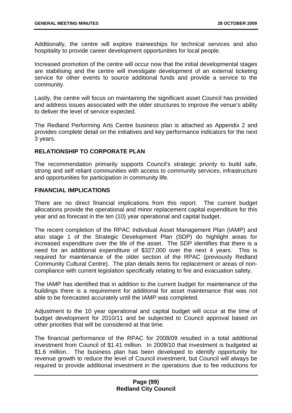Additionally, the centre will explore traineeships for technical services and also hospitality to provide career development opportunities for local people.

Increased promotion of the centre will occur now that the initial developmental stages are stabilising and the centre will investigate development of an external ticketing service for other events to source additional funds and provide a service to the community.

Lastly, the centre will focus on maintaining the significant asset Council has provided and address issues associated with the older structures to improve the venue's ability to deliver the level of service expected.

The Redland Performing Arts Centre business plan is attached as Appendix 2 and provides complete detail on the initiatives and key performance indicators for the next 3 years.

### **RELATIONSHIP TO CORPORATE PLAN**

The recommendation primarily supports Council's strategic priority to build safe, strong and self reliant communities with access to community services, infrastructure and opportunities for participation in community life.

### **FINANCIAL IMPLICATIONS**

There are no direct financial implications from this report. The current budget allocations provide the operational and minor replacement capital expenditure for this year and as forecast in the ten (10) year operational and capital budget.

The recent completion of the RPAC Individual Asset Management Plan (IAMP) and also stage 1 of the Strategic Development Plan (SDP) do highlight areas for increased expenditure over the life of the asset. The SDP identifies that there is a need for an additional expenditure of \$327,000 over the next 4 years. This is required for maintenance of the older section of the RPAC (previously Redland Community Cultural Centre). The plan details items for replacement or areas of noncompliance with current legislation specifically relating to fire and evacuation safety.

The IAMP has identified that in addition to the current budget for maintenance of the buildings there is a requirement for additional for asset maintenance that was not able to be forecasted accurately until the IAMP was completed.

Adjustment to the 10 year operational and capital budget will occur at the time of budget development for 2010/11 and be subjected to Council approval based on other priorities that will be considered at that time.

The financial performance of the RPAC for 2008/09 resulted in a total additional investment from Council of \$1.41 million. In 2009/10 that investment is budgeted at \$1.6 million. The business plan has been developed to identify opportunity for revenue growth to reduce the level of Council investment, but Council will always be required to provide additional investment in the operations due to fee reductions for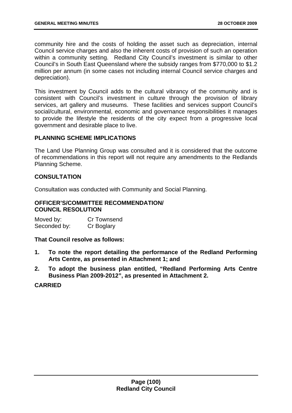community hire and the costs of holding the asset such as depreciation, internal Council service charges and also the inherent costs of provision of such an operation within a community setting. Redland City Council's investment is similar to other Council's in South East Queensland where the subsidy ranges from \$770,000 to \$1.2 million per annum (in some cases not including internal Council service charges and depreciation).

This investment by Council adds to the cultural vibrancy of the community and is consistent with Council's investment in culture through the provision of library services, art gallery and museums. These facilities and services support Council's social/cultural, environmental, economic and governance responsibilities it manages to provide the lifestyle the residents of the city expect from a progressive local government and desirable place to live.

# **PLANNING SCHEME IMPLICATIONS**

The Land Use Planning Group was consulted and it is considered that the outcome of recommendations in this report will not require any amendments to the Redlands Planning Scheme.

# **CONSULTATION**

Consultation was conducted with Community and Social Planning.

### **OFFICER'S/COMMITTEE RECOMMENDATION/ COUNCIL RESOLUTION**

Moved by: Cr Townsend Seconded by: Cr Boglary

**That Council resolve as follows:** 

- **1. To note the report detailing the performance of the Redland Performing Arts Centre, as presented in Attachment 1; and**
- **2. To adopt the business plan entitled, "Redland Performing Arts Centre Business Plan 2009-2012", as presented in Attachment 2.**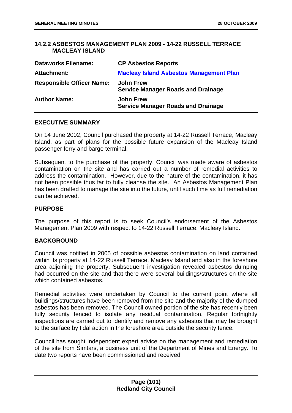### **14.2.2 ASBESTOS MANAGEMENT PLAN 2009 - 14-22 RUSSELL TERRACE MACLEAY ISLAND**

| <b>Dataworks Filename:</b>       | <b>CP Asbestos Reports</b>                                    |
|----------------------------------|---------------------------------------------------------------|
| Attachment:                      | <b>Macleay Island Asbestos Management Plan</b>                |
| <b>Responsible Officer Name:</b> | <b>John Frew</b><br><b>Service Manager Roads and Drainage</b> |
| <b>Author Name:</b>              | <b>John Frew</b><br><b>Service Manager Roads and Drainage</b> |

#### **EXECUTIVE SUMMARY**

On 14 June 2002, Council purchased the property at 14-22 Russell Terrace, Macleay Island, as part of plans for the possible future expansion of the Macleay Island passenger ferry and barge terminal.

Subsequent to the purchase of the property, Council was made aware of asbestos contamination on the site and has carried out a number of remedial activities to address the contamination. However, due to the nature of the contamination, it has not been possible thus far to fully cleanse the site. An Asbestos Management Plan has been drafted to manage the site into the future, until such time as full remediation can be achieved.

### **PURPOSE**

The purpose of this report is to seek Council's endorsement of the Asbestos Management Plan 2009 with respect to 14-22 Russell Terrace, Macleay Island.

### **BACKGROUND**

Council was notified in 2005 of possible asbestos contamination on land contained within its property at 14-22 Russell Terrace, Macleay Island and also in the foreshore area adjoining the property. Subsequent investigation revealed asbestos dumping had occurred on the site and that there were several buildings/structures on the site which contained asbestos.

Remedial activities were undertaken by Council to the current point where all buildings/structures have been removed from the site and the majority of the dumped asbestos has been removed. The Council owned portion of the site has recently been fully security fenced to isolate any residual contamination. Regular fortnightly inspections are carried out to identify and remove any asbestos that may be brought to the surface by tidal action in the foreshore area outside the security fence.

Council has sought independent expert advice on the management and remediation of the site from Simtars, a business unit of the Department of Mines and Energy. To date two reports have been commissioned and received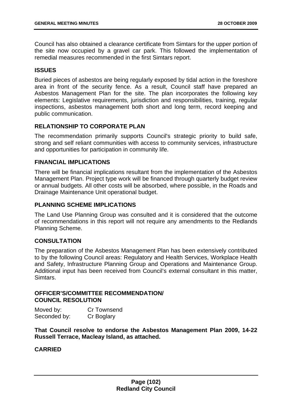Council has also obtained a clearance certificate from Simtars for the upper portion of the site now occupied by a gravel car park. This followed the implementation of remedial measures recommended in the first Simtars report.

## **ISSUES**

Buried pieces of asbestos are being regularly exposed by tidal action in the foreshore area in front of the security fence. As a result, Council staff have prepared an Asbestos Management Plan for the site. The plan incorporates the following key elements: Legislative requirements, jurisdiction and responsibilities, training, regular inspections, asbestos management both short and long term, record keeping and public communication.

# **RELATIONSHIP TO CORPORATE PLAN**

The recommendation primarily supports Council's strategic priority to build safe, strong and self reliant communities with access to community services, infrastructure and opportunities for participation in community life.

# **FINANCIAL IMPLICATIONS**

There will be financial implications resultant from the implementation of the Asbestos Management Plan. Project type work will be financed through quarterly budget review or annual budgets. All other costs will be absorbed, where possible, in the Roads and Drainage Maintenance Unit operational budget.

### **PLANNING SCHEME IMPLICATIONS**

The Land Use Planning Group was consulted and it is considered that the outcome of recommendations in this report will not require any amendments to the Redlands Planning Scheme.

### **CONSULTATION**

The preparation of the Asbestos Management Plan has been extensively contributed to by the following Council areas: Regulatory and Health Services, Workplace Health and Safety, Infrastructure Planning Group and Operations and Maintenance Group. Additional input has been received from Council's external consultant in this matter, Simtars.

## **OFFICER'S/COMMITTEE RECOMMENDATION/ COUNCIL RESOLUTION**

| Moved by:    | Cr Townsend |
|--------------|-------------|
| Seconded by: | Cr Boglary  |

**That Council resolve to endorse the Asbestos Management Plan 2009, 14-22 Russell Terrace, Macleay Island, as attached.**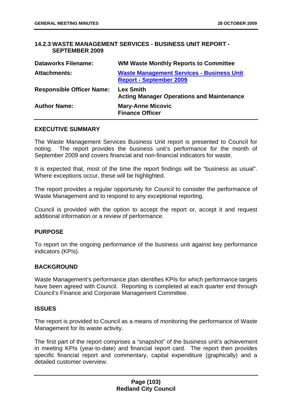## **14.2.3 WASTE MANAGEMENT SERVICES - BUSINESS UNIT REPORT - SEPTEMBER 2009**

| <b>Dataworks Filename:</b>       | <b>WM Waste Monthly Reports to Committee</b>                                       |
|----------------------------------|------------------------------------------------------------------------------------|
| <b>Attachments:</b>              | <b>Waste Management Services - Business Unit</b><br><b>Report - September 2009</b> |
| <b>Responsible Officer Name:</b> | <b>Lex Smith</b><br><b>Acting Manager Operations and Maintenance</b>               |
| <b>Author Name:</b>              | <b>Mary-Anne Micovic</b><br><b>Finance Officer</b>                                 |

#### **EXECUTIVE SUMMARY**

The Waste Management Services Business Unit report is presented to Council for noting. The report provides the business unit's performance for the month of September 2009 and covers financial and non-financial indicators for waste.

It is expected that, most of the time the report findings will be "business as usual". Where exceptions occur, these will be highlighted.

The report provides a regular opportunity for Council to consider the performance of Waste Management and to respond to any exceptional reporting.

Council is provided with the option to accept the report or, accept it and request additional information or a review of performance.

### **PURPOSE**

To report on the ongoing performance of the business unit against key performance indicators (KPIs).

### **BACKGROUND**

Waste Management's performance plan identifies KPIs for which performance targets have been agreed with Council. Reporting is completed at each quarter end through Council's Finance and Corporate Management Committee.

#### **ISSUES**

The report is provided to Council as a means of monitoring the performance of Waste Management for its waste activity.

The first part of the report comprises a "snapshot" of the business unit's achievement in meeting KPIs (year-to-date) and financial report card. The report then provides specific financial report and commentary, capital expenditure (graphically) and a detailed customer overview.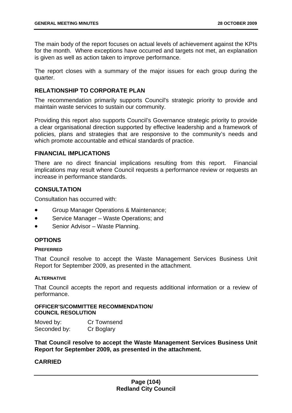The main body of the report focuses on actual levels of achievement against the KPIs for the month. Where exceptions have occurred and targets not met, an explanation is given as well as action taken to improve performance.

The report closes with a summary of the major issues for each group during the quarter.

### **RELATIONSHIP TO CORPORATE PLAN**

The recommendation primarily supports Council's strategic priority to provide and maintain waste services to sustain our community.

Providing this report also supports Council's Governance strategic priority to provide a clear organisational direction supported by effective leadership and a framework of policies, plans and strategies that are responsive to the community's needs and which promote accountable and ethical standards of practice.

### **FINANCIAL IMPLICATIONS**

There are no direct financial implications resulting from this report. Financial implications may result where Council requests a performance review or requests an increase in performance standards.

# **CONSULTATION**

Consultation has occurred with:

- Group Manager Operations & Maintenance;
- Service Manager Waste Operations; and
- Senior Advisor Waste Planning.

# **OPTIONS**

### **PREFERRED**

That Council resolve to accept the Waste Management Services Business Unit Report for September 2009, as presented in the attachment.

### **ALTERNATIVE**

That Council accepts the report and requests additional information or a review of performance.

### **OFFICER'S/COMMITTEE RECOMMENDATION/ COUNCIL RESOLUTION**

| Moved by:    | Cr Townsend |
|--------------|-------------|
| Seconded by: | Cr Boglary  |

**That Council resolve to accept the Waste Management Services Business Unit Report for September 2009, as presented in the attachment.**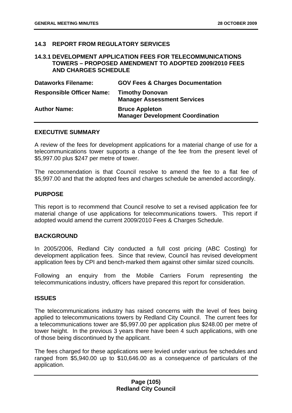### **14.3 REPORT FROM REGULATORY SERVICES**

#### **14.3.1 DEVELOPMENT APPLICATION FEES FOR TELECOMMUNICATIONS TOWERS – PROPOSED AMENDMENT TO ADOPTED 2009/2010 FEES AND CHARGES SCHEDULE**

| <b>Dataworks Filename:</b>       | <b>GOV Fees &amp; Charges Documentation</b>                      |
|----------------------------------|------------------------------------------------------------------|
| <b>Responsible Officer Name:</b> | <b>Timothy Donovan</b><br><b>Manager Assessment Services</b>     |
| <b>Author Name:</b>              | <b>Bruce Appleton</b><br><b>Manager Development Coordination</b> |

### **EXECUTIVE SUMMARY**

A review of the fees for development applications for a material change of use for a telecommunications tower supports a change of the fee from the present level of \$5,997.00 plus \$247 per metre of tower.

The recommendation is that Council resolve to amend the fee to a flat fee of \$5,997.00 and that the adopted fees and charges schedule be amended accordingly.

#### **PURPOSE**

This report is to recommend that Council resolve to set a revised application fee for material change of use applications for telecommunications towers. This report if adopted would amend the current 2009/2010 Fees & Charges Schedule.

#### **BACKGROUND**

In 2005/2006, Redland City conducted a full cost pricing (ABC Costing) for development application fees. Since that review, Council has revised development application fees by CPI and bench-marked them against other similar sized councils.

Following an enquiry from the Mobile Carriers Forum representing the telecommunications industry, officers have prepared this report for consideration.

#### **ISSUES**

The telecommunications industry has raised concerns with the level of fees being applied to telecommunications towers by Redland City Council. The current fees for a telecommunications tower are \$5,997.00 per application plus \$248.00 per metre of tower height. In the previous 3 years there have been 4 such applications, with one of those being discontinued by the applicant.

The fees charged for these applications were levied under various fee schedules and ranged from \$5,940.00 up to \$10,646.00 as a consequence of particulars of the application.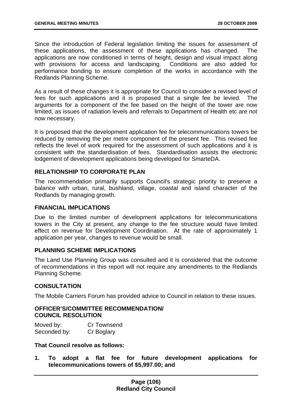Since the introduction of Federal legislation limiting the issues for assessment of these applications, the assessment of these applications has changed. The applications are now conditioned in terms of height, design and visual impact along with provisions for access and landscaping. Conditions are also added for performance bonding to ensure completion of the works in accordance with the Redlands Planning Scheme.

As a result of these changes it is appropriate for Council to consider a revised level of fees for such applications and it is proposed that a single fee be levied. The arguments for a component of the fee based on the height of the tower are now limited, as issues of radiation levels and referrals to Department of Health etc are not now necessary.

It is proposed that the development application fee for telecommunications towers be reduced by removing the per metre component of the present fee. This revised fee reflects the level of work required for the assessment of such applications and it is consistent with the standardisation of fees. Standardisation assists the electronic lodgement of development applications being developed for SmarteDA.

# **RELATIONSHIP TO CORPORATE PLAN**

The recommendation primarily supports Council's strategic priority to preserve a balance with urban, rural, bushland, village, coastal and island character of the Redlands by managing growth.

# **FINANCIAL IMPLICATIONS**

Due to the limited number of development applications for telecommunications towers in the City at present, any change to the fee structure would have limited effect on revenue for Development Coordination. At the rate of approximately 1 application per year, changes to revenue would be small.

## **PLANNING SCHEME IMPLICATIONS**

The Land Use Planning Group was consulted and it is considered that the outcome of recommendations in this report will not require any amendments to the Redlands Planning Scheme.

# **CONSULTATION**

The Mobile Carriers Forum has provided advice to Council in relation to these issues.

# **OFFICER'S/COMMITTEE RECOMMENDATION/ COUNCIL RESOLUTION**

| Moved by:    | Cr Townsend |
|--------------|-------------|
| Seconded by: | Cr Boglary  |

**That Council resolve as follows:** 

**1. To adopt a flat fee for future development applications for telecommunications towers of \$5,997.00; and**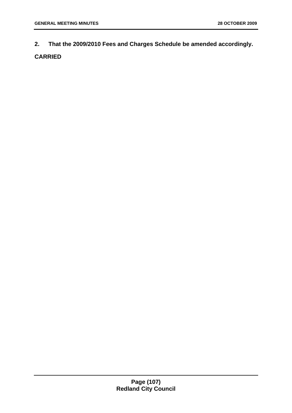**2. That the 2009/2010 Fees and Charges Schedule be amended accordingly.**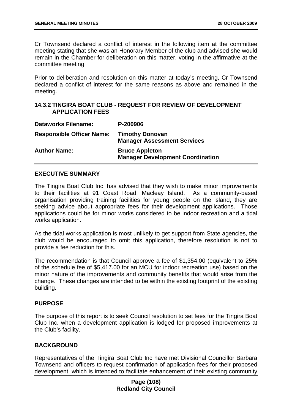Cr Townsend declared a conflict of interest in the following item at the committee meeting stating that she was an Honorary Member of the club and advised she would remain in the Chamber for deliberation on this matter, voting in the affirmative at the committee meeting.

Prior to deliberation and resolution on this matter at today's meeting, Cr Townsend declared a conflict of interest for the same reasons as above and remained in the meeting.

# **14.3.2 TINGIRA BOAT CLUB - REQUEST FOR REVIEW OF DEVELOPMENT APPLICATION FEES**

| <b>Dataworks Filename:</b>       | P-200906                                                         |
|----------------------------------|------------------------------------------------------------------|
| <b>Responsible Officer Name:</b> | <b>Timothy Donovan</b><br><b>Manager Assessment Services</b>     |
| <b>Author Name:</b>              | <b>Bruce Appleton</b><br><b>Manager Development Coordination</b> |

### **EXECUTIVE SUMMARY**

The Tingira Boat Club Inc. has advised that they wish to make minor improvements to their facilities at 91 Coast Road, Macleay Island. As a community-based organisation providing training facilities for young people on the island, they are seeking advice about appropriate fees for their development applications. Those applications could be for minor works considered to be indoor recreation and a tidal works application.

As the tidal works application is most unlikely to get support from State agencies, the club would be encouraged to omit this application, therefore resolution is not to provide a fee reduction for this.

The recommendation is that Council approve a fee of \$1,354.00 (equivalent to 25% of the schedule fee of \$5,417.00 for an MCU for indoor recreation use) based on the minor nature of the improvements and community benefits that would arise from the change. These changes are intended to be within the existing footprint of the existing building.

### **PURPOSE**

The purpose of this report is to seek Council resolution to set fees for the Tingira Boat Club Inc. when a development application is lodged for proposed improvements at the Club's facility.

### **BACKGROUND**

Representatives of the Tingira Boat Club Inc have met Divisional Councillor Barbara Townsend and officers to request confirmation of application fees for their proposed development, which is intended to facilitate enhancement of their existing community

# **Page (108) Redland City Council**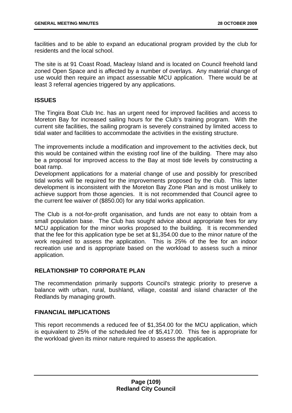facilities and to be able to expand an educational program provided by the club for residents and the local school.

The site is at 91 Coast Road, Macleay Island and is located on Council freehold land zoned Open Space and is affected by a number of overlays. Any material change of use would then require an impact assessable MCU application. There would be at least 3 referral agencies triggered by any applications.

# **ISSUES**

The Tingira Boat Club Inc. has an urgent need for improved facilities and access to Moreton Bay for increased sailing hours for the Club's training program. With the current site facilities, the sailing program is severely constrained by limited access to tidal water and facilities to accommodate the activities in the existing structure.

The improvements include a modification and improvement to the activities deck, but this would be contained within the existing roof line of the building. There may also be a proposal for improved access to the Bay at most tide levels by constructing a boat ramp.

Development applications for a material change of use and possibly for prescribed tidal works will be required for the improvements proposed by the club. This latter development is inconsistent with the Moreton Bay Zone Plan and is most unlikely to achieve support from those agencies. It is not recommended that Council agree to the current fee waiver of (\$850.00) for any tidal works application.

The Club is a not-for-profit organisation, and funds are not easy to obtain from a small population base. The Club has sought advice about appropriate fees for any MCU application for the minor works proposed to the building. It is recommended that the fee for this application type be set at \$1,354.00 due to the minor nature of the work required to assess the application. This is 25% of the fee for an indoor recreation use and is appropriate based on the workload to assess such a minor application.

# **RELATIONSHIP TO CORPORATE PLAN**

The recommendation primarily supports Council's strategic priority to preserve a balance with urban, rural, bushland, village, coastal and island character of the Redlands by managing growth.

### **FINANCIAL IMPLICATIONS**

This report recommends a reduced fee of \$1,354.00 for the MCU application, which is equivalent to 25% of the scheduled fee of \$5,417.00. This fee is appropriate for the workload given its minor nature required to assess the application.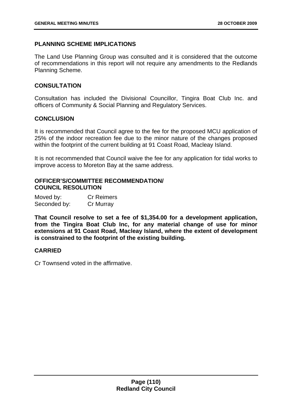# **PLANNING SCHEME IMPLICATIONS**

The Land Use Planning Group was consulted and it is considered that the outcome of recommendations in this report will not require any amendments to the Redlands Planning Scheme.

# **CONSULTATION**

Consultation has included the Divisional Councillor, Tingira Boat Club Inc. and officers of Community & Social Planning and Regulatory Services.

# **CONCLUSION**

It is recommended that Council agree to the fee for the proposed MCU application of 25% of the indoor recreation fee due to the minor nature of the changes proposed within the footprint of the current building at 91 Coast Road, Macleay Island.

It is not recommended that Council waive the fee for any application for tidal works to improve access to Moreton Bay at the same address.

# **OFFICER'S/COMMITTEE RECOMMENDATION/ COUNCIL RESOLUTION**

| Moved by:    | <b>Cr Reimers</b> |
|--------------|-------------------|
| Seconded by: | Cr Murray         |

**That Council resolve to set a fee of \$1,354.00 for a development application, from the Tingira Boat Club Inc, for any material change of use for minor extensions at 91 Coast Road, Macleay Island, where the extent of development is constrained to the footprint of the existing building.** 

### **CARRIED**

Cr Townsend voted in the affirmative.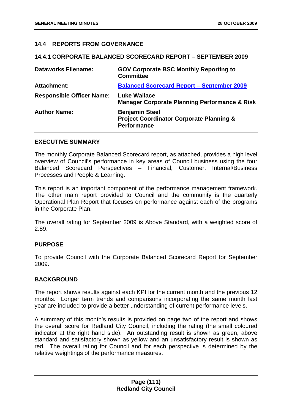# **14.4 REPORTS FROM GOVERNANCE**

#### **14.4.1 CORPORATE BALANCED SCORECARD REPORT – SEPTEMBER 2009**

| <b>Dataworks Filename:</b>       | <b>GOV Corporate BSC Monthly Reporting to</b><br><b>Committee</b>                                  |
|----------------------------------|----------------------------------------------------------------------------------------------------|
| <b>Attachment:</b>               | <b>Balanced Scorecard Report - September 2009</b>                                                  |
| <b>Responsible Officer Name:</b> | <b>Luke Wallace</b><br><b>Manager Corporate Planning Performance &amp; Risk</b>                    |
| <b>Author Name:</b>              | <b>Benjamin Steel</b><br><b>Project Coordinator Corporate Planning &amp;</b><br><b>Performance</b> |

#### **EXECUTIVE SUMMARY**

The monthly Corporate Balanced Scorecard report, as attached, provides a high level overview of Council's performance in key areas of Council business using the four Balanced Scorecard Perspectives – Financial, Customer, Internal/Business Processes and People & Learning.

This report is an important component of the performance management framework. The other main report provided to Council and the community is the quarterly Operational Plan Report that focuses on performance against each of the programs in the Corporate Plan.

The overall rating for September 2009 is Above Standard, with a weighted score of 2.89.

# **PURPOSE**

To provide Council with the Corporate Balanced Scorecard Report for September 2009.

### **BACKGROUND**

The report shows results against each KPI for the current month and the previous 12 months. Longer term trends and comparisons incorporating the same month last year are included to provide a better understanding of current performance levels.

A summary of this month's results is provided on page two of the report and shows the overall score for Redland City Council, including the rating (the small coloured indicator at the right hand side). An outstanding result is shown as green, above standard and satisfactory shown as yellow and an unsatisfactory result is shown as red. The overall rating for Council and for each perspective is determined by the relative weightings of the performance measures.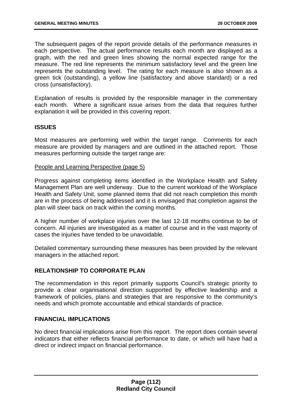The subsequent pages of the report provide details of the performance measures in each perspective. The actual performance results each month are displayed as a graph, with the red and green lines showing the normal expected range for the measure. The red line represents the minimum satisfactory level and the green line represents the outstanding level. The rating for each measure is also shown as a green tick (outstanding), a yellow line (satisfactory and above standard) or a red cross (unsatisfactory).

Explanation of results is provided by the responsible manager in the commentary each month. Where a significant issue arises from the data that requires further explanation it will be provided in this covering report.

# **ISSUES**

Most measures are performing well within the target range. Comments for each measure are provided by managers and are outlined in the attached report. Those measures performing outside the target range are:

### People and Learning Perspective (page 5)

Progress against completing items identified in the Workplace Health and Safety Management Plan are well underway. Due to the current workload of the Workplace Health and Safety Unit, some planned items that did not reach completion this month are in the process of being addressed and it is envisaged that completion against the plan will steer back on track within the coming months.

A higher number of workplace injuries over the last 12-18 months continue to be of concern. All injuries are investigated as a matter of course and in the vast majority of cases the injuries have tended to be unavoidable.

Detailed commentary surrounding these measures has been provided by the relevant managers in the attached report.

# **RELATIONSHIP TO CORPORATE PLAN**

The recommendation in this report primarily supports Council's strategic priority to provide a clear organisational direction supported by effective leadership and a framework of policies, plans and strategies that are responsive to the community's needs and which promote accountable and ethical standards of practice.

### **FINANCIAL IMPLICATIONS**

No direct financial implications arise from this report. The report does contain several indicators that either reflects financial performance to date, or which will have had a direct or indirect impact on financial performance.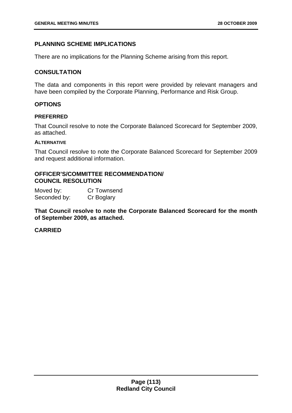# **PLANNING SCHEME IMPLICATIONS**

There are no implications for the Planning Scheme arising from this report.

### **CONSULTATION**

The data and components in this report were provided by relevant managers and have been compiled by the Corporate Planning, Performance and Risk Group.

### **OPTIONS**

#### **PREFERRED**

That Council resolve to note the Corporate Balanced Scorecard for September 2009, as attached.

#### **ALTERNATIVE**

That Council resolve to note the Corporate Balanced Scorecard for September 2009 and request additional information.

## **OFFICER'S/COMMITTEE RECOMMENDATION/ COUNCIL RESOLUTION**

| Moved by:    | Cr Townsend |
|--------------|-------------|
| Seconded by: | Cr Boglary  |

**That Council resolve to note the Corporate Balanced Scorecard for the month of September 2009, as attached.** 

#### **CARRIED**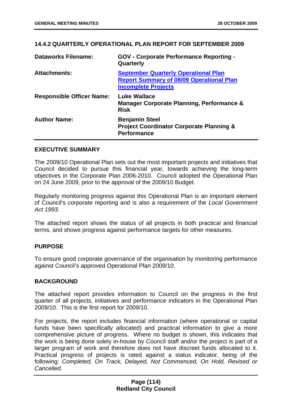## **14.4.2 QUARTERLY OPERATIONAL PLAN REPORT FOR SEPTEMBER 2009**

| <b>Dataworks Filename:</b>       | <b>GOV - Corporate Performance Reporting -</b><br>Quarterly                                                                  |
|----------------------------------|------------------------------------------------------------------------------------------------------------------------------|
| <b>Attachments:</b>              | <b>September Quarterly Operational Plan</b><br><b>Report Summary of 08/09 Operational Plan</b><br><b>Incomplete Projects</b> |
| <b>Responsible Officer Name:</b> | <b>Luke Wallace</b><br>Manager Corporate Planning, Performance &<br><b>Risk</b>                                              |
| <b>Author Name:</b>              | <b>Benjamin Steel</b><br><b>Project Coordinator Corporate Planning &amp;</b><br><b>Performance</b>                           |

# **EXECUTIVE SUMMARY**

The 2009/10 Operational Plan sets out the most important projects and initiatives that Council decided to pursue this financial year, towards achieving the long-term objectives in the Corporate Plan 2006-2010. Council adopted the Operational Plan on 24 June 2009, prior to the approval of the 2009/10 Budget.

Regularly monitoring progress against this Operational Plan is an important element of Council's corporate reporting and is also a requirement of the *Local Government Act 1993.* 

The attached report shows the status of all projects in both practical and financial terms, and shows progress against performance targets for other measures.

# **PURPOSE**

To ensure good corporate governance of the organisation by monitoring performance against Council's approved Operational Plan 2009/10.

### **BACKGROUND**

The attached report provides information to Council on the progress in the first quarter of all projects, initiatives and performance indicators in the Operational Plan 2009/10. This is the first report for 2009/10.

For projects, the report includes financial information (where operational or capital funds have been specifically allocated) and practical information to give a more comprehensive picture of progress. Where no budget is shown, this indicates that the work is being done solely in-house by Council staff and/or the project is part of a larger program of work and therefore does not have discreet funds allocated to it. Practical progress of projects is rated against a status indicator, being of the following: *Completed, On Track, Delayed, Not Commenced, On Hold, Revised or Cancelled.*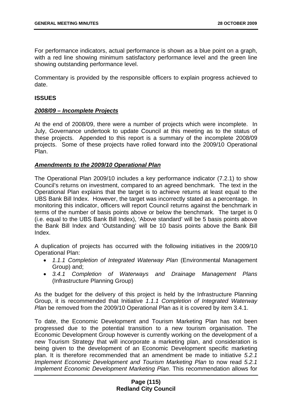For performance indicators, actual performance is shown as a blue point on a graph, with a red line showing minimum satisfactory performance level and the green line showing outstanding performance level.

Commentary is provided by the responsible officers to explain progress achieved to date.

## **ISSUES**

### *2008/09 – Incomplete Projects*

At the end of 2008/09, there were a number of projects which were incomplete. In July, Governance undertook to update Council at this meeting as to the status of these projects. Appended to this report is a summary of the incomplete 2008/09 projects. Some of these projects have rolled forward into the 2009/10 Operational Plan.

# *Amendments to the 2009/10 Operational Plan*

The Operational Plan 2009/10 includes a key performance indicator (7.2.1) to show Council's returns on investment, compared to an agreed benchmark. The text in the Operational Plan explains that the target is to achieve returns at least equal to the UBS Bank Bill Index. However, the target was incorrectly stated as a percentage. In monitoring this indicator, officers will report Council returns against the benchmark in terms of the number of basis points above or below the benchmark. The target is 0 (i.e. equal to the UBS Bank Bill Index), 'Above standard' will be 5 basis points above the Bank Bill Index and 'Outstanding' will be 10 basis points above the Bank Bill Index.

A duplication of projects has occurred with the following initiatives in the 2009/10 Operational Plan:

- *1.1.1 Completion of Integrated Waterway Plan* (Environmental Management Group) and;
- *3.4.1 Completion of Waterways and Drainage Management Plans* (Infrastructure Planning Group)

As the budget for the delivery of this project is held by the Infrastructure Planning Group, it is recommended that Initiative *1.1.1 Completion of Integrated Waterway Plan* be removed from the 2009/10 Operational Plan as it is covered by item 3.4.1.

To date, the Economic Development and Tourism Marketing Plan has not been progressed due to the potential transition to a new tourism organisation. The Economic Development Group however is currently working on the development of a new Tourism Strategy that will incorporate a marketing plan, and consideration is being given to the development of an Economic Development specific marketing plan. It is therefore recommended that an amendment be made to initiative *5.2.1 Implement Economic Development and Tourism Marketing Plan* to now read *5.2.1 Implement Economic Development Marketing Plan*. This recommendation allows for

## **Page (115) Redland City Council**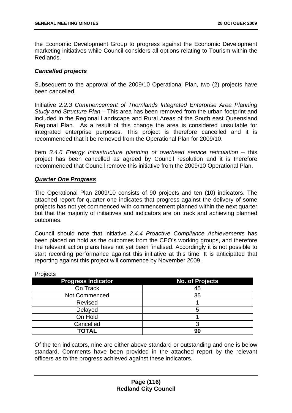the Economic Development Group to progress against the Economic Development marketing initiatives while Council considers all options relating to Tourism within the Redlands.

# *Cancelled projects*

Subsequent to the approval of the 2009/10 Operational Plan, two (2) projects have been cancelled.

Initiative *2.2.3 Commencement of Thornlands Integrated Enterprise Area Planning Study and Structure Plan* – This area has been removed from the urban footprint and included in the Regional Landscape and Rural Areas of the South east Queensland Regional Plan. As a result of this change the area is considered unsuitable for integrated enterprise purposes. This project is therefore cancelled and it is recommended that it be removed from the Operational Plan for 2009/10.

Item *3.4.6 Energy Infrastructure planning of overhead service reticulation* – this project has been cancelled as agreed by Council resolution and it is therefore recommended that Council remove this initiative from the 2009/10 Operational Plan.

# *Quarter One Progress*

The Operational Plan 2009/10 consists of 90 projects and ten (10) indicators. The attached report for quarter one indicates that progress against the delivery of some projects has not yet commenced with commencement planned within the next quarter but that the majority of initiatives and indicators are on track and achieving planned outcomes.

Council should note that initiative *2.4.4 Proactive Compliance Achievements* has been placed on hold as the outcomes from the CEO's working groups, and therefore the relevant action plans have not yet been finalised. Accordingly it is not possible to start recording performance against this initiative at this time. It is anticipated that reporting against this project will commence by November 2009.

| .                         |                        |
|---------------------------|------------------------|
| <b>Progress Indicator</b> | <b>No. of Projects</b> |
| On Track                  | 45                     |
| Not Commenced             | 35                     |
| <b>Revised</b>            |                        |
| Delayed                   | 5                      |
| On Hold                   |                        |
| Cancelled                 |                        |
| <b>TOTAL</b>              | 90                     |

**Projects** 

Of the ten indicators, nine are either above standard or outstanding and one is below standard. Comments have been provided in the attached report by the relevant officers as to the progress achieved against these indicators.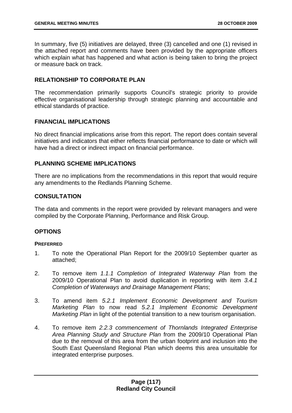In summary, five (5) initiatives are delayed, three (3) cancelled and one (1) revised in the attached report and comments have been provided by the appropriate officers which explain what has happened and what action is being taken to bring the project or measure back on track.

# **RELATIONSHIP TO CORPORATE PLAN**

The recommendation primarily supports Council's strategic priority to provide effective organisational leadership through strategic planning and accountable and ethical standards of practice.

# **FINANCIAL IMPLICATIONS**

No direct financial implications arise from this report. The report does contain several initiatives and indicators that either reflects financial performance to date or which will have had a direct or indirect impact on financial performance.

# **PLANNING SCHEME IMPLICATIONS**

There are no implications from the recommendations in this report that would require any amendments to the Redlands Planning Scheme.

# **CONSULTATION**

The data and comments in the report were provided by relevant managers and were compiled by the Corporate Planning, Performance and Risk Group.

# **OPTIONS**

### **PREFERRED**

- 1. To note the Operational Plan Report for the 2009/10 September quarter as attached;
- 2. To remove item *1.1.1 Completion of Integrated Waterway Plan* from the 2009/10 Operational Plan to avoid duplication in reporting with item *3.4.1 Completion of Waterways and Drainage Management Plans*;
- 3. To amend item *5.2.1 Implement Economic Development and Tourism Marketing Plan* to now read *5.2.1 Implement Economic Development Marketing Plan* in light of the potential transition to a new tourism organisation.
- 4. To remove item *2.2.3 commencement of Thornlands Integrated Enterprise Area Planning Study and Structure Plan* from the 2009/10 Operational Plan due to the removal of this area from the urban footprint and inclusion into the South East Queensland Regional Plan which deems this area unsuitable for integrated enterprise purposes.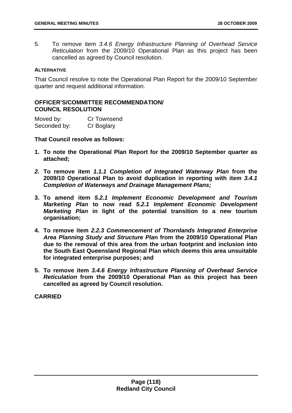5. To remove item *3.4.6 Energy Infrastructure Planning of Overhead Service Reticulation* from the 2009/10 Operational Plan as this project has been cancelled as agreed by Council resolution.

#### **ALTERNATIVE**

That Council resolve to note the Operational Plan Report for the 2009/10 September quarter and request additional information.

# **OFFICER'S/COMMITTEE RECOMMENDATION/ COUNCIL RESOLUTION**

| Moved by:    | <b>Cr Townsend</b> |
|--------------|--------------------|
| Seconded by: | Cr Boglary         |

**That Council resolve as follows:** 

- **1. To note the Operational Plan Report for the 2009/10 September quarter as attached;**
- *2.* **To remove item** *1.1.1 Completion of Integrated Waterway Plan* **from the 2009/10 Operational Plan to avoid duplication in reporting with item** *3.4.1 Completion of Waterways and Drainage Management Plans;*
- **3. To amend item** *5.2.1 Implement Economic Development and Tourism Marketing Plan* **to now read** *5.2.1 Implement Economic Development Marketing Plan* **in light of the potential transition to a new tourism organisation;**
- **4. To remove item** *2.2.3 Commencement of Thornlands Integrated Enterprise Area Planning Study and Structure Pla***n from the 2009/10 Operational Plan due to the removal of this area from the urban footprint and inclusion into the South East Queensland Regional Plan which deems this area unsuitable for integrated enterprise purposes; and**
- **5. To remove item** *3.4.6 Energy Infrastructure Planning of Overhead Service Reticulation* **from the 2009/10 Operational Plan as this project has been cancelled as agreed by Council resolution.**

**CARRIED**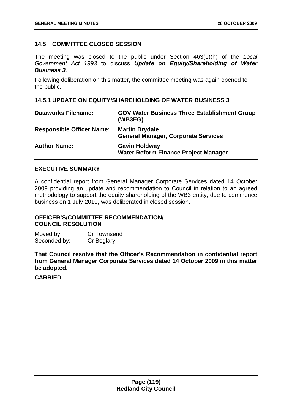# **14.5 COMMITTEE CLOSED SESSION**

The meeting was closed to the public under Section 463(1)(h) of the *Local Government Act 1993* to discuss *Update on Equity/Shareholding of Water Business 3.* 

Following deliberation on this matter, the committee meeting was again opened to the public.

# **14.5.1 UPDATE ON EQUITY/SHAREHOLDING OF WATER BUSINESS 3**

| <b>Dataworks Filename:</b>       | <b>GOV Water Business Three Establishment Group</b><br>(WB3EG)      |
|----------------------------------|---------------------------------------------------------------------|
| <b>Responsible Officer Name:</b> | <b>Martin Drydale</b><br><b>General Manager, Corporate Services</b> |
| <b>Author Name:</b>              | <b>Gavin Holdway</b><br><b>Water Reform Finance Project Manager</b> |

## **EXECUTIVE SUMMARY**

A confidential report from General Manager Corporate Services dated 14 October 2009 providing an update and recommendation to Council in relation to an agreed methodology to support the equity shareholding of the WB3 entity, due to commence business on 1 July 2010, was deliberated in closed session.

# **OFFICER'S/COMMITTEE RECOMMENDATION/ COUNCIL RESOLUTION**

Moved by: Cr Townsend Seconded by: Cr Boglary

**That Council resolve that the Officer's Recommendation in confidential report from General Manager Corporate Services dated 14 October 2009 in this matter be adopted.** 

# **CARRIED**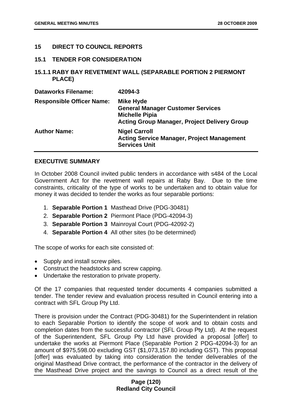## **15 DIRECT TO COUNCIL REPORTS**

#### **15.1 TENDER FOR CONSIDERATION**

## **15.1.1 RABY BAY REVETMENT WALL (SEPARABLE PORTION 2 PIERMONT PLACE)**

| <b>Dataworks Filename:</b>       | 42094-3                                                                                                                                      |
|----------------------------------|----------------------------------------------------------------------------------------------------------------------------------------------|
| <b>Responsible Officer Name:</b> | <b>Mike Hyde</b><br><b>General Manager Customer Services</b><br><b>Michelle Pipia</b><br><b>Acting Group Manager, Project Delivery Group</b> |
| <b>Author Name:</b>              | <b>Nigel Carroll</b><br><b>Acting Service Manager, Project Management</b><br><b>Services Unit</b>                                            |

### **EXECUTIVE SUMMARY**

In October 2008 Council invited public tenders in accordance with s484 of the Local Government Act for the revetment wall repairs at Raby Bay. Due to the time constraints, criticality of the type of works to be undertaken and to obtain value for money it was decided to tender the works as four separable portions:

- 1. **Separable Portion 1** Masthead Drive (PDG-30481)
- 2. **Separable Portion 2** Piermont Place (PDG-42094-3)
- 3. **Separable Portion 3** Mainroyal Court (PDG-42092-2)
- 4. **Separable Portion 4** All other sites (to be determined)

The scope of works for each site consisted of:

- Supply and install screw piles.
- Construct the headstocks and screw capping.
- Undertake the restoration to private property.

Of the 17 companies that requested tender documents 4 companies submitted a tender. The tender review and evaluation process resulted in Council entering into a contract with SFL Group Pty Ltd.

There is provision under the Contract (PDG-30481) for the Superintendent in relation to each Separable Portion to identify the scope of work and to obtain costs and completion dates from the successful contractor (SFL Group Pty Ltd). At the request of the Superintendent, SFL Group Pty Ltd have provided a proposal [offer] to undertake the works at Piermont Place (Separable Portion 2 PDG-42094-3) for an amount of \$975,598.00 excluding GST (\$1,073,157.80 including GST). This proposal [offer] was evaluated by taking into consideration the tender deliverables of the original Masthead Drive contract, the performance of the contractor in the delivery of the Masthead Drive project and the savings to Council as a direct result of the

## **Page (120) Redland City Council**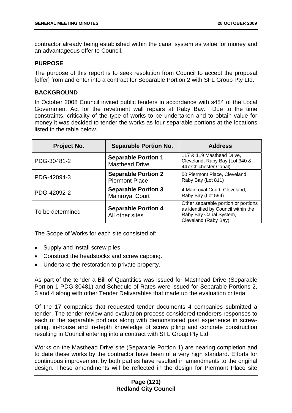contractor already being established within the canal system as value for money and an advantageous offer to Council.

# **PURPOSE**

The purpose of this report is to seek resolution from Council to accept the proposal [offer] from and enter into a contract for Separable Portion 2 with SFL Group Pty Ltd.

# **BACKGROUND**

In October 2008 Council invited public tenders in accordance with s484 of the Local Government Act for the revetment wall repairs at Raby Bay. Due to the time constraints, criticality of the type of works to be undertaken and to obtain value for money it was decided to tender the works as four separable portions at the locations listed in the table below.

| Project No.      | <b>Separable Portion No.</b>                         | <b>Address</b>                                                                                                               |
|------------------|------------------------------------------------------|------------------------------------------------------------------------------------------------------------------------------|
| PDG-30481-2      | <b>Separable Portion 1</b><br><b>Masthead Drive</b>  | 117 & 119 Masthead Drive,<br>Cleveland, Raby Bay (Lot 340 &<br>447 Chichester Canal)                                         |
| PDG-42094-3      | <b>Separable Portion 2</b><br><b>Piermont Place</b>  | 50 Piermont Place, Cleveland,<br>Raby Bay (Lot 811)                                                                          |
| PDG-42092-2      | <b>Separable Portion 3</b><br><b>Mainroyal Court</b> | 4 Mainroyal Court, Cleveland,<br>Raby Bay (Lot 594)                                                                          |
| To be determined | <b>Separable Portion 4</b><br>All other sites        | Other separable portion or portions<br>as identified by Council within the<br>Raby Bay Canal System,<br>Cleveland (Raby Bay) |

The Scope of Works for each site consisted of:

- Supply and install screw piles.
- Construct the headstocks and screw capping.
- Undertake the restoration to private property.

As part of the tender a Bill of Quantities was issued for Masthead Drive (Separable Portion 1 PDG-30481) and Schedule of Rates were issued for Separable Portions 2, 3 and 4 along with other Tender Deliverables that made up the evaluation criteria.

Of the 17 companies that requested tender documents 4 companies submitted a tender. The tender review and evaluation process considered tenderers responses to each of the separable portions along with demonstrated past experience in screwpiling, in-house and in-depth knowledge of screw piling and concrete construction resulting in Council entering into a contract with SFL Group Pty Ltd

Works on the Masthead Drive site (Separable Portion 1) are nearing completion and to date these works by the contractor have been of a very high standard. Efforts for continuous improvement by both parties have resulted in amendments to the original design. These amendments will be reflected in the design for Piermont Place site

# **Page (121) Redland City Council**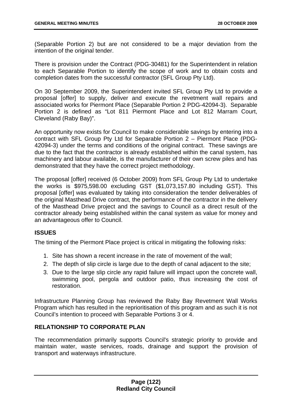(Separable Portion 2) but are not considered to be a major deviation from the intention of the original tender.

There is provision under the Contract (PDG-30481) for the Superintendent in relation to each Separable Portion to identify the scope of work and to obtain costs and completion dates from the successful contractor (SFL Group Pty Ltd).

On 30 September 2009, the Superintendent invited SFL Group Pty Ltd to provide a proposal [offer] to supply, deliver and execute the revetment wall repairs and associated works for Piermont Place (Separable Portion 2 PDG-42094-3). Separable Portion 2 is defined as "Lot 811 Piermont Place and Lot 812 Marram Court, Cleveland (Raby Bay)".

An opportunity now exists for Council to make considerable savings by entering into a contract with SFL Group Pty Ltd for Separable Portion 2 – Piermont Place (PDG-42094-3) under the terms and conditions of the original contract. These savings are due to the fact that the contractor is already established within the canal system, has machinery and labour available, is the manufacturer of their own screw piles and has demonstrated that they have the correct project methodology.

The proposal [offer] received (6 October 2009) from SFL Group Pty Ltd to undertake the works is \$975,598.00 excluding GST (\$1,073,157.80 including GST). This proposal [offer] was evaluated by taking into consideration the tender deliverables of the original Masthead Drive contract, the performance of the contractor in the delivery of the Masthead Drive project and the savings to Council as a direct result of the contractor already being established within the canal system as value for money and an advantageous offer to Council.

# **ISSUES**

The timing of the Piermont Place project is critical in mitigating the following risks:

- 1. Site has shown a recent increase in the rate of movement of the wall;
- 2. The depth of slip circle is large due to the depth of canal adjacent to the site;
- 3. Due to the large slip circle any rapid failure will impact upon the concrete wall, swimming pool, pergola and outdoor patio, thus increasing the cost of restoration.

Infrastructure Planning Group has reviewed the Raby Bay Revetment Wall Works Program which has resulted in the reprioritisation of this program and as such it is not Council's intention to proceed with Separable Portions 3 or 4.

## **RELATIONSHIP TO CORPORATE PLAN**

The recommendation primarily supports Council's strategic priority to provide and maintain water, waste services, roads, drainage and support the provision of transport and waterways infrastructure.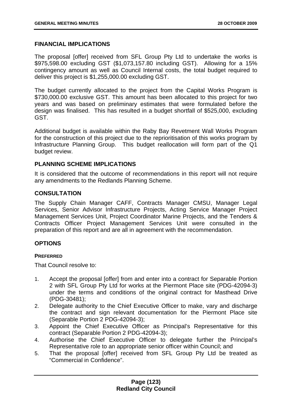# **FINANCIAL IMPLICATIONS**

The proposal [offer] received from SFL Group Pty Ltd to undertake the works is \$975,598.00 excluding GST (\$1,073,157.80 including GST). Allowing for a 15% contingency amount as well as Council Internal costs, the total budget required to deliver this project is \$1,255,000.00 excluding GST.

The budget currently allocated to the project from the Capital Works Program is \$730,000.00 exclusive GST. This amount has been allocated to this project for two years and was based on preliminary estimates that were formulated before the design was finalised. This has resulted in a budget shortfall of \$525,000, excluding GST.

Additional budget is available within the Raby Bay Revetment Wall Works Program for the construction of this project due to the reprioritisation of this works program by Infrastructure Planning Group. This budget reallocation will form part of the Q1 budget review.

# **PLANNING SCHEME IMPLICATIONS**

It is considered that the outcome of recommendations in this report will not require any amendments to the Redlands Planning Scheme.

# **CONSULTATION**

The Supply Chain Manager CAFF, Contracts Manager CMSU, Manager Legal Services, Senior Advisor Infrastructure Projects, Acting Service Manager Project Management Services Unit, Project Coordinator Marine Projects, and the Tenders & Contracts Officer Project Management Services Unit were consulted in the preparation of this report and are all in agreement with the recommendation.

# **OPTIONS**

### **PREFERRED**

That Council resolve to:

- 1. Accept the proposal [offer] from and enter into a contract for Separable Portion 2 with SFL Group Pty Ltd for works at the Piermont Place site (PDG-42094-3) under the terms and conditions of the original contract for Masthead Drive (PDG-30481);
- 2. Delegate authority to the Chief Executive Officer to make, vary and discharge the contract and sign relevant documentation for the Piermont Place site (Separable Portion 2 PDG-42094-3);
- 3. Appoint the Chief Executive Officer as Principal's Representative for this contract (Separable Portion 2 PDG-42094-3);
- 4. Authorise the Chief Executive Officer to delegate further the Principal's Representative role to an appropriate senior officer within Council; and
- 5. That the proposal [offer] received from SFL Group Pty Ltd be treated as "Commercial in Confidence".